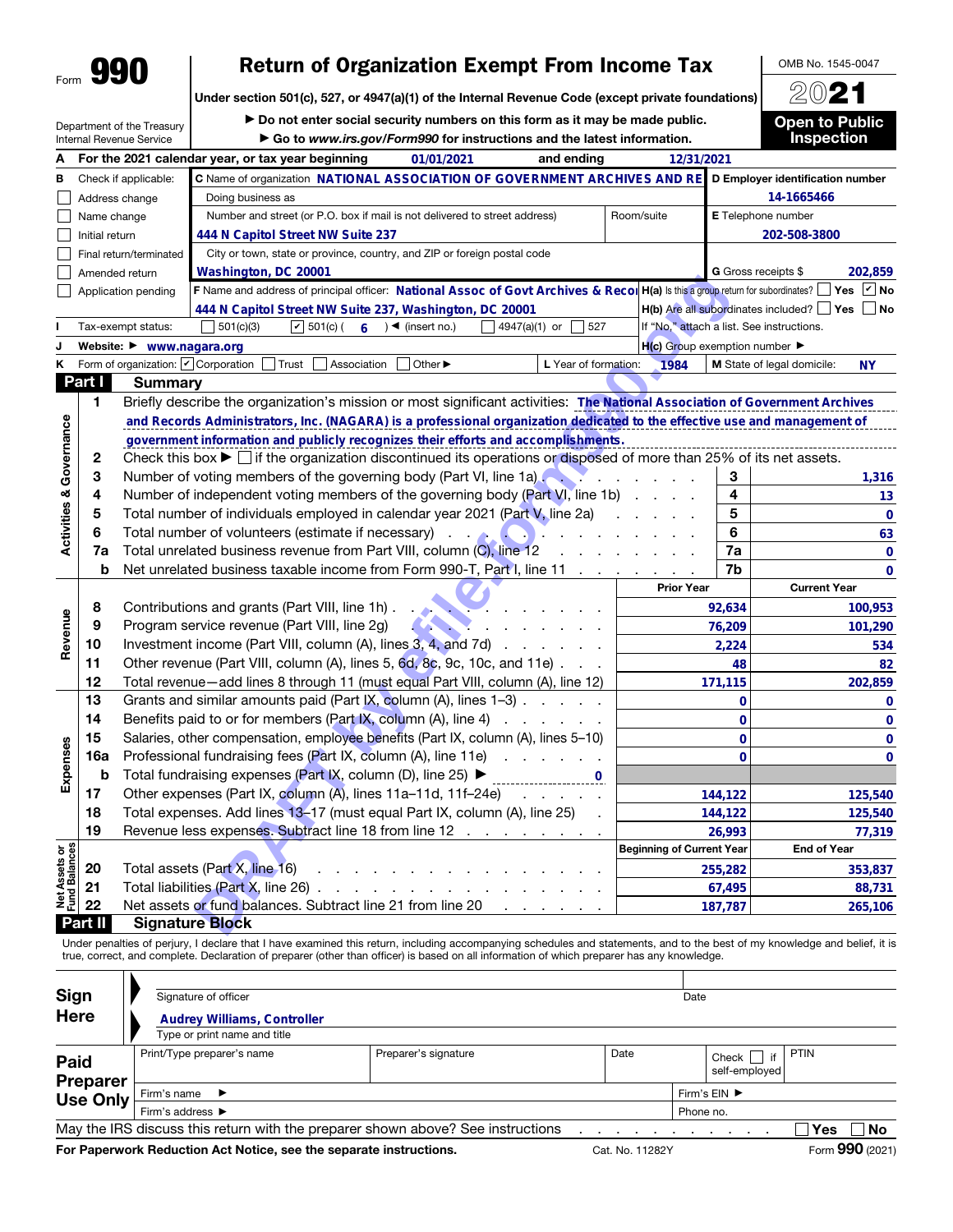# Return of Organization Exempt From Income Tax

OMB No. 1545-0047 2021

Under section 501(c), 527, or 4947(a)(1) of the Internal Revenue Code (except private foundations)

Department of the Treasury Internal Revenue Service

▶ Do not enter social security numbers on this form as it may be made public. ▶ Go to *www.irs.gov/Form990* for instructions and the latest information.

Open to Public Inspection

|                                |                | סט אוני האט ווייט ווייט ווייט ווייט ווייט ווייט של     | $\sim$ 90 to www.ii s.gov/i ornisso for instructions and the latest imormation.                                                                                                         |                                                     |                                          |              | пьресцоп                                       |                             |  |
|--------------------------------|----------------|--------------------------------------------------------|-----------------------------------------------------------------------------------------------------------------------------------------------------------------------------------------|-----------------------------------------------------|------------------------------------------|--------------|------------------------------------------------|-----------------------------|--|
| А                              |                |                                                        | For the 2021 calendar year, or tax year beginning<br>and ending<br>01/01/2021                                                                                                           |                                                     | 12/31/2021                               |              |                                                |                             |  |
| в                              |                | Check if applicable:                                   | C Name of organization NATIONAL ASSOCIATION OF GOVERNMENT ARCHIVES AND RE                                                                                                               | D Employer identification number                    |                                          |              |                                                |                             |  |
|                                |                | Address change                                         |                                                                                                                                                                                         | 14-1665466                                          |                                          |              |                                                |                             |  |
|                                | Name change    |                                                        | Number and street (or P.O. box if mail is not delivered to street address)                                                                                                              | Room/suite                                          | E Telephone number                       |              |                                                |                             |  |
|                                | Initial return |                                                        | 444 N Capitol Street NW Suite 237                                                                                                                                                       |                                                     |                                          | 202-508-3800 |                                                |                             |  |
|                                |                | Final return/terminated                                | City or town, state or province, country, and ZIP or foreign postal code                                                                                                                |                                                     |                                          |              |                                                |                             |  |
|                                |                | Amended return                                         |                                                                                                                                                                                         |                                                     | <b>G</b> Gross receipts \$               | 202,859      |                                                |                             |  |
|                                |                | Application pending                                    | Washington, DC 20001<br>F Name and address of principal officer: National Assoc of Govt Archives & Recor H(a) Is this a group return for subordinates?                                  |                                                     |                                          |              |                                                | Yes $\boxed{\mathsf{v}}$ No |  |
|                                |                |                                                        | 444 N Capitol Street NW Suite 237, Washington, DC 20001                                                                                                                                 |                                                     |                                          |              | H(b) Are all subordinates included?   Yes   No |                             |  |
|                                |                | Tax-exempt status:                                     |                                                                                                                                                                                         | If "No," attach a list. See instructions.           |                                          |              |                                                |                             |  |
| J                              |                | Website: ▶ www.nagara.org                              |                                                                                                                                                                                         | $H(c)$ Group exemption number $\blacktriangleright$ |                                          |              |                                                |                             |  |
| κ                              |                | Form of organization: $\boxed{\mathbf{v}}$ Corporation | Trust<br>Association<br>Other $\blacktriangleright$<br>L Year of formation:                                                                                                             |                                                     | 1984                                     |              | M State of legal domicile:                     | NΥ                          |  |
|                                | Part I         | <b>Summary</b>                                         |                                                                                                                                                                                         |                                                     |                                          |              |                                                |                             |  |
|                                | 1              |                                                        | Briefly describe the organization's mission or most significant activities: The National Association of Government Archives                                                             |                                                     |                                          |              |                                                |                             |  |
|                                |                |                                                        | and Records Administrators, Inc. (NAGARA) is a professional organization dedicated to the effective use and management of                                                               |                                                     |                                          |              |                                                |                             |  |
|                                |                |                                                        | government information and publicly recognizes their efforts and accomplishments.                                                                                                       |                                                     |                                          |              |                                                |                             |  |
|                                | 2              |                                                        | Check this box $\blacktriangleright$ $\Box$ if the organization discontinued its operations or disposed of more than 25% of its net assets.                                             |                                                     |                                          |              |                                                |                             |  |
|                                | 3              |                                                        | Number of voting members of the governing body (Part VI, line 1a)                                                                                                                       |                                                     | <b><i>Contract Contract Contract</i></b> | 3            |                                                | 1,316                       |  |
|                                | 4              |                                                        | Number of independent voting members of the governing body (Part VI, line 1b)                                                                                                           |                                                     |                                          | 4            |                                                | 13                          |  |
|                                | 5              |                                                        | Total number of individuals employed in calendar year 2021 (Part V, line 2a)                                                                                                            |                                                     |                                          | 5            |                                                | $\bf{0}$                    |  |
| Activities & Governance        | 6              |                                                        | Total number of volunteers (estimate if necessary)<br>$\mathbf{r} = \mathbf{r} + \mathbf{r}$ .                                                                                          |                                                     |                                          | 6            |                                                | 63                          |  |
|                                | 7a             |                                                        | 7a                                                                                                                                                                                      |                                                     | 0                                        |              |                                                |                             |  |
|                                | b              |                                                        | Total unrelated business revenue from Part VIII, column (C), line 12<br>Net unrelated business taxable income from Form 990-T, Part I, line 11<br>$\mathcal{A}=\mathcal{A}=\mathcal{A}$ |                                                     |                                          | 7b           |                                                | 0                           |  |
|                                |                |                                                        |                                                                                                                                                                                         |                                                     | <b>Prior Year</b>                        |              | <b>Current Year</b>                            |                             |  |
|                                | 8              |                                                        | Contributions and grants (Part VIII, line 1h).                                                                                                                                          |                                                     |                                          | 92,634       |                                                | 100,953                     |  |
| Revenue                        | 9              |                                                        | Program service revenue (Part VIII, line 2g)                                                                                                                                            |                                                     |                                          | 76,209       |                                                | 101,290                     |  |
|                                | 10             |                                                        | Investment income (Part VIII, column (A), lines 3, 4, and 7d)<br>and a state of the state                                                                                               |                                                     |                                          | 2,224        |                                                | 534                         |  |
|                                | 11             |                                                        | Other revenue (Part VIII, column (A), lines 5, 6d, 8c, 9c, 10c, and 11e)                                                                                                                |                                                     |                                          | 48           |                                                | 82                          |  |
|                                | 12             |                                                        | Total revenue-add lines 8 through 11 (must equal Part VIII, column (A), line 12)                                                                                                        |                                                     |                                          | 171,115      |                                                | 202,859                     |  |
|                                | 13             |                                                        | Grants and similar amounts paid (Part IX, column (A), lines 1-3)                                                                                                                        |                                                     |                                          | $\mathbf 0$  |                                                | 0                           |  |
|                                | 14             |                                                        | Benefits paid to or for members (Part IX, column (A), line 4)<br>and a state of the                                                                                                     |                                                     |                                          | $\mathbf 0$  |                                                | 0                           |  |
|                                | 15             |                                                        | Salaries, other compensation, employee benefits (Part IX, column (A), lines 5-10)                                                                                                       |                                                     |                                          | $\mathbf 0$  |                                                | 0                           |  |
|                                | 16a            |                                                        | Professional fundraising fees (Part IX, column (A), line 11e)                                                                                                                           |                                                     |                                          | $\mathbf{0}$ |                                                | 0                           |  |
| Expenses                       | b              |                                                        | Total fundraising expenses (Part IX, column (D), line 25) ▶                                                                                                                             |                                                     |                                          |              |                                                |                             |  |
|                                | 17             |                                                        | Other expenses (Part IX, column (A), lines 11a-11d, 11f-24e)                                                                                                                            |                                                     |                                          | 144,122      |                                                | 125,540                     |  |
|                                | 18             |                                                        | Total expenses. Add lines 13-17 (must equal Part IX, column (A), line 25)                                                                                                               |                                                     |                                          | 144,122      |                                                | 125,540                     |  |
|                                | 19             |                                                        | Revenue less expenses. Subtract line 18 from line 12                                                                                                                                    |                                                     |                                          | 26,993       |                                                | 77,319                      |  |
|                                |                |                                                        |                                                                                                                                                                                         |                                                     | <b>Beginning of Current Year</b>         |              | <b>End of Year</b>                             |                             |  |
| Net Assets or<br>Fund Balances | 20             |                                                        | Total assets (Part X, line 16)                                                                                                                                                          |                                                     |                                          | 255,282      |                                                | 353,837                     |  |
|                                | 21             |                                                        | Total liabilities (Part X, line 26)                                                                                                                                                     |                                                     |                                          | 67,495       |                                                | 88,731                      |  |
|                                | 22             |                                                        | Net assets or fund balances. Subtract line 21 from line 20                                                                                                                              |                                                     |                                          | 187,787      |                                                | 265,106                     |  |
|                                | Part II        |                                                        | <b>Signature Block</b>                                                                                                                                                                  |                                                     |                                          |              |                                                |                             |  |
|                                |                |                                                        | Under penalties of perjury, I declare that I have examined this return, including accompanying schedules and statements, and to the best of my knowledge and belief, it is              |                                                     |                                          |              |                                                |                             |  |
|                                |                |                                                        | true, correct, and complete. Declaration of preparer (other than officer) is based on all information of which preparer has any knowledge.                                              |                                                     |                                          |              |                                                |                             |  |
|                                |                |                                                        |                                                                                                                                                                                         |                                                     |                                          |              |                                                |                             |  |
| Sign                           |                |                                                        | Signature of officer                                                                                                                                                                    |                                                     | Date                                     |              |                                                |                             |  |
|                                | <b>Here</b>    |                                                        | <b>Audrey Williams, Controller</b>                                                                                                                                                      |                                                     |                                          |              |                                                |                             |  |
|                                |                |                                                        |                                                                                                                                                                                         |                                                     |                                          |              |                                                |                             |  |

| Sign                           | Signature of officer                                                            |                                   |      | Date                     |                  |  |
|--------------------------------|---------------------------------------------------------------------------------|-----------------------------------|------|--------------------------|------------------|--|
| <b>Here</b>                    | <b>Audrey Williams, Controller</b>                                              |                                   |      |                          |                  |  |
|                                | Type or print name and title                                                    |                                   |      |                          |                  |  |
| <b>Paid</b><br><b>Preparer</b> | Print/Type preparer's name                                                      | Preparer's signature              | Date | Check  <br>self-employed | PTIN<br>if       |  |
| <b>Use Only</b>                | Firm's name $\blacktriangleright$                                               | Firm's $EN$ $\blacktriangleright$ |      |                          |                  |  |
|                                | Firm's address ▶                                                                | Phone no.                         |      |                          |                  |  |
|                                | May the IRS discuss this return with the preparer shown above? See instructions |                                   |      |                          | <b>No</b><br>Yes |  |
|                                |                                                                                 |                                   | _    |                          | $\sim$<br>$\sim$ |  |

For Paperwork Reduction Act Notice, see the separate instructions. Cat. No. 11282Y Form 990 (2021)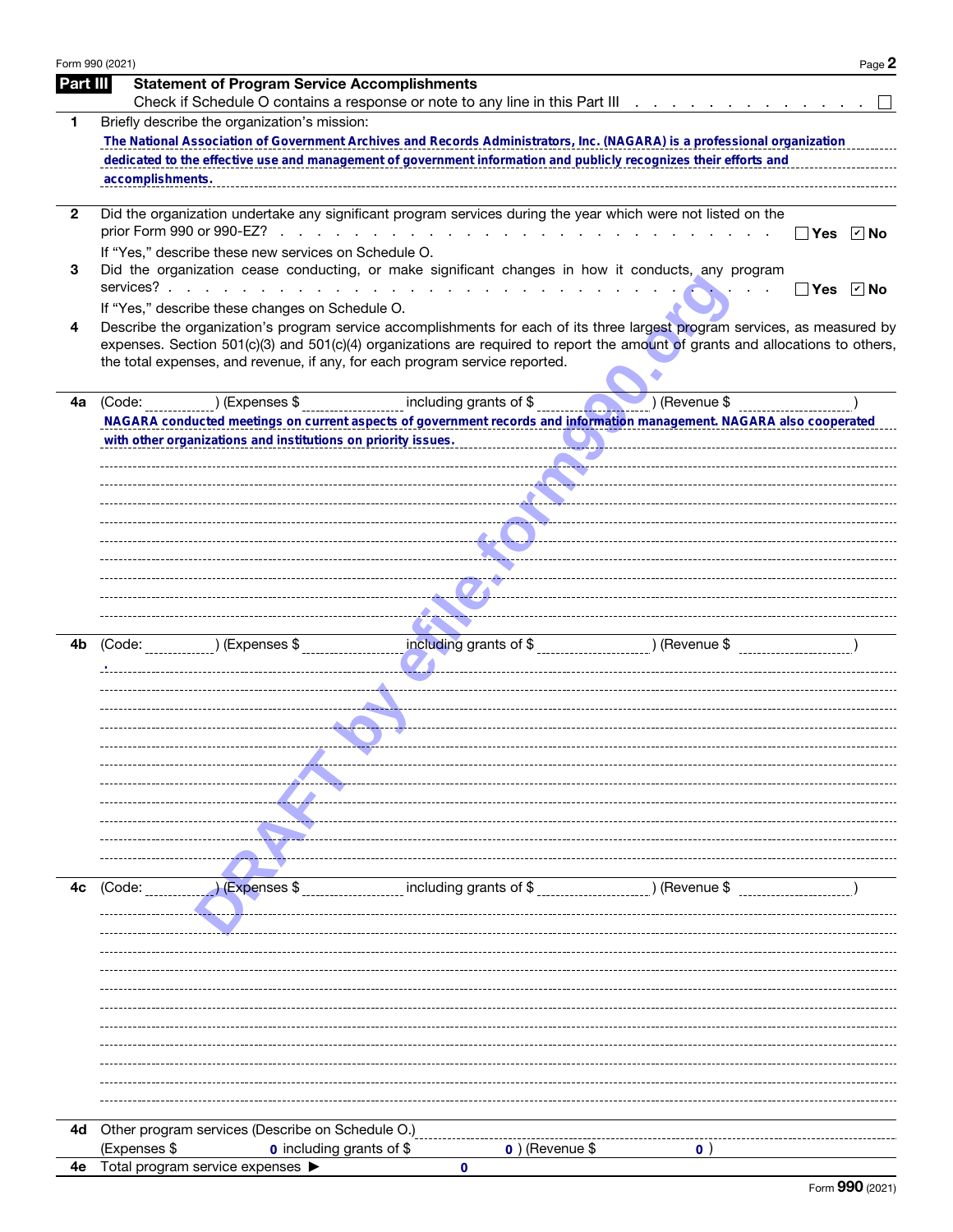| Form 990 (2021) | Page 2                                                                                                                                                                                                                                                       |
|-----------------|--------------------------------------------------------------------------------------------------------------------------------------------------------------------------------------------------------------------------------------------------------------|
| Part III        | <b>Statement of Program Service Accomplishments</b>                                                                                                                                                                                                          |
|                 | Check if Schedule O contains a response or note to any line in this Part III                                                                                                                                                                                 |
| 1               | Briefly describe the organization's mission:<br>The National Association of Government Archives and Records Administrators, Inc. (NAGARA) is a professional organization                                                                                     |
|                 | dedicated to the effective use and management of government information and publicly recognizes their efforts and                                                                                                                                            |
|                 | accomplishments.                                                                                                                                                                                                                                             |
|                 |                                                                                                                                                                                                                                                              |
| 2               | Did the organization undertake any significant program services during the year which were not listed on the                                                                                                                                                 |
|                 | Yes<br>∣r∣ No<br>If "Yes," describe these new services on Schedule O.                                                                                                                                                                                        |
| 3               | Did the organization cease conducting, or make significant changes in how it conducts, any program                                                                                                                                                           |
|                 | services?.<br>the contract of the contract of the contract of the contract of the contract of the contract of the contract of<br>$\boxed{\mathbf{v}}$ No<br>Yes                                                                                              |
|                 | If "Yes," describe these changes on Schedule O.                                                                                                                                                                                                              |
| 4               | Describe the organization's program service accomplishments for each of its three largest program services, as measured by<br>expenses. Section 501(c)(3) and 501(c)(4) organizations are required to report the amount of grants and allocations to others, |
|                 | the total expenses, and revenue, if any, for each program service reported.                                                                                                                                                                                  |
| 4a              | ) (Expenses \$ __________________ including grants of \$ _______<br>$\bigcup$ (Revenue $\overline{\$}$ )<br>(Code:                                                                                                                                           |
|                 | NAGARA conducted meetings on current aspects of government records and information management. NAGARA also cooperated                                                                                                                                        |
|                 | with other organizations and institutions on priority issues.                                                                                                                                                                                                |
|                 |                                                                                                                                                                                                                                                              |
|                 |                                                                                                                                                                                                                                                              |
|                 |                                                                                                                                                                                                                                                              |
|                 |                                                                                                                                                                                                                                                              |
|                 |                                                                                                                                                                                                                                                              |
|                 |                                                                                                                                                                                                                                                              |
|                 |                                                                                                                                                                                                                                                              |
|                 |                                                                                                                                                                                                                                                              |
| 4b              | (Code: ) (Expenses \$                                                                                                                                                                                                                                        |
|                 |                                                                                                                                                                                                                                                              |
|                 |                                                                                                                                                                                                                                                              |
|                 |                                                                                                                                                                                                                                                              |
|                 |                                                                                                                                                                                                                                                              |
|                 |                                                                                                                                                                                                                                                              |
|                 |                                                                                                                                                                                                                                                              |
|                 |                                                                                                                                                                                                                                                              |
|                 |                                                                                                                                                                                                                                                              |
|                 |                                                                                                                                                                                                                                                              |
| 4c              | including grants of \$<br>) (Expenses \$<br>) (Revenue \$<br>(Code:                                                                                                                                                                                          |
|                 |                                                                                                                                                                                                                                                              |
|                 |                                                                                                                                                                                                                                                              |
|                 |                                                                                                                                                                                                                                                              |
|                 |                                                                                                                                                                                                                                                              |
|                 |                                                                                                                                                                                                                                                              |
|                 |                                                                                                                                                                                                                                                              |
|                 |                                                                                                                                                                                                                                                              |
|                 |                                                                                                                                                                                                                                                              |
|                 |                                                                                                                                                                                                                                                              |
|                 |                                                                                                                                                                                                                                                              |
| 4d              | Other program services (Describe on Schedule O.)                                                                                                                                                                                                             |
|                 | (Expenses \$<br>0 including grants of \$<br>$0)$ (Revenue \$<br>0                                                                                                                                                                                            |
| 4е              | Total program service expenses ▶<br>0                                                                                                                                                                                                                        |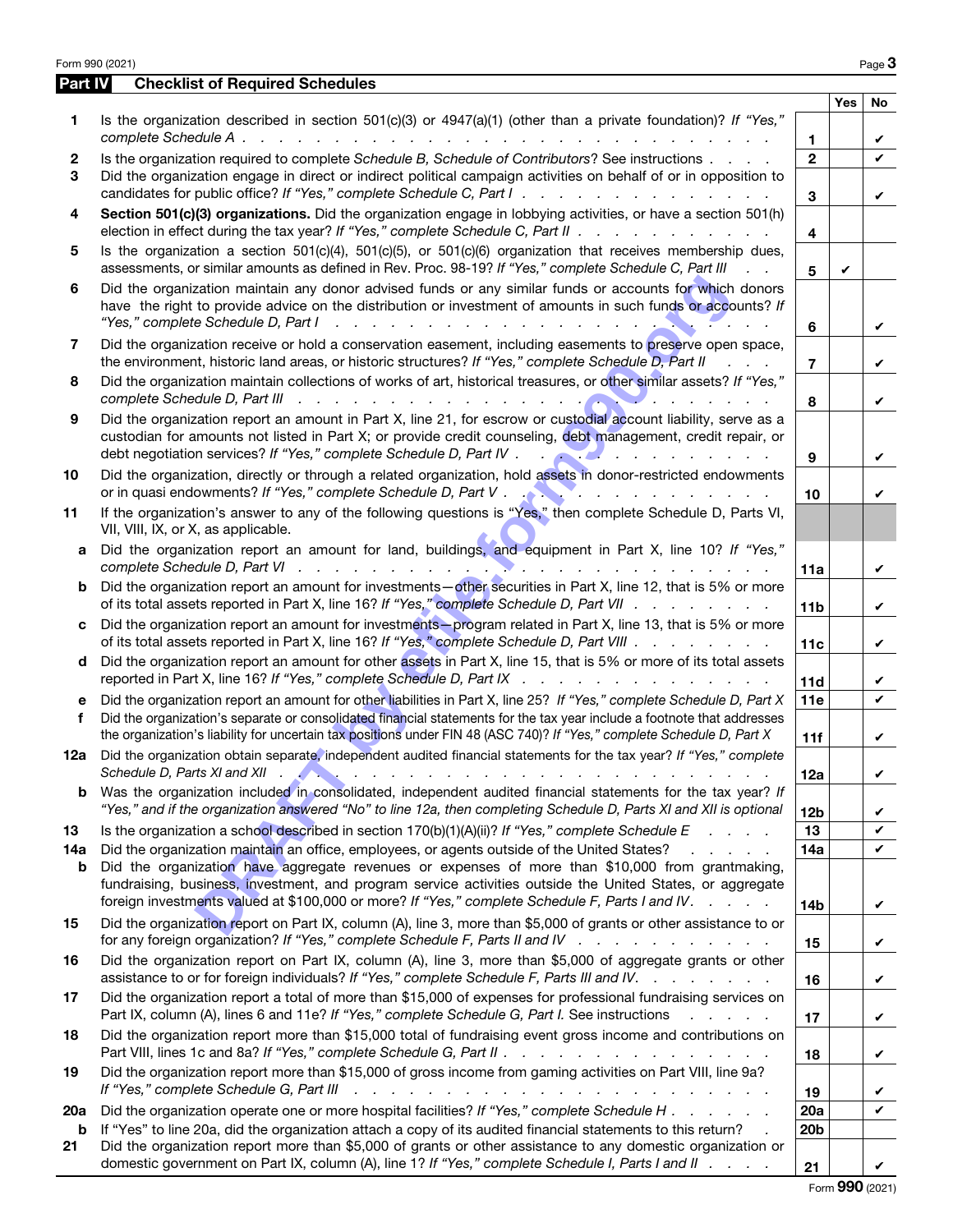|                   | Form 990 (2021)                                                                                                                                                                                                                                                                                                                                                                                                                           |                         |     | Page 3  |
|-------------------|-------------------------------------------------------------------------------------------------------------------------------------------------------------------------------------------------------------------------------------------------------------------------------------------------------------------------------------------------------------------------------------------------------------------------------------------|-------------------------|-----|---------|
| Part IV           | <b>Checklist of Required Schedules</b>                                                                                                                                                                                                                                                                                                                                                                                                    |                         |     |         |
| 1                 | Is the organization described in section $501(c)(3)$ or $4947(a)(1)$ (other than a private foundation)? If "Yes,"                                                                                                                                                                                                                                                                                                                         | $\mathbf{1}$            | Yes | No<br>V |
| $\mathbf{2}$<br>3 | Is the organization required to complete Schedule B, Schedule of Contributors? See instructions<br>Did the organization engage in direct or indirect political campaign activities on behalf of or in opposition to<br>candidates for public office? If "Yes," complete Schedule C, Part I.                                                                                                                                               | $\overline{2}$<br>3     |     | V       |
| 4                 | Section 501(c)(3) organizations. Did the organization engage in lobbying activities, or have a section 501(h)<br>election in effect during the tax year? If "Yes," complete Schedule C, Part II                                                                                                                                                                                                                                           | $\overline{\mathbf{4}}$ |     | V       |
| 5                 | Is the organization a section $501(c)(4)$ , $501(c)(5)$ , or $501(c)(6)$ organization that receives membership dues,<br>assessments, or similar amounts as defined in Rev. Proc. 98-19? If "Yes," complete Schedule C, Part III<br>$\mathbf{L} = \mathbf{L}$                                                                                                                                                                              | 5                       | V   |         |
| 6                 | Did the organization maintain any donor advised funds or any similar funds or accounts for which donors<br>have the right to provide advice on the distribution or investment of amounts in such funds or accounts? If<br>"Yes," complete Schedule D, Part I                                                                                                                                                                              | 6                       |     | V       |
| 7                 | Did the organization receive or hold a conservation easement, including easements to preserve open space,<br>the environment, historic land areas, or historic structures? If "Yes," complete Schedule D, Part II<br>$1 - 1 - 1$                                                                                                                                                                                                          | $\overline{7}$          |     | V       |
| 8                 | Did the organization maintain collections of works of art, historical treasures, or other similar assets? If "Yes,"<br>complete Schedule D, Part III                                                                                                                                                                                                                                                                                      | 8                       |     | V       |
| 9                 | Did the organization report an amount in Part X, line 21, for escrow or custodial account liability, serve as a<br>custodian for amounts not listed in Part X; or provide credit counseling, debt management, credit repair, or<br>debt negotiation services? If "Yes," complete Schedule D, Part IV .                                                                                                                                    | 9                       |     | V       |
| 10                | Did the organization, directly or through a related organization, hold assets in donor-restricted endowments                                                                                                                                                                                                                                                                                                                              | 10                      |     | V       |
| 11                | If the organization's answer to any of the following questions is "Yes," then complete Schedule D, Parts VI,<br>VII, VIII, IX, or X, as applicable.                                                                                                                                                                                                                                                                                       |                         |     |         |
| а                 | Did the organization report an amount for land, buildings, and equipment in Part X, line 10? If "Yes,"                                                                                                                                                                                                                                                                                                                                    | 11a                     |     | V       |
| b                 | Did the organization report an amount for investments-other securities in Part X, line 12, that is 5% or more<br>of its total assets reported in Part X, line 16? If "Yes," complete Schedule D, Part VII                                                                                                                                                                                                                                 | 11 <sub>b</sub>         |     | V       |
| c                 | Did the organization report an amount for investments-program related in Part X, line 13, that is 5% or more<br>of its total assets reported in Part X, line 16? If "Yes," complete Schedule D, Part VIII                                                                                                                                                                                                                                 | 11c                     |     | V       |
| d                 | Did the organization report an amount for other assets in Part X, line 15, that is 5% or more of its total assets<br>reported in Part X, line 16? If "Yes," complete Schedule D, Part IX                                                                                                                                                                                                                                                  | 11d                     |     | V       |
| е<br>f            | Did the organization report an amount for other liabilities in Part X, line 25? If "Yes," complete Schedule D, Part X<br>Did the organization's separate or consolidated financial statements for the tax year include a footnote that addresses<br>the organization's liability for uncertain tax positions under FIN 48 (ASC 740)? If "Yes," complete Schedule D, Part X                                                                | 11e<br>11f              |     | V<br>V  |
|                   | 12a Did the organization obtain separate, independent audited financial statements for the tax year? If "Yes," complete<br>Schedule D, Parts XI and XII $\sim$<br><b>The Community of the Community</b><br>representative contract and a series of the contract of the contract of the contract of the contract of the contract of the contract of the contract of the contract of the contract of the contract of the contract of the co | 12a                     |     | V       |
| b                 | Was the organization included in consolidated, independent audited financial statements for the tax year? If<br>"Yes," and if the organization answered "No" to line 12a, then completing Schedule D, Parts XI and XII is optional                                                                                                                                                                                                        | 12 <sub>b</sub>         |     | V       |
| 13<br>14a         | Is the organization a school described in section 170(b)(1)(A)(ii)? If "Yes," complete Schedule E<br><b>Contractor</b><br>Did the organization maintain an office, employees, or agents outside of the United States?<br>and a strong of the state of the                                                                                                                                                                                 | 13<br>14a               |     | V<br>V  |
| b                 | Did the organization have aggregate revenues or expenses of more than \$10,000 from grantmaking,<br>fundraising, business, investment, and program service activities outside the United States, or aggregate<br>foreign investments valued at \$100,000 or more? If "Yes," complete Schedule F, Parts I and IV.                                                                                                                          | 14 <sub>b</sub>         |     | V       |
| 15                | Did the organization report on Part IX, column (A), line 3, more than \$5,000 of grants or other assistance to or<br>for any foreign organization? If "Yes," complete Schedule F, Parts II and IV $\ldots$                                                                                                                                                                                                                                | 15                      |     | V       |
| 16                | Did the organization report on Part IX, column (A), line 3, more than \$5,000 of aggregate grants or other<br>assistance to or for foreign individuals? If "Yes," complete Schedule F, Parts III and IV.                                                                                                                                                                                                                                  | 16                      |     | V       |
| 17                | Did the organization report a total of more than \$15,000 of expenses for professional fundraising services on<br>Part IX, column (A), lines 6 and 11e? If "Yes," complete Schedule G, Part I. See instructions<br>and a state of                                                                                                                                                                                                         | 17                      |     | V       |
| 18                | Did the organization report more than \$15,000 total of fundraising event gross income and contributions on<br>Part VIII, lines 1c and 8a? If "Yes," complete Schedule G, Part II                                                                                                                                                                                                                                                         | 18                      |     | V       |
| 19                | Did the organization report more than \$15,000 of gross income from gaming activities on Part VIII, line 9a?<br>If "Yes," complete Schedule G, Part III                                                                                                                                                                                                                                                                                   | 19                      |     | V       |
| 20a               | Did the organization operate one or more hospital facilities? If "Yes," complete Schedule H                                                                                                                                                                                                                                                                                                                                               | 20a                     |     | V       |
| b<br>21           | If "Yes" to line 20a, did the organization attach a copy of its audited financial statements to this return?<br>Did the organization report more than \$5,000 of grants or other assistance to any domestic organization or<br>domestic government on Part IX, column (A), line 1? If "Yes," complete Schedule I, Parts I and II                                                                                                          | 20 <sub>b</sub><br>21   |     |         |

Form 990 (2021)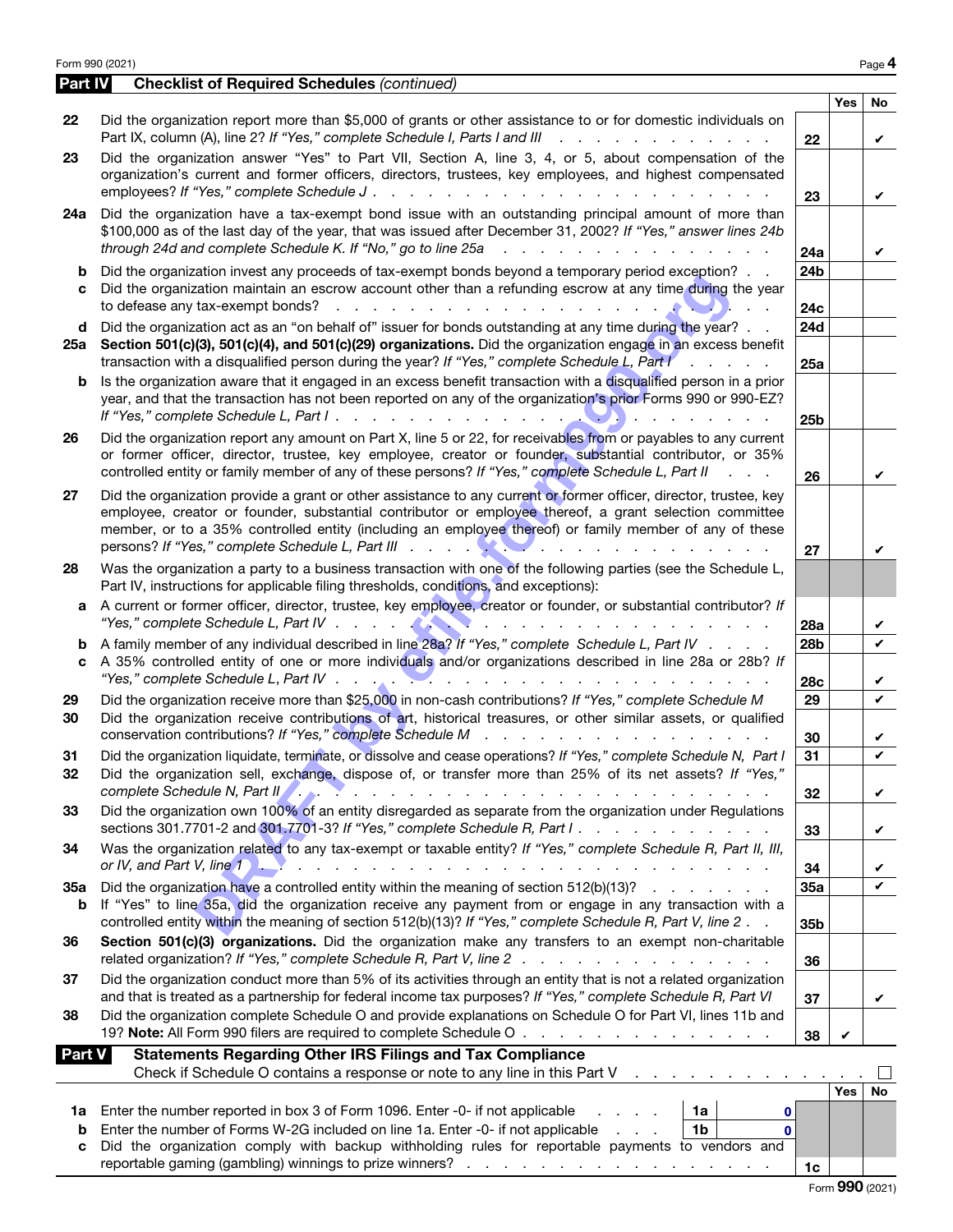| <b>Part IV</b><br><b>Yes</b><br>No<br>Did the organization report more than \$5,000 of grants or other assistance to or for domestic individuals on<br>22<br>Part IX, column (A), line 2? If "Yes," complete Schedule I, Parts I and III<br>22<br>V<br>Did the organization answer "Yes" to Part VII, Section A, line 3, 4, or 5, about compensation of the<br>23<br>organization's current and former officers, directors, trustees, key employees, and highest compensated<br>employees? If "Yes," complete Schedule J.<br>a carra carra carra carra carra carra carra car<br>23<br>V<br>Did the organization have a tax-exempt bond issue with an outstanding principal amount of more than<br>24a<br>\$100,000 as of the last day of the year, that was issued after December 31, 2002? If "Yes," answer lines 24b<br>through 24d and complete Schedule K. If "No," go to line 25a<br>and a construction of the construction<br>24a<br>V<br>24 <sub>b</sub><br>Did the organization invest any proceeds of tax-exempt bonds beyond a temporary period exception?<br>b<br>Did the organization maintain an escrow account other than a refunding escrow at any time during the year<br>to defease any tax-exempt bonds?<br>$\mathcal{L}$ . The set of the set of the set of the set of the set of the set of the set of the set of the set of the set of the set of the set of the set of the set of the set of the set of the set of the set of the set of t<br>24c<br>24d<br>Did the organization act as an "on behalf of" issuer for bonds outstanding at any time during the year?<br>d<br>25a Section 501(c)(3), 501(c)(4), and 501(c)(29) organizations. Did the organization engage in an excess benefit<br>transaction with a disqualified person during the year? If "Yes," complete Schedule L, Part I<br>$\sim 10$<br>25a<br>Is the organization aware that it engaged in an excess benefit transaction with a disqualified person in a prior<br>b<br>year, and that the transaction has not been reported on any of the organization's prior Forms 990 or 990-EZ?<br>and the contract of the contract of<br>25 <sub>b</sub><br>Did the organization report any amount on Part X, line 5 or 22, for receivables from or payables to any current<br>26<br>or former officer, director, trustee, key employee, creator or founder, substantial contributor, or 35%<br>controlled entity or family member of any of these persons? If "Yes," complete Schedule L, Part II<br>$\mathbf{r} = \mathbf{r} + \mathbf{r}$<br>26<br>V<br>Did the organization provide a grant or other assistance to any current or former officer, director, trustee, key<br>27<br>employee, creator or founder, substantial contributor or employee thereof, a grant selection committee<br>member, or to a 35% controlled entity (including an employee thereof) or family member of any of these<br>27<br>V<br>Was the organization a party to a business transaction with one of the following parties (see the Schedule L,<br>28<br>Part IV, instructions for applicable filing thresholds, conditions, and exceptions):<br>A current or former officer, director, trustee, key employee, creator or founder, or substantial contributor? If<br>a<br>and a series of the contract of the contract of<br>28a<br>V<br>A family member of any individual described in line 28a? If "Yes," complete Schedule L, Part IV<br>28b<br>V<br>b<br>A 35% controlled entity of one or more individuals and/or organizations described in line 28a or 28b? If<br>C<br>"Yes," complete Schedule L, Part IV<br><u> 2008 - 2008 - 2008 - 2008 - 2008 - 2008 - 2008 - 2008 - 2008 - 2008 - 2008 - 2008 - 2008 - 2008 - 2008 - 200</u><br>28c<br>V<br>Did the organization receive more than \$25,000 in non-cash contributions? If "Yes," complete Schedule M<br>29<br>✓<br>29<br>Did the organization receive contributions of art, historical treasures, or other similar assets, or qualified<br>30<br>conservation contributions? If "Yes," complete Schedule M<br>30<br>V<br>Did the organization liquidate, terminate, or dissolve and cease operations? If "Yes," complete Schedule N, Part I<br>31<br>31<br>Did the organization sell, exchange, dispose of, or transfer more than 25% of its net assets? If "Yes,"<br>32<br>complete Schedule N, Part II<br>and a companies and a companies of the companies of the<br>32<br>V<br>Did the organization own 100% of an entity disregarded as separate from the organization under Regulations<br>33<br>sections 301.7701-2 and 301.7701-3? If "Yes," complete Schedule R, Part I.<br>33<br>V<br>Was the organization related to any tax-exempt or taxable entity? If "Yes," complete Schedule R, Part II, III,<br>34<br>34<br>V<br>Did the organization have a controlled entity within the meaning of section $512(b)(13)?$<br>35a<br>V<br>35a<br>If "Yes" to line 35a, did the organization receive any payment from or engage in any transaction with a<br>b<br>controlled entity within the meaning of section 512(b)(13)? If "Yes," complete Schedule R, Part V, line 2.<br>35b<br>Section 501(c)(3) organizations. Did the organization make any transfers to an exempt non-charitable<br>36<br>related organization? If "Yes," complete Schedule R, Part V, line $2 \ldots \ldots \ldots \ldots$<br>36<br>Did the organization conduct more than 5% of its activities through an entity that is not a related organization<br>37<br>and that is treated as a partnership for federal income tax purposes? If "Yes," complete Schedule R, Part VI<br>37<br>V<br>Did the organization complete Schedule O and provide explanations on Schedule O for Part VI, lines 11b and<br>38<br>19? Note: All Form 990 filers are required to complete Schedule O<br>38<br>V<br><b>Statements Regarding Other IRS Filings and Tax Compliance</b><br><b>Part V</b><br>Check if Schedule O contains a response or note to any line in this Part V<br>and a strategic and a strategic<br>Yes<br>No<br>Enter the number reported in box 3 of Form 1096. Enter -0- if not applicable<br>1a<br>1a<br>0<br>Enter the number of Forms W-2G included on line 1a. Enter -0- if not applicable<br>1 <sub>b</sub><br>$\mathbf{0}$<br>b<br>Did the organization comply with backup withholding rules for reportable payments to vendors and<br>C<br>1c | Form 990 (2021)                                    |  | Page 4 |
|----------------------------------------------------------------------------------------------------------------------------------------------------------------------------------------------------------------------------------------------------------------------------------------------------------------------------------------------------------------------------------------------------------------------------------------------------------------------------------------------------------------------------------------------------------------------------------------------------------------------------------------------------------------------------------------------------------------------------------------------------------------------------------------------------------------------------------------------------------------------------------------------------------------------------------------------------------------------------------------------------------------------------------------------------------------------------------------------------------------------------------------------------------------------------------------------------------------------------------------------------------------------------------------------------------------------------------------------------------------------------------------------------------------------------------------------------------------------------------------------------------------------------------------------------------------------------------------------------------------------------------------------------------------------------------------------------------------------------------------------------------------------------------------------------------------------------------------------------------------------------------------------------------------------------------------------------------------------------------------------------------------------------------------------------------------------------------------------------------------------------------------------------------------------------------------------------------------------------------------------------------------------------------------------------------------------------------------------------------------------------------------------------------------------------------------------------------------------------------------------------------------------------------------------------------------------------------------------------------------------------------------------------------------------------------------------------------------------------------------------------------------------------------------------------------------------------------------------------------------------------------------------------------------------------------------------------------------------------------------------------------------------------------------------------------------------------------------------------------------------------------------------------------------------------------------------------------------------------------------------------------------------------------------------------------------------------------------------------------------------------------------------------------------------------------------------------------------------------------------------------------------------------------------------------------------------------------------------------------------------------------------------------------------------------------------------------------------------------------------------------------------------------------------------------------------------------------------------------------------------------------------------------------------------------------------------------------------------------------------------------------------------------------------------------------------------------------------------------------------------------------------------------------------------------------------------------------------------------------------------------------------------------------------------------------------------------------------------------------------------------------------------------------------------------------------------------------------------------------------------------------------------------------------------------------------------------------------------------------------------------------------------------------------------------------------------------------------------------------------------------------------------------------------------------------------------------------------------------------------------------------------------------------------------------------------------------------------------------------------------------------------------------------------------------------------------------------------------------------------------------------------------------------------------------------------------------------------------------------------------------------------------------------------------------------------------------------------------------------------------------------------------------------------------------------------------------------------------------------------------------------------------------------------------------------------------------------------------------------------------------------------------------------------------------------------------------------------------------------------------------------------------------------------------------------------------------------------------------------------------------------------------------------------------------------------------------------------------------------------------------------------------------------------------------------------------------------------------------------------------------------------------------------------------------------------------------------------------------------------------------------------------------------------------------------------------------------------------------------------------|----------------------------------------------------|--|--------|
|                                                                                                                                                                                                                                                                                                                                                                                                                                                                                                                                                                                                                                                                                                                                                                                                                                                                                                                                                                                                                                                                                                                                                                                                                                                                                                                                                                                                                                                                                                                                                                                                                                                                                                                                                                                                                                                                                                                                                                                                                                                                                                                                                                                                                                                                                                                                                                                                                                                                                                                                                                                                                                                                                                                                                                                                                                                                                                                                                                                                                                                                                                                                                                                                                                                                                                                                                                                                                                                                                                                                                                                                                                                                                                                                                                                                                                                                                                                                                                                                                                                                                                                                                                                                                                                                                                                                                                                                                                                                                                                                                                                                                                                                                                                                                                                                                                                                                                                                                                                                                                                                                                                                                                                                                                                                                                                                                                                                                                                                                                                                                                                                                                                                                                                                                                                                                                                                                                                                                                                                                                                                                                                                                                                                                                                                                                                                                                      | <b>Checklist of Required Schedules (continued)</b> |  |        |
|                                                                                                                                                                                                                                                                                                                                                                                                                                                                                                                                                                                                                                                                                                                                                                                                                                                                                                                                                                                                                                                                                                                                                                                                                                                                                                                                                                                                                                                                                                                                                                                                                                                                                                                                                                                                                                                                                                                                                                                                                                                                                                                                                                                                                                                                                                                                                                                                                                                                                                                                                                                                                                                                                                                                                                                                                                                                                                                                                                                                                                                                                                                                                                                                                                                                                                                                                                                                                                                                                                                                                                                                                                                                                                                                                                                                                                                                                                                                                                                                                                                                                                                                                                                                                                                                                                                                                                                                                                                                                                                                                                                                                                                                                                                                                                                                                                                                                                                                                                                                                                                                                                                                                                                                                                                                                                                                                                                                                                                                                                                                                                                                                                                                                                                                                                                                                                                                                                                                                                                                                                                                                                                                                                                                                                                                                                                                                                      |                                                    |  |        |
|                                                                                                                                                                                                                                                                                                                                                                                                                                                                                                                                                                                                                                                                                                                                                                                                                                                                                                                                                                                                                                                                                                                                                                                                                                                                                                                                                                                                                                                                                                                                                                                                                                                                                                                                                                                                                                                                                                                                                                                                                                                                                                                                                                                                                                                                                                                                                                                                                                                                                                                                                                                                                                                                                                                                                                                                                                                                                                                                                                                                                                                                                                                                                                                                                                                                                                                                                                                                                                                                                                                                                                                                                                                                                                                                                                                                                                                                                                                                                                                                                                                                                                                                                                                                                                                                                                                                                                                                                                                                                                                                                                                                                                                                                                                                                                                                                                                                                                                                                                                                                                                                                                                                                                                                                                                                                                                                                                                                                                                                                                                                                                                                                                                                                                                                                                                                                                                                                                                                                                                                                                                                                                                                                                                                                                                                                                                                                                      |                                                    |  |        |
|                                                                                                                                                                                                                                                                                                                                                                                                                                                                                                                                                                                                                                                                                                                                                                                                                                                                                                                                                                                                                                                                                                                                                                                                                                                                                                                                                                                                                                                                                                                                                                                                                                                                                                                                                                                                                                                                                                                                                                                                                                                                                                                                                                                                                                                                                                                                                                                                                                                                                                                                                                                                                                                                                                                                                                                                                                                                                                                                                                                                                                                                                                                                                                                                                                                                                                                                                                                                                                                                                                                                                                                                                                                                                                                                                                                                                                                                                                                                                                                                                                                                                                                                                                                                                                                                                                                                                                                                                                                                                                                                                                                                                                                                                                                                                                                                                                                                                                                                                                                                                                                                                                                                                                                                                                                                                                                                                                                                                                                                                                                                                                                                                                                                                                                                                                                                                                                                                                                                                                                                                                                                                                                                                                                                                                                                                                                                                                      |                                                    |  |        |
|                                                                                                                                                                                                                                                                                                                                                                                                                                                                                                                                                                                                                                                                                                                                                                                                                                                                                                                                                                                                                                                                                                                                                                                                                                                                                                                                                                                                                                                                                                                                                                                                                                                                                                                                                                                                                                                                                                                                                                                                                                                                                                                                                                                                                                                                                                                                                                                                                                                                                                                                                                                                                                                                                                                                                                                                                                                                                                                                                                                                                                                                                                                                                                                                                                                                                                                                                                                                                                                                                                                                                                                                                                                                                                                                                                                                                                                                                                                                                                                                                                                                                                                                                                                                                                                                                                                                                                                                                                                                                                                                                                                                                                                                                                                                                                                                                                                                                                                                                                                                                                                                                                                                                                                                                                                                                                                                                                                                                                                                                                                                                                                                                                                                                                                                                                                                                                                                                                                                                                                                                                                                                                                                                                                                                                                                                                                                                                      |                                                    |  |        |
|                                                                                                                                                                                                                                                                                                                                                                                                                                                                                                                                                                                                                                                                                                                                                                                                                                                                                                                                                                                                                                                                                                                                                                                                                                                                                                                                                                                                                                                                                                                                                                                                                                                                                                                                                                                                                                                                                                                                                                                                                                                                                                                                                                                                                                                                                                                                                                                                                                                                                                                                                                                                                                                                                                                                                                                                                                                                                                                                                                                                                                                                                                                                                                                                                                                                                                                                                                                                                                                                                                                                                                                                                                                                                                                                                                                                                                                                                                                                                                                                                                                                                                                                                                                                                                                                                                                                                                                                                                                                                                                                                                                                                                                                                                                                                                                                                                                                                                                                                                                                                                                                                                                                                                                                                                                                                                                                                                                                                                                                                                                                                                                                                                                                                                                                                                                                                                                                                                                                                                                                                                                                                                                                                                                                                                                                                                                                                                      |                                                    |  |        |
|                                                                                                                                                                                                                                                                                                                                                                                                                                                                                                                                                                                                                                                                                                                                                                                                                                                                                                                                                                                                                                                                                                                                                                                                                                                                                                                                                                                                                                                                                                                                                                                                                                                                                                                                                                                                                                                                                                                                                                                                                                                                                                                                                                                                                                                                                                                                                                                                                                                                                                                                                                                                                                                                                                                                                                                                                                                                                                                                                                                                                                                                                                                                                                                                                                                                                                                                                                                                                                                                                                                                                                                                                                                                                                                                                                                                                                                                                                                                                                                                                                                                                                                                                                                                                                                                                                                                                                                                                                                                                                                                                                                                                                                                                                                                                                                                                                                                                                                                                                                                                                                                                                                                                                                                                                                                                                                                                                                                                                                                                                                                                                                                                                                                                                                                                                                                                                                                                                                                                                                                                                                                                                                                                                                                                                                                                                                                                                      |                                                    |  |        |
|                                                                                                                                                                                                                                                                                                                                                                                                                                                                                                                                                                                                                                                                                                                                                                                                                                                                                                                                                                                                                                                                                                                                                                                                                                                                                                                                                                                                                                                                                                                                                                                                                                                                                                                                                                                                                                                                                                                                                                                                                                                                                                                                                                                                                                                                                                                                                                                                                                                                                                                                                                                                                                                                                                                                                                                                                                                                                                                                                                                                                                                                                                                                                                                                                                                                                                                                                                                                                                                                                                                                                                                                                                                                                                                                                                                                                                                                                                                                                                                                                                                                                                                                                                                                                                                                                                                                                                                                                                                                                                                                                                                                                                                                                                                                                                                                                                                                                                                                                                                                                                                                                                                                                                                                                                                                                                                                                                                                                                                                                                                                                                                                                                                                                                                                                                                                                                                                                                                                                                                                                                                                                                                                                                                                                                                                                                                                                                      |                                                    |  |        |
|                                                                                                                                                                                                                                                                                                                                                                                                                                                                                                                                                                                                                                                                                                                                                                                                                                                                                                                                                                                                                                                                                                                                                                                                                                                                                                                                                                                                                                                                                                                                                                                                                                                                                                                                                                                                                                                                                                                                                                                                                                                                                                                                                                                                                                                                                                                                                                                                                                                                                                                                                                                                                                                                                                                                                                                                                                                                                                                                                                                                                                                                                                                                                                                                                                                                                                                                                                                                                                                                                                                                                                                                                                                                                                                                                                                                                                                                                                                                                                                                                                                                                                                                                                                                                                                                                                                                                                                                                                                                                                                                                                                                                                                                                                                                                                                                                                                                                                                                                                                                                                                                                                                                                                                                                                                                                                                                                                                                                                                                                                                                                                                                                                                                                                                                                                                                                                                                                                                                                                                                                                                                                                                                                                                                                                                                                                                                                                      |                                                    |  |        |
|                                                                                                                                                                                                                                                                                                                                                                                                                                                                                                                                                                                                                                                                                                                                                                                                                                                                                                                                                                                                                                                                                                                                                                                                                                                                                                                                                                                                                                                                                                                                                                                                                                                                                                                                                                                                                                                                                                                                                                                                                                                                                                                                                                                                                                                                                                                                                                                                                                                                                                                                                                                                                                                                                                                                                                                                                                                                                                                                                                                                                                                                                                                                                                                                                                                                                                                                                                                                                                                                                                                                                                                                                                                                                                                                                                                                                                                                                                                                                                                                                                                                                                                                                                                                                                                                                                                                                                                                                                                                                                                                                                                                                                                                                                                                                                                                                                                                                                                                                                                                                                                                                                                                                                                                                                                                                                                                                                                                                                                                                                                                                                                                                                                                                                                                                                                                                                                                                                                                                                                                                                                                                                                                                                                                                                                                                                                                                                      |                                                    |  |        |
|                                                                                                                                                                                                                                                                                                                                                                                                                                                                                                                                                                                                                                                                                                                                                                                                                                                                                                                                                                                                                                                                                                                                                                                                                                                                                                                                                                                                                                                                                                                                                                                                                                                                                                                                                                                                                                                                                                                                                                                                                                                                                                                                                                                                                                                                                                                                                                                                                                                                                                                                                                                                                                                                                                                                                                                                                                                                                                                                                                                                                                                                                                                                                                                                                                                                                                                                                                                                                                                                                                                                                                                                                                                                                                                                                                                                                                                                                                                                                                                                                                                                                                                                                                                                                                                                                                                                                                                                                                                                                                                                                                                                                                                                                                                                                                                                                                                                                                                                                                                                                                                                                                                                                                                                                                                                                                                                                                                                                                                                                                                                                                                                                                                                                                                                                                                                                                                                                                                                                                                                                                                                                                                                                                                                                                                                                                                                                                      |                                                    |  |        |
|                                                                                                                                                                                                                                                                                                                                                                                                                                                                                                                                                                                                                                                                                                                                                                                                                                                                                                                                                                                                                                                                                                                                                                                                                                                                                                                                                                                                                                                                                                                                                                                                                                                                                                                                                                                                                                                                                                                                                                                                                                                                                                                                                                                                                                                                                                                                                                                                                                                                                                                                                                                                                                                                                                                                                                                                                                                                                                                                                                                                                                                                                                                                                                                                                                                                                                                                                                                                                                                                                                                                                                                                                                                                                                                                                                                                                                                                                                                                                                                                                                                                                                                                                                                                                                                                                                                                                                                                                                                                                                                                                                                                                                                                                                                                                                                                                                                                                                                                                                                                                                                                                                                                                                                                                                                                                                                                                                                                                                                                                                                                                                                                                                                                                                                                                                                                                                                                                                                                                                                                                                                                                                                                                                                                                                                                                                                                                                      |                                                    |  |        |
|                                                                                                                                                                                                                                                                                                                                                                                                                                                                                                                                                                                                                                                                                                                                                                                                                                                                                                                                                                                                                                                                                                                                                                                                                                                                                                                                                                                                                                                                                                                                                                                                                                                                                                                                                                                                                                                                                                                                                                                                                                                                                                                                                                                                                                                                                                                                                                                                                                                                                                                                                                                                                                                                                                                                                                                                                                                                                                                                                                                                                                                                                                                                                                                                                                                                                                                                                                                                                                                                                                                                                                                                                                                                                                                                                                                                                                                                                                                                                                                                                                                                                                                                                                                                                                                                                                                                                                                                                                                                                                                                                                                                                                                                                                                                                                                                                                                                                                                                                                                                                                                                                                                                                                                                                                                                                                                                                                                                                                                                                                                                                                                                                                                                                                                                                                                                                                                                                                                                                                                                                                                                                                                                                                                                                                                                                                                                                                      |                                                    |  |        |
|                                                                                                                                                                                                                                                                                                                                                                                                                                                                                                                                                                                                                                                                                                                                                                                                                                                                                                                                                                                                                                                                                                                                                                                                                                                                                                                                                                                                                                                                                                                                                                                                                                                                                                                                                                                                                                                                                                                                                                                                                                                                                                                                                                                                                                                                                                                                                                                                                                                                                                                                                                                                                                                                                                                                                                                                                                                                                                                                                                                                                                                                                                                                                                                                                                                                                                                                                                                                                                                                                                                                                                                                                                                                                                                                                                                                                                                                                                                                                                                                                                                                                                                                                                                                                                                                                                                                                                                                                                                                                                                                                                                                                                                                                                                                                                                                                                                                                                                                                                                                                                                                                                                                                                                                                                                                                                                                                                                                                                                                                                                                                                                                                                                                                                                                                                                                                                                                                                                                                                                                                                                                                                                                                                                                                                                                                                                                                                      |                                                    |  |        |
|                                                                                                                                                                                                                                                                                                                                                                                                                                                                                                                                                                                                                                                                                                                                                                                                                                                                                                                                                                                                                                                                                                                                                                                                                                                                                                                                                                                                                                                                                                                                                                                                                                                                                                                                                                                                                                                                                                                                                                                                                                                                                                                                                                                                                                                                                                                                                                                                                                                                                                                                                                                                                                                                                                                                                                                                                                                                                                                                                                                                                                                                                                                                                                                                                                                                                                                                                                                                                                                                                                                                                                                                                                                                                                                                                                                                                                                                                                                                                                                                                                                                                                                                                                                                                                                                                                                                                                                                                                                                                                                                                                                                                                                                                                                                                                                                                                                                                                                                                                                                                                                                                                                                                                                                                                                                                                                                                                                                                                                                                                                                                                                                                                                                                                                                                                                                                                                                                                                                                                                                                                                                                                                                                                                                                                                                                                                                                                      |                                                    |  |        |
|                                                                                                                                                                                                                                                                                                                                                                                                                                                                                                                                                                                                                                                                                                                                                                                                                                                                                                                                                                                                                                                                                                                                                                                                                                                                                                                                                                                                                                                                                                                                                                                                                                                                                                                                                                                                                                                                                                                                                                                                                                                                                                                                                                                                                                                                                                                                                                                                                                                                                                                                                                                                                                                                                                                                                                                                                                                                                                                                                                                                                                                                                                                                                                                                                                                                                                                                                                                                                                                                                                                                                                                                                                                                                                                                                                                                                                                                                                                                                                                                                                                                                                                                                                                                                                                                                                                                                                                                                                                                                                                                                                                                                                                                                                                                                                                                                                                                                                                                                                                                                                                                                                                                                                                                                                                                                                                                                                                                                                                                                                                                                                                                                                                                                                                                                                                                                                                                                                                                                                                                                                                                                                                                                                                                                                                                                                                                                                      |                                                    |  |        |
|                                                                                                                                                                                                                                                                                                                                                                                                                                                                                                                                                                                                                                                                                                                                                                                                                                                                                                                                                                                                                                                                                                                                                                                                                                                                                                                                                                                                                                                                                                                                                                                                                                                                                                                                                                                                                                                                                                                                                                                                                                                                                                                                                                                                                                                                                                                                                                                                                                                                                                                                                                                                                                                                                                                                                                                                                                                                                                                                                                                                                                                                                                                                                                                                                                                                                                                                                                                                                                                                                                                                                                                                                                                                                                                                                                                                                                                                                                                                                                                                                                                                                                                                                                                                                                                                                                                                                                                                                                                                                                                                                                                                                                                                                                                                                                                                                                                                                                                                                                                                                                                                                                                                                                                                                                                                                                                                                                                                                                                                                                                                                                                                                                                                                                                                                                                                                                                                                                                                                                                                                                                                                                                                                                                                                                                                                                                                                                      |                                                    |  |        |
|                                                                                                                                                                                                                                                                                                                                                                                                                                                                                                                                                                                                                                                                                                                                                                                                                                                                                                                                                                                                                                                                                                                                                                                                                                                                                                                                                                                                                                                                                                                                                                                                                                                                                                                                                                                                                                                                                                                                                                                                                                                                                                                                                                                                                                                                                                                                                                                                                                                                                                                                                                                                                                                                                                                                                                                                                                                                                                                                                                                                                                                                                                                                                                                                                                                                                                                                                                                                                                                                                                                                                                                                                                                                                                                                                                                                                                                                                                                                                                                                                                                                                                                                                                                                                                                                                                                                                                                                                                                                                                                                                                                                                                                                                                                                                                                                                                                                                                                                                                                                                                                                                                                                                                                                                                                                                                                                                                                                                                                                                                                                                                                                                                                                                                                                                                                                                                                                                                                                                                                                                                                                                                                                                                                                                                                                                                                                                                      |                                                    |  |        |
|                                                                                                                                                                                                                                                                                                                                                                                                                                                                                                                                                                                                                                                                                                                                                                                                                                                                                                                                                                                                                                                                                                                                                                                                                                                                                                                                                                                                                                                                                                                                                                                                                                                                                                                                                                                                                                                                                                                                                                                                                                                                                                                                                                                                                                                                                                                                                                                                                                                                                                                                                                                                                                                                                                                                                                                                                                                                                                                                                                                                                                                                                                                                                                                                                                                                                                                                                                                                                                                                                                                                                                                                                                                                                                                                                                                                                                                                                                                                                                                                                                                                                                                                                                                                                                                                                                                                                                                                                                                                                                                                                                                                                                                                                                                                                                                                                                                                                                                                                                                                                                                                                                                                                                                                                                                                                                                                                                                                                                                                                                                                                                                                                                                                                                                                                                                                                                                                                                                                                                                                                                                                                                                                                                                                                                                                                                                                                                      |                                                    |  |        |
|                                                                                                                                                                                                                                                                                                                                                                                                                                                                                                                                                                                                                                                                                                                                                                                                                                                                                                                                                                                                                                                                                                                                                                                                                                                                                                                                                                                                                                                                                                                                                                                                                                                                                                                                                                                                                                                                                                                                                                                                                                                                                                                                                                                                                                                                                                                                                                                                                                                                                                                                                                                                                                                                                                                                                                                                                                                                                                                                                                                                                                                                                                                                                                                                                                                                                                                                                                                                                                                                                                                                                                                                                                                                                                                                                                                                                                                                                                                                                                                                                                                                                                                                                                                                                                                                                                                                                                                                                                                                                                                                                                                                                                                                                                                                                                                                                                                                                                                                                                                                                                                                                                                                                                                                                                                                                                                                                                                                                                                                                                                                                                                                                                                                                                                                                                                                                                                                                                                                                                                                                                                                                                                                                                                                                                                                                                                                                                      |                                                    |  |        |
|                                                                                                                                                                                                                                                                                                                                                                                                                                                                                                                                                                                                                                                                                                                                                                                                                                                                                                                                                                                                                                                                                                                                                                                                                                                                                                                                                                                                                                                                                                                                                                                                                                                                                                                                                                                                                                                                                                                                                                                                                                                                                                                                                                                                                                                                                                                                                                                                                                                                                                                                                                                                                                                                                                                                                                                                                                                                                                                                                                                                                                                                                                                                                                                                                                                                                                                                                                                                                                                                                                                                                                                                                                                                                                                                                                                                                                                                                                                                                                                                                                                                                                                                                                                                                                                                                                                                                                                                                                                                                                                                                                                                                                                                                                                                                                                                                                                                                                                                                                                                                                                                                                                                                                                                                                                                                                                                                                                                                                                                                                                                                                                                                                                                                                                                                                                                                                                                                                                                                                                                                                                                                                                                                                                                                                                                                                                                                                      |                                                    |  |        |
|                                                                                                                                                                                                                                                                                                                                                                                                                                                                                                                                                                                                                                                                                                                                                                                                                                                                                                                                                                                                                                                                                                                                                                                                                                                                                                                                                                                                                                                                                                                                                                                                                                                                                                                                                                                                                                                                                                                                                                                                                                                                                                                                                                                                                                                                                                                                                                                                                                                                                                                                                                                                                                                                                                                                                                                                                                                                                                                                                                                                                                                                                                                                                                                                                                                                                                                                                                                                                                                                                                                                                                                                                                                                                                                                                                                                                                                                                                                                                                                                                                                                                                                                                                                                                                                                                                                                                                                                                                                                                                                                                                                                                                                                                                                                                                                                                                                                                                                                                                                                                                                                                                                                                                                                                                                                                                                                                                                                                                                                                                                                                                                                                                                                                                                                                                                                                                                                                                                                                                                                                                                                                                                                                                                                                                                                                                                                                                      |                                                    |  |        |
|                                                                                                                                                                                                                                                                                                                                                                                                                                                                                                                                                                                                                                                                                                                                                                                                                                                                                                                                                                                                                                                                                                                                                                                                                                                                                                                                                                                                                                                                                                                                                                                                                                                                                                                                                                                                                                                                                                                                                                                                                                                                                                                                                                                                                                                                                                                                                                                                                                                                                                                                                                                                                                                                                                                                                                                                                                                                                                                                                                                                                                                                                                                                                                                                                                                                                                                                                                                                                                                                                                                                                                                                                                                                                                                                                                                                                                                                                                                                                                                                                                                                                                                                                                                                                                                                                                                                                                                                                                                                                                                                                                                                                                                                                                                                                                                                                                                                                                                                                                                                                                                                                                                                                                                                                                                                                                                                                                                                                                                                                                                                                                                                                                                                                                                                                                                                                                                                                                                                                                                                                                                                                                                                                                                                                                                                                                                                                                      |                                                    |  |        |
|                                                                                                                                                                                                                                                                                                                                                                                                                                                                                                                                                                                                                                                                                                                                                                                                                                                                                                                                                                                                                                                                                                                                                                                                                                                                                                                                                                                                                                                                                                                                                                                                                                                                                                                                                                                                                                                                                                                                                                                                                                                                                                                                                                                                                                                                                                                                                                                                                                                                                                                                                                                                                                                                                                                                                                                                                                                                                                                                                                                                                                                                                                                                                                                                                                                                                                                                                                                                                                                                                                                                                                                                                                                                                                                                                                                                                                                                                                                                                                                                                                                                                                                                                                                                                                                                                                                                                                                                                                                                                                                                                                                                                                                                                                                                                                                                                                                                                                                                                                                                                                                                                                                                                                                                                                                                                                                                                                                                                                                                                                                                                                                                                                                                                                                                                                                                                                                                                                                                                                                                                                                                                                                                                                                                                                                                                                                                                                      |                                                    |  |        |
|                                                                                                                                                                                                                                                                                                                                                                                                                                                                                                                                                                                                                                                                                                                                                                                                                                                                                                                                                                                                                                                                                                                                                                                                                                                                                                                                                                                                                                                                                                                                                                                                                                                                                                                                                                                                                                                                                                                                                                                                                                                                                                                                                                                                                                                                                                                                                                                                                                                                                                                                                                                                                                                                                                                                                                                                                                                                                                                                                                                                                                                                                                                                                                                                                                                                                                                                                                                                                                                                                                                                                                                                                                                                                                                                                                                                                                                                                                                                                                                                                                                                                                                                                                                                                                                                                                                                                                                                                                                                                                                                                                                                                                                                                                                                                                                                                                                                                                                                                                                                                                                                                                                                                                                                                                                                                                                                                                                                                                                                                                                                                                                                                                                                                                                                                                                                                                                                                                                                                                                                                                                                                                                                                                                                                                                                                                                                                                      |                                                    |  |        |
|                                                                                                                                                                                                                                                                                                                                                                                                                                                                                                                                                                                                                                                                                                                                                                                                                                                                                                                                                                                                                                                                                                                                                                                                                                                                                                                                                                                                                                                                                                                                                                                                                                                                                                                                                                                                                                                                                                                                                                                                                                                                                                                                                                                                                                                                                                                                                                                                                                                                                                                                                                                                                                                                                                                                                                                                                                                                                                                                                                                                                                                                                                                                                                                                                                                                                                                                                                                                                                                                                                                                                                                                                                                                                                                                                                                                                                                                                                                                                                                                                                                                                                                                                                                                                                                                                                                                                                                                                                                                                                                                                                                                                                                                                                                                                                                                                                                                                                                                                                                                                                                                                                                                                                                                                                                                                                                                                                                                                                                                                                                                                                                                                                                                                                                                                                                                                                                                                                                                                                                                                                                                                                                                                                                                                                                                                                                                                                      |                                                    |  |        |
|                                                                                                                                                                                                                                                                                                                                                                                                                                                                                                                                                                                                                                                                                                                                                                                                                                                                                                                                                                                                                                                                                                                                                                                                                                                                                                                                                                                                                                                                                                                                                                                                                                                                                                                                                                                                                                                                                                                                                                                                                                                                                                                                                                                                                                                                                                                                                                                                                                                                                                                                                                                                                                                                                                                                                                                                                                                                                                                                                                                                                                                                                                                                                                                                                                                                                                                                                                                                                                                                                                                                                                                                                                                                                                                                                                                                                                                                                                                                                                                                                                                                                                                                                                                                                                                                                                                                                                                                                                                                                                                                                                                                                                                                                                                                                                                                                                                                                                                                                                                                                                                                                                                                                                                                                                                                                                                                                                                                                                                                                                                                                                                                                                                                                                                                                                                                                                                                                                                                                                                                                                                                                                                                                                                                                                                                                                                                                                      |                                                    |  |        |
|                                                                                                                                                                                                                                                                                                                                                                                                                                                                                                                                                                                                                                                                                                                                                                                                                                                                                                                                                                                                                                                                                                                                                                                                                                                                                                                                                                                                                                                                                                                                                                                                                                                                                                                                                                                                                                                                                                                                                                                                                                                                                                                                                                                                                                                                                                                                                                                                                                                                                                                                                                                                                                                                                                                                                                                                                                                                                                                                                                                                                                                                                                                                                                                                                                                                                                                                                                                                                                                                                                                                                                                                                                                                                                                                                                                                                                                                                                                                                                                                                                                                                                                                                                                                                                                                                                                                                                                                                                                                                                                                                                                                                                                                                                                                                                                                                                                                                                                                                                                                                                                                                                                                                                                                                                                                                                                                                                                                                                                                                                                                                                                                                                                                                                                                                                                                                                                                                                                                                                                                                                                                                                                                                                                                                                                                                                                                                                      |                                                    |  |        |
|                                                                                                                                                                                                                                                                                                                                                                                                                                                                                                                                                                                                                                                                                                                                                                                                                                                                                                                                                                                                                                                                                                                                                                                                                                                                                                                                                                                                                                                                                                                                                                                                                                                                                                                                                                                                                                                                                                                                                                                                                                                                                                                                                                                                                                                                                                                                                                                                                                                                                                                                                                                                                                                                                                                                                                                                                                                                                                                                                                                                                                                                                                                                                                                                                                                                                                                                                                                                                                                                                                                                                                                                                                                                                                                                                                                                                                                                                                                                                                                                                                                                                                                                                                                                                                                                                                                                                                                                                                                                                                                                                                                                                                                                                                                                                                                                                                                                                                                                                                                                                                                                                                                                                                                                                                                                                                                                                                                                                                                                                                                                                                                                                                                                                                                                                                                                                                                                                                                                                                                                                                                                                                                                                                                                                                                                                                                                                                      |                                                    |  |        |
|                                                                                                                                                                                                                                                                                                                                                                                                                                                                                                                                                                                                                                                                                                                                                                                                                                                                                                                                                                                                                                                                                                                                                                                                                                                                                                                                                                                                                                                                                                                                                                                                                                                                                                                                                                                                                                                                                                                                                                                                                                                                                                                                                                                                                                                                                                                                                                                                                                                                                                                                                                                                                                                                                                                                                                                                                                                                                                                                                                                                                                                                                                                                                                                                                                                                                                                                                                                                                                                                                                                                                                                                                                                                                                                                                                                                                                                                                                                                                                                                                                                                                                                                                                                                                                                                                                                                                                                                                                                                                                                                                                                                                                                                                                                                                                                                                                                                                                                                                                                                                                                                                                                                                                                                                                                                                                                                                                                                                                                                                                                                                                                                                                                                                                                                                                                                                                                                                                                                                                                                                                                                                                                                                                                                                                                                                                                                                                      |                                                    |  |        |
|                                                                                                                                                                                                                                                                                                                                                                                                                                                                                                                                                                                                                                                                                                                                                                                                                                                                                                                                                                                                                                                                                                                                                                                                                                                                                                                                                                                                                                                                                                                                                                                                                                                                                                                                                                                                                                                                                                                                                                                                                                                                                                                                                                                                                                                                                                                                                                                                                                                                                                                                                                                                                                                                                                                                                                                                                                                                                                                                                                                                                                                                                                                                                                                                                                                                                                                                                                                                                                                                                                                                                                                                                                                                                                                                                                                                                                                                                                                                                                                                                                                                                                                                                                                                                                                                                                                                                                                                                                                                                                                                                                                                                                                                                                                                                                                                                                                                                                                                                                                                                                                                                                                                                                                                                                                                                                                                                                                                                                                                                                                                                                                                                                                                                                                                                                                                                                                                                                                                                                                                                                                                                                                                                                                                                                                                                                                                                                      |                                                    |  |        |
|                                                                                                                                                                                                                                                                                                                                                                                                                                                                                                                                                                                                                                                                                                                                                                                                                                                                                                                                                                                                                                                                                                                                                                                                                                                                                                                                                                                                                                                                                                                                                                                                                                                                                                                                                                                                                                                                                                                                                                                                                                                                                                                                                                                                                                                                                                                                                                                                                                                                                                                                                                                                                                                                                                                                                                                                                                                                                                                                                                                                                                                                                                                                                                                                                                                                                                                                                                                                                                                                                                                                                                                                                                                                                                                                                                                                                                                                                                                                                                                                                                                                                                                                                                                                                                                                                                                                                                                                                                                                                                                                                                                                                                                                                                                                                                                                                                                                                                                                                                                                                                                                                                                                                                                                                                                                                                                                                                                                                                                                                                                                                                                                                                                                                                                                                                                                                                                                                                                                                                                                                                                                                                                                                                                                                                                                                                                                                                      |                                                    |  |        |
|                                                                                                                                                                                                                                                                                                                                                                                                                                                                                                                                                                                                                                                                                                                                                                                                                                                                                                                                                                                                                                                                                                                                                                                                                                                                                                                                                                                                                                                                                                                                                                                                                                                                                                                                                                                                                                                                                                                                                                                                                                                                                                                                                                                                                                                                                                                                                                                                                                                                                                                                                                                                                                                                                                                                                                                                                                                                                                                                                                                                                                                                                                                                                                                                                                                                                                                                                                                                                                                                                                                                                                                                                                                                                                                                                                                                                                                                                                                                                                                                                                                                                                                                                                                                                                                                                                                                                                                                                                                                                                                                                                                                                                                                                                                                                                                                                                                                                                                                                                                                                                                                                                                                                                                                                                                                                                                                                                                                                                                                                                                                                                                                                                                                                                                                                                                                                                                                                                                                                                                                                                                                                                                                                                                                                                                                                                                                                                      |                                                    |  |        |
|                                                                                                                                                                                                                                                                                                                                                                                                                                                                                                                                                                                                                                                                                                                                                                                                                                                                                                                                                                                                                                                                                                                                                                                                                                                                                                                                                                                                                                                                                                                                                                                                                                                                                                                                                                                                                                                                                                                                                                                                                                                                                                                                                                                                                                                                                                                                                                                                                                                                                                                                                                                                                                                                                                                                                                                                                                                                                                                                                                                                                                                                                                                                                                                                                                                                                                                                                                                                                                                                                                                                                                                                                                                                                                                                                                                                                                                                                                                                                                                                                                                                                                                                                                                                                                                                                                                                                                                                                                                                                                                                                                                                                                                                                                                                                                                                                                                                                                                                                                                                                                                                                                                                                                                                                                                                                                                                                                                                                                                                                                                                                                                                                                                                                                                                                                                                                                                                                                                                                                                                                                                                                                                                                                                                                                                                                                                                                                      |                                                    |  |        |
|                                                                                                                                                                                                                                                                                                                                                                                                                                                                                                                                                                                                                                                                                                                                                                                                                                                                                                                                                                                                                                                                                                                                                                                                                                                                                                                                                                                                                                                                                                                                                                                                                                                                                                                                                                                                                                                                                                                                                                                                                                                                                                                                                                                                                                                                                                                                                                                                                                                                                                                                                                                                                                                                                                                                                                                                                                                                                                                                                                                                                                                                                                                                                                                                                                                                                                                                                                                                                                                                                                                                                                                                                                                                                                                                                                                                                                                                                                                                                                                                                                                                                                                                                                                                                                                                                                                                                                                                                                                                                                                                                                                                                                                                                                                                                                                                                                                                                                                                                                                                                                                                                                                                                                                                                                                                                                                                                                                                                                                                                                                                                                                                                                                                                                                                                                                                                                                                                                                                                                                                                                                                                                                                                                                                                                                                                                                                                                      |                                                    |  |        |
|                                                                                                                                                                                                                                                                                                                                                                                                                                                                                                                                                                                                                                                                                                                                                                                                                                                                                                                                                                                                                                                                                                                                                                                                                                                                                                                                                                                                                                                                                                                                                                                                                                                                                                                                                                                                                                                                                                                                                                                                                                                                                                                                                                                                                                                                                                                                                                                                                                                                                                                                                                                                                                                                                                                                                                                                                                                                                                                                                                                                                                                                                                                                                                                                                                                                                                                                                                                                                                                                                                                                                                                                                                                                                                                                                                                                                                                                                                                                                                                                                                                                                                                                                                                                                                                                                                                                                                                                                                                                                                                                                                                                                                                                                                                                                                                                                                                                                                                                                                                                                                                                                                                                                                                                                                                                                                                                                                                                                                                                                                                                                                                                                                                                                                                                                                                                                                                                                                                                                                                                                                                                                                                                                                                                                                                                                                                                                                      |                                                    |  |        |
|                                                                                                                                                                                                                                                                                                                                                                                                                                                                                                                                                                                                                                                                                                                                                                                                                                                                                                                                                                                                                                                                                                                                                                                                                                                                                                                                                                                                                                                                                                                                                                                                                                                                                                                                                                                                                                                                                                                                                                                                                                                                                                                                                                                                                                                                                                                                                                                                                                                                                                                                                                                                                                                                                                                                                                                                                                                                                                                                                                                                                                                                                                                                                                                                                                                                                                                                                                                                                                                                                                                                                                                                                                                                                                                                                                                                                                                                                                                                                                                                                                                                                                                                                                                                                                                                                                                                                                                                                                                                                                                                                                                                                                                                                                                                                                                                                                                                                                                                                                                                                                                                                                                                                                                                                                                                                                                                                                                                                                                                                                                                                                                                                                                                                                                                                                                                                                                                                                                                                                                                                                                                                                                                                                                                                                                                                                                                                                      |                                                    |  |        |
|                                                                                                                                                                                                                                                                                                                                                                                                                                                                                                                                                                                                                                                                                                                                                                                                                                                                                                                                                                                                                                                                                                                                                                                                                                                                                                                                                                                                                                                                                                                                                                                                                                                                                                                                                                                                                                                                                                                                                                                                                                                                                                                                                                                                                                                                                                                                                                                                                                                                                                                                                                                                                                                                                                                                                                                                                                                                                                                                                                                                                                                                                                                                                                                                                                                                                                                                                                                                                                                                                                                                                                                                                                                                                                                                                                                                                                                                                                                                                                                                                                                                                                                                                                                                                                                                                                                                                                                                                                                                                                                                                                                                                                                                                                                                                                                                                                                                                                                                                                                                                                                                                                                                                                                                                                                                                                                                                                                                                                                                                                                                                                                                                                                                                                                                                                                                                                                                                                                                                                                                                                                                                                                                                                                                                                                                                                                                                                      |                                                    |  |        |
|                                                                                                                                                                                                                                                                                                                                                                                                                                                                                                                                                                                                                                                                                                                                                                                                                                                                                                                                                                                                                                                                                                                                                                                                                                                                                                                                                                                                                                                                                                                                                                                                                                                                                                                                                                                                                                                                                                                                                                                                                                                                                                                                                                                                                                                                                                                                                                                                                                                                                                                                                                                                                                                                                                                                                                                                                                                                                                                                                                                                                                                                                                                                                                                                                                                                                                                                                                                                                                                                                                                                                                                                                                                                                                                                                                                                                                                                                                                                                                                                                                                                                                                                                                                                                                                                                                                                                                                                                                                                                                                                                                                                                                                                                                                                                                                                                                                                                                                                                                                                                                                                                                                                                                                                                                                                                                                                                                                                                                                                                                                                                                                                                                                                                                                                                                                                                                                                                                                                                                                                                                                                                                                                                                                                                                                                                                                                                                      |                                                    |  |        |
|                                                                                                                                                                                                                                                                                                                                                                                                                                                                                                                                                                                                                                                                                                                                                                                                                                                                                                                                                                                                                                                                                                                                                                                                                                                                                                                                                                                                                                                                                                                                                                                                                                                                                                                                                                                                                                                                                                                                                                                                                                                                                                                                                                                                                                                                                                                                                                                                                                                                                                                                                                                                                                                                                                                                                                                                                                                                                                                                                                                                                                                                                                                                                                                                                                                                                                                                                                                                                                                                                                                                                                                                                                                                                                                                                                                                                                                                                                                                                                                                                                                                                                                                                                                                                                                                                                                                                                                                                                                                                                                                                                                                                                                                                                                                                                                                                                                                                                                                                                                                                                                                                                                                                                                                                                                                                                                                                                                                                                                                                                                                                                                                                                                                                                                                                                                                                                                                                                                                                                                                                                                                                                                                                                                                                                                                                                                                                                      |                                                    |  |        |
|                                                                                                                                                                                                                                                                                                                                                                                                                                                                                                                                                                                                                                                                                                                                                                                                                                                                                                                                                                                                                                                                                                                                                                                                                                                                                                                                                                                                                                                                                                                                                                                                                                                                                                                                                                                                                                                                                                                                                                                                                                                                                                                                                                                                                                                                                                                                                                                                                                                                                                                                                                                                                                                                                                                                                                                                                                                                                                                                                                                                                                                                                                                                                                                                                                                                                                                                                                                                                                                                                                                                                                                                                                                                                                                                                                                                                                                                                                                                                                                                                                                                                                                                                                                                                                                                                                                                                                                                                                                                                                                                                                                                                                                                                                                                                                                                                                                                                                                                                                                                                                                                                                                                                                                                                                                                                                                                                                                                                                                                                                                                                                                                                                                                                                                                                                                                                                                                                                                                                                                                                                                                                                                                                                                                                                                                                                                                                                      |                                                    |  |        |
|                                                                                                                                                                                                                                                                                                                                                                                                                                                                                                                                                                                                                                                                                                                                                                                                                                                                                                                                                                                                                                                                                                                                                                                                                                                                                                                                                                                                                                                                                                                                                                                                                                                                                                                                                                                                                                                                                                                                                                                                                                                                                                                                                                                                                                                                                                                                                                                                                                                                                                                                                                                                                                                                                                                                                                                                                                                                                                                                                                                                                                                                                                                                                                                                                                                                                                                                                                                                                                                                                                                                                                                                                                                                                                                                                                                                                                                                                                                                                                                                                                                                                                                                                                                                                                                                                                                                                                                                                                                                                                                                                                                                                                                                                                                                                                                                                                                                                                                                                                                                                                                                                                                                                                                                                                                                                                                                                                                                                                                                                                                                                                                                                                                                                                                                                                                                                                                                                                                                                                                                                                                                                                                                                                                                                                                                                                                                                                      |                                                    |  |        |
|                                                                                                                                                                                                                                                                                                                                                                                                                                                                                                                                                                                                                                                                                                                                                                                                                                                                                                                                                                                                                                                                                                                                                                                                                                                                                                                                                                                                                                                                                                                                                                                                                                                                                                                                                                                                                                                                                                                                                                                                                                                                                                                                                                                                                                                                                                                                                                                                                                                                                                                                                                                                                                                                                                                                                                                                                                                                                                                                                                                                                                                                                                                                                                                                                                                                                                                                                                                                                                                                                                                                                                                                                                                                                                                                                                                                                                                                                                                                                                                                                                                                                                                                                                                                                                                                                                                                                                                                                                                                                                                                                                                                                                                                                                                                                                                                                                                                                                                                                                                                                                                                                                                                                                                                                                                                                                                                                                                                                                                                                                                                                                                                                                                                                                                                                                                                                                                                                                                                                                                                                                                                                                                                                                                                                                                                                                                                                                      |                                                    |  |        |
|                                                                                                                                                                                                                                                                                                                                                                                                                                                                                                                                                                                                                                                                                                                                                                                                                                                                                                                                                                                                                                                                                                                                                                                                                                                                                                                                                                                                                                                                                                                                                                                                                                                                                                                                                                                                                                                                                                                                                                                                                                                                                                                                                                                                                                                                                                                                                                                                                                                                                                                                                                                                                                                                                                                                                                                                                                                                                                                                                                                                                                                                                                                                                                                                                                                                                                                                                                                                                                                                                                                                                                                                                                                                                                                                                                                                                                                                                                                                                                                                                                                                                                                                                                                                                                                                                                                                                                                                                                                                                                                                                                                                                                                                                                                                                                                                                                                                                                                                                                                                                                                                                                                                                                                                                                                                                                                                                                                                                                                                                                                                                                                                                                                                                                                                                                                                                                                                                                                                                                                                                                                                                                                                                                                                                                                                                                                                                                      |                                                    |  |        |
|                                                                                                                                                                                                                                                                                                                                                                                                                                                                                                                                                                                                                                                                                                                                                                                                                                                                                                                                                                                                                                                                                                                                                                                                                                                                                                                                                                                                                                                                                                                                                                                                                                                                                                                                                                                                                                                                                                                                                                                                                                                                                                                                                                                                                                                                                                                                                                                                                                                                                                                                                                                                                                                                                                                                                                                                                                                                                                                                                                                                                                                                                                                                                                                                                                                                                                                                                                                                                                                                                                                                                                                                                                                                                                                                                                                                                                                                                                                                                                                                                                                                                                                                                                                                                                                                                                                                                                                                                                                                                                                                                                                                                                                                                                                                                                                                                                                                                                                                                                                                                                                                                                                                                                                                                                                                                                                                                                                                                                                                                                                                                                                                                                                                                                                                                                                                                                                                                                                                                                                                                                                                                                                                                                                                                                                                                                                                                                      |                                                    |  |        |
|                                                                                                                                                                                                                                                                                                                                                                                                                                                                                                                                                                                                                                                                                                                                                                                                                                                                                                                                                                                                                                                                                                                                                                                                                                                                                                                                                                                                                                                                                                                                                                                                                                                                                                                                                                                                                                                                                                                                                                                                                                                                                                                                                                                                                                                                                                                                                                                                                                                                                                                                                                                                                                                                                                                                                                                                                                                                                                                                                                                                                                                                                                                                                                                                                                                                                                                                                                                                                                                                                                                                                                                                                                                                                                                                                                                                                                                                                                                                                                                                                                                                                                                                                                                                                                                                                                                                                                                                                                                                                                                                                                                                                                                                                                                                                                                                                                                                                                                                                                                                                                                                                                                                                                                                                                                                                                                                                                                                                                                                                                                                                                                                                                                                                                                                                                                                                                                                                                                                                                                                                                                                                                                                                                                                                                                                                                                                                                      |                                                    |  |        |
|                                                                                                                                                                                                                                                                                                                                                                                                                                                                                                                                                                                                                                                                                                                                                                                                                                                                                                                                                                                                                                                                                                                                                                                                                                                                                                                                                                                                                                                                                                                                                                                                                                                                                                                                                                                                                                                                                                                                                                                                                                                                                                                                                                                                                                                                                                                                                                                                                                                                                                                                                                                                                                                                                                                                                                                                                                                                                                                                                                                                                                                                                                                                                                                                                                                                                                                                                                                                                                                                                                                                                                                                                                                                                                                                                                                                                                                                                                                                                                                                                                                                                                                                                                                                                                                                                                                                                                                                                                                                                                                                                                                                                                                                                                                                                                                                                                                                                                                                                                                                                                                                                                                                                                                                                                                                                                                                                                                                                                                                                                                                                                                                                                                                                                                                                                                                                                                                                                                                                                                                                                                                                                                                                                                                                                                                                                                                                                      |                                                    |  |        |
|                                                                                                                                                                                                                                                                                                                                                                                                                                                                                                                                                                                                                                                                                                                                                                                                                                                                                                                                                                                                                                                                                                                                                                                                                                                                                                                                                                                                                                                                                                                                                                                                                                                                                                                                                                                                                                                                                                                                                                                                                                                                                                                                                                                                                                                                                                                                                                                                                                                                                                                                                                                                                                                                                                                                                                                                                                                                                                                                                                                                                                                                                                                                                                                                                                                                                                                                                                                                                                                                                                                                                                                                                                                                                                                                                                                                                                                                                                                                                                                                                                                                                                                                                                                                                                                                                                                                                                                                                                                                                                                                                                                                                                                                                                                                                                                                                                                                                                                                                                                                                                                                                                                                                                                                                                                                                                                                                                                                                                                                                                                                                                                                                                                                                                                                                                                                                                                                                                                                                                                                                                                                                                                                                                                                                                                                                                                                                                      |                                                    |  |        |
|                                                                                                                                                                                                                                                                                                                                                                                                                                                                                                                                                                                                                                                                                                                                                                                                                                                                                                                                                                                                                                                                                                                                                                                                                                                                                                                                                                                                                                                                                                                                                                                                                                                                                                                                                                                                                                                                                                                                                                                                                                                                                                                                                                                                                                                                                                                                                                                                                                                                                                                                                                                                                                                                                                                                                                                                                                                                                                                                                                                                                                                                                                                                                                                                                                                                                                                                                                                                                                                                                                                                                                                                                                                                                                                                                                                                                                                                                                                                                                                                                                                                                                                                                                                                                                                                                                                                                                                                                                                                                                                                                                                                                                                                                                                                                                                                                                                                                                                                                                                                                                                                                                                                                                                                                                                                                                                                                                                                                                                                                                                                                                                                                                                                                                                                                                                                                                                                                                                                                                                                                                                                                                                                                                                                                                                                                                                                                                      |                                                    |  |        |
|                                                                                                                                                                                                                                                                                                                                                                                                                                                                                                                                                                                                                                                                                                                                                                                                                                                                                                                                                                                                                                                                                                                                                                                                                                                                                                                                                                                                                                                                                                                                                                                                                                                                                                                                                                                                                                                                                                                                                                                                                                                                                                                                                                                                                                                                                                                                                                                                                                                                                                                                                                                                                                                                                                                                                                                                                                                                                                                                                                                                                                                                                                                                                                                                                                                                                                                                                                                                                                                                                                                                                                                                                                                                                                                                                                                                                                                                                                                                                                                                                                                                                                                                                                                                                                                                                                                                                                                                                                                                                                                                                                                                                                                                                                                                                                                                                                                                                                                                                                                                                                                                                                                                                                                                                                                                                                                                                                                                                                                                                                                                                                                                                                                                                                                                                                                                                                                                                                                                                                                                                                                                                                                                                                                                                                                                                                                                                                      |                                                    |  |        |
|                                                                                                                                                                                                                                                                                                                                                                                                                                                                                                                                                                                                                                                                                                                                                                                                                                                                                                                                                                                                                                                                                                                                                                                                                                                                                                                                                                                                                                                                                                                                                                                                                                                                                                                                                                                                                                                                                                                                                                                                                                                                                                                                                                                                                                                                                                                                                                                                                                                                                                                                                                                                                                                                                                                                                                                                                                                                                                                                                                                                                                                                                                                                                                                                                                                                                                                                                                                                                                                                                                                                                                                                                                                                                                                                                                                                                                                                                                                                                                                                                                                                                                                                                                                                                                                                                                                                                                                                                                                                                                                                                                                                                                                                                                                                                                                                                                                                                                                                                                                                                                                                                                                                                                                                                                                                                                                                                                                                                                                                                                                                                                                                                                                                                                                                                                                                                                                                                                                                                                                                                                                                                                                                                                                                                                                                                                                                                                      |                                                    |  |        |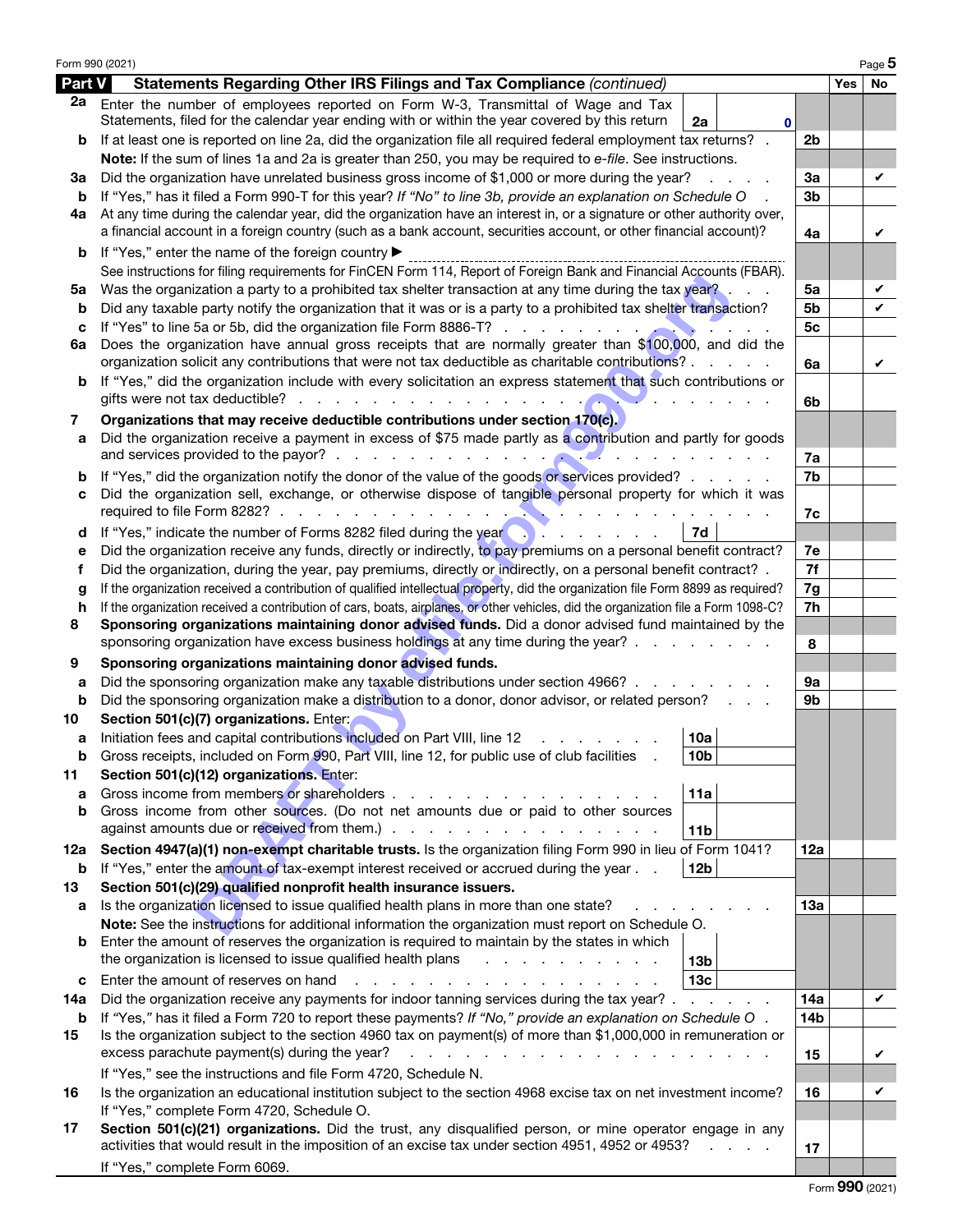|         | Form 990 (2021)                                                                                                                                                                                                                               |                |            | Page 5 |
|---------|-----------------------------------------------------------------------------------------------------------------------------------------------------------------------------------------------------------------------------------------------|----------------|------------|--------|
| Part V  | Statements Regarding Other IRS Filings and Tax Compliance (continued)                                                                                                                                                                         |                | <b>Yes</b> | No     |
| 2a      | Enter the number of employees reported on Form W-3, Transmittal of Wage and Tax<br>Statements, filed for the calendar year ending with or within the year covered by this return<br>2a<br>$\mathbf 0$                                         |                |            |        |
| b       | If at least one is reported on line 2a, did the organization file all required federal employment tax returns?                                                                                                                                | 2b             |            |        |
|         | Note: If the sum of lines 1a and 2a is greater than 250, you may be required to e-file. See instructions.                                                                                                                                     |                |            |        |
| За      | Did the organization have unrelated business gross income of \$1,000 or more during the year?                                                                                                                                                 | За             |            | V      |
| b       | If "Yes," has it filed a Form 990-T for this year? If "No" to line 3b, provide an explanation on Schedule O                                                                                                                                   | 3b             |            |        |
| 4а      | At any time during the calendar year, did the organization have an interest in, or a signature or other authority over,<br>a financial account in a foreign country (such as a bank account, securities account, or other financial account)? |                |            |        |
|         |                                                                                                                                                                                                                                               | 4a             |            | V      |
| b       | If "Yes," enter the name of the foreign country ▶<br>See instructions for filing requirements for FinCEN Form 114, Report of Foreign Bank and Financial Accounts (FBAR).                                                                      |                |            |        |
| 5a      | Was the organization a party to a prohibited tax shelter transaction at any time during the tax year?                                                                                                                                         | 5a             |            | V      |
| b       | Did any taxable party notify the organization that it was or is a party to a prohibited tax shelter transaction?                                                                                                                              | 5b             |            | V      |
| с       |                                                                                                                                                                                                                                               | 5 <sub>c</sub> |            |        |
| 6a      | Does the organization have annual gross receipts that are normally greater than \$100,000, and did the<br>organization solicit any contributions that were not tax deductible as charitable contributions?                                    | 6a             |            | V      |
| b       | If "Yes," did the organization include with every solicitation an express statement that such contributions or                                                                                                                                |                |            |        |
|         |                                                                                                                                                                                                                                               | 6b             |            |        |
| 7       | Organizations that may receive deductible contributions under section 170(c).                                                                                                                                                                 |                |            |        |
| а       | Did the organization receive a payment in excess of \$75 made partly as a contribution and partly for goods                                                                                                                                   |                |            |        |
|         |                                                                                                                                                                                                                                               | 7a             |            |        |
| b       | If "Yes," did the organization notify the donor of the value of the goods or services provided?                                                                                                                                               | 7b             |            |        |
| с       | Did the organization sell, exchange, or otherwise dispose of tangible personal property for which it was                                                                                                                                      | 7c             |            |        |
| d       | 7d<br>If "Yes," indicate the number of Forms 8282 filed during the year $\blacksquare$                                                                                                                                                        |                |            |        |
| е       | Did the organization receive any funds, directly or indirectly, to pay premiums on a personal benefit contract?                                                                                                                               | 7e             |            |        |
| f       | Did the organization, during the year, pay premiums, directly or indirectly, on a personal benefit contract? .                                                                                                                                | 7f             |            |        |
| g       | If the organization received a contribution of qualified intellectual property, did the organization file Form 8899 as required?                                                                                                              | 7g             |            |        |
| h       | If the organization received a contribution of cars, boats, airplanes, or other vehicles, did the organization file a Form 1098-C?                                                                                                            | 7h             |            |        |
| 8       | Sponsoring organizations maintaining donor advised funds. Did a donor advised fund maintained by the                                                                                                                                          |                |            |        |
|         | sponsoring organization have excess business holdings at any time during the year?                                                                                                                                                            | 8              |            |        |
| 9       | Sponsoring organizations maintaining donor advised funds.                                                                                                                                                                                     |                |            |        |
| а       | Did the sponsoring organization make any taxable distributions under section 4966?                                                                                                                                                            | 9a             |            |        |
| b       | Did the sponsoring organization make a distribution to a donor, donor advisor, or related person?                                                                                                                                             | 9b             |            |        |
| 10      | Section 501(c)(7) organizations. Enter:<br>Initiation fees and capital contributions included on Part VIII, line 12<br>10a                                                                                                                    |                |            |        |
| а       | Gross receipts, included on Form 990, Part VIII, line 12, for public use of club facilities<br>10 <sub>b</sub>                                                                                                                                |                |            |        |
| 11      | Section 501(c)(12) organizations. Enter:                                                                                                                                                                                                      |                |            |        |
| a       | Gross income from members or shareholders.<br>11a<br>and the company of the company of the                                                                                                                                                    |                |            |        |
| b       | Gross income from other sources. (Do not net amounts due or paid to other sources                                                                                                                                                             |                |            |        |
|         | 11 <sub>b</sub>                                                                                                                                                                                                                               |                |            |        |
| 12a     | Section 4947(a)(1) non-exempt charitable trusts. Is the organization filing Form 990 in lieu of Form 1041?                                                                                                                                    | 12a            |            |        |
| b       | If "Yes," enter the amount of tax-exempt interest received or accrued during the year.<br>12 <sub>b</sub>                                                                                                                                     |                |            |        |
| 13      | Section 501(c)(29) qualified nonprofit health insurance issuers.                                                                                                                                                                              |                |            |        |
| а       | Is the organization licensed to issue qualified health plans in more than one state?                                                                                                                                                          | 13a            |            |        |
|         | Note: See the instructions for additional information the organization must report on Schedule O.                                                                                                                                             |                |            |        |
| b       | Enter the amount of reserves the organization is required to maintain by the states in which                                                                                                                                                  |                |            |        |
|         | the organization is licensed to issue qualified health plans<br><u>.</u><br>13 <sub>b</sub>                                                                                                                                                   |                |            |        |
| c       | 13 <sub>c</sub><br>Enter the amount of reserves on hand<br>design and a state of the contract of the contract of                                                                                                                              |                |            |        |
| 14a     | Did the organization receive any payments for indoor tanning services during the tax year?                                                                                                                                                    | 14a            |            | V      |
| b<br>15 | If "Yes," has it filed a Form 720 to report these payments? If "No," provide an explanation on Schedule O.<br>Is the organization subject to the section 4960 tax on payment(s) of more than \$1,000,000 in remuneration or                   | 14b            |            |        |
|         | excess parachute payment(s) during the year?<br>the contract of the contract of the contract of                                                                                                                                               | 15             |            | V      |
|         | If "Yes," see the instructions and file Form 4720, Schedule N.                                                                                                                                                                                |                |            |        |
| 16      | Is the organization an educational institution subject to the section 4968 excise tax on net investment income?                                                                                                                               | 16             |            | V      |
|         | If "Yes," complete Form 4720, Schedule O.                                                                                                                                                                                                     |                |            |        |
| 17      | Section 501(c)(21) organizations. Did the trust, any disqualified person, or mine operator engage in any                                                                                                                                      |                |            |        |
|         | activities that would result in the imposition of an excise tax under section 4951, 4952 or 4953?                                                                                                                                             | 17             |            |        |
|         | If "Yes," complete Form 6069.                                                                                                                                                                                                                 |                |            |        |
|         |                                                                                                                                                                                                                                               |                |            |        |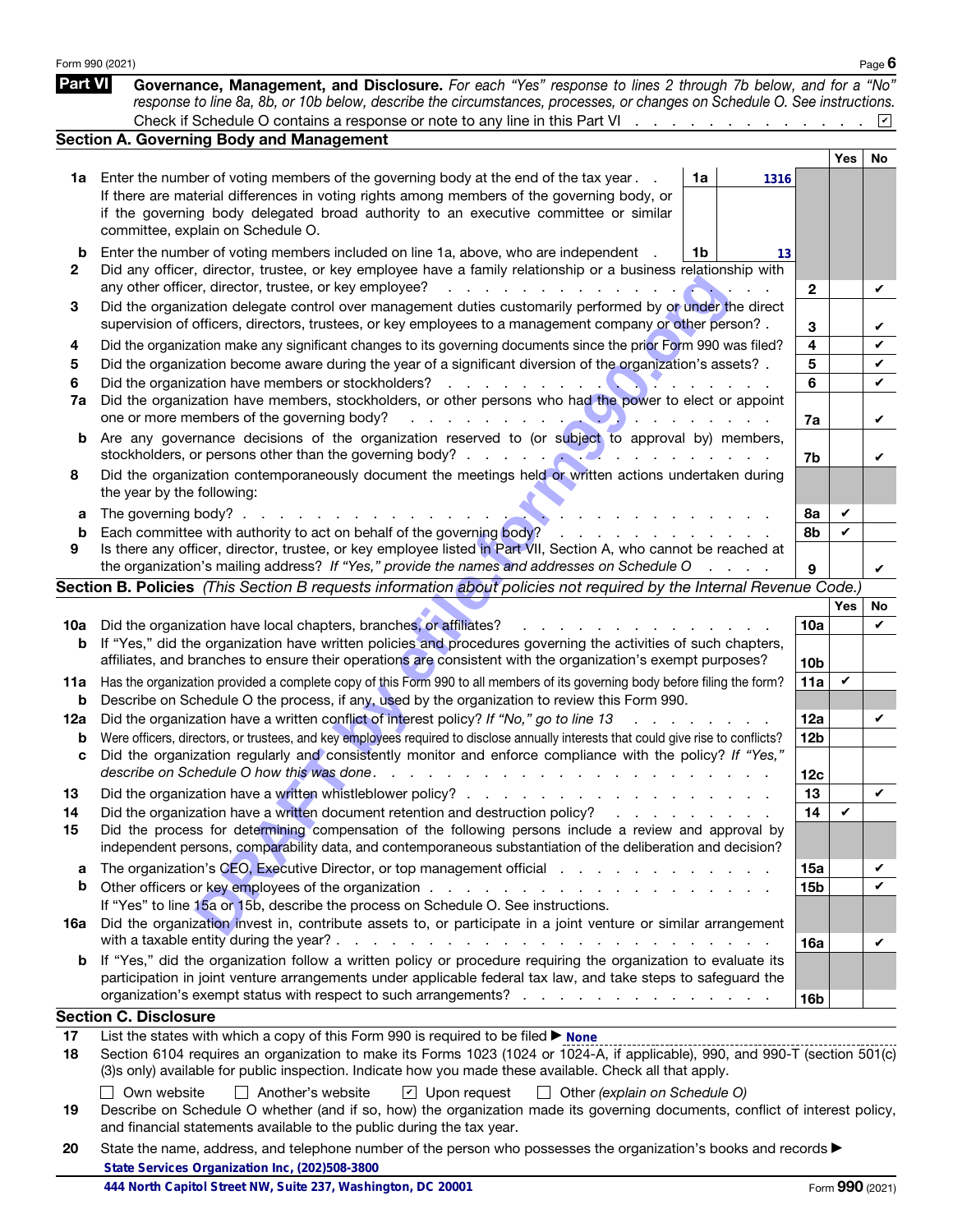|                | Form 990 (2021)                                                                                                                                                                                                                                                                                                                                                                                                    |      |                 |     | Page 6          |
|----------------|--------------------------------------------------------------------------------------------------------------------------------------------------------------------------------------------------------------------------------------------------------------------------------------------------------------------------------------------------------------------------------------------------------------------|------|-----------------|-----|-----------------|
| <b>Part VI</b> | Governance, Management, and Disclosure. For each "Yes" response to lines 2 through 7b below, and for a "No"<br>response to line 8a, 8b, or 10b below, describe the circumstances, processes, or changes on Schedule O. See instructions.                                                                                                                                                                           |      |                 |     |                 |
|                |                                                                                                                                                                                                                                                                                                                                                                                                                    |      |                 |     |                 |
|                | <b>Section A. Governing Body and Management</b>                                                                                                                                                                                                                                                                                                                                                                    |      |                 |     |                 |
|                | Enter the number of voting members of the governing body at the end of the tax year.<br>1a                                                                                                                                                                                                                                                                                                                         |      |                 | Yes | No              |
| 1a             | If there are material differences in voting rights among members of the governing body, or                                                                                                                                                                                                                                                                                                                         | 1316 |                 |     |                 |
|                | if the governing body delegated broad authority to an executive committee or similar                                                                                                                                                                                                                                                                                                                               |      |                 |     |                 |
|                | committee, explain on Schedule O.                                                                                                                                                                                                                                                                                                                                                                                  |      |                 |     |                 |
| b              | Enter the number of voting members included on line 1a, above, who are independent<br>1b                                                                                                                                                                                                                                                                                                                           | 13   |                 |     |                 |
| 2              | Did any officer, director, trustee, or key employee have a family relationship or a business relationship with<br>any other officer, director, trustee, or key employee?<br><u> La componenta de la componenta de la componenta de la componenta de la componenta de la componenta de la compo</u>                                                                                                                 |      | $\mathbf{2}$    |     | ✓               |
| 3              | Did the organization delegate control over management duties customarily performed by or under the direct<br>supervision of officers, directors, trustees, or key employees to a management company or other person? .                                                                                                                                                                                             |      | 3               |     | V               |
| 4              | Did the organization make any significant changes to its governing documents since the prior Form 990 was filed?                                                                                                                                                                                                                                                                                                   |      | 4               |     | V               |
| 5              | Did the organization become aware during the year of a significant diversion of the organization's assets? .                                                                                                                                                                                                                                                                                                       |      | 5               |     | V               |
| 6              |                                                                                                                                                                                                                                                                                                                                                                                                                    |      | 6               |     | V               |
| 7a             | Did the organization have members, stockholders, or other persons who had the power to elect or appoint<br>one or more members of the governing body?                                                                                                                                                                                                                                                              |      |                 |     |                 |
| b              | Are any governance decisions of the organization reserved to (or subject to approval by) members,                                                                                                                                                                                                                                                                                                                  |      | 7a              |     | V               |
|                | stockholders, or persons other than the governing body?<br>$\mathcal{L}$ . The contract of the contract of the contract of the contract of the contract of the contract of the contract of the contract of the contract of the contract of the contract of the contract of the contract of th                                                                                                                      |      | 7b              |     | V               |
| 8              | Did the organization contemporaneously document the meetings held or written actions undertaken during<br>the year by the following:                                                                                                                                                                                                                                                                               |      |                 |     |                 |
| а              | The governing body? $\ldots$ $\ldots$ $\ldots$ $\ldots$                                                                                                                                                                                                                                                                                                                                                            |      | 8а              | V   |                 |
| b              | Each committee with authority to act on behalf of the governing body?<br>an an an an                                                                                                                                                                                                                                                                                                                               |      | 8b              | V   |                 |
| 9              | Is there any officer, director, trustee, or key employee listed in Part VII, Section A, who cannot be reached at                                                                                                                                                                                                                                                                                                   |      |                 |     |                 |
|                | the organization's mailing address? If "Yes," provide the names and addresses on Schedule O                                                                                                                                                                                                                                                                                                                        |      | 9               |     | V               |
|                | Section B. Policies (This Section B requests information about policies not required by the Internal Revenue Code.)                                                                                                                                                                                                                                                                                                |      |                 |     |                 |
|                |                                                                                                                                                                                                                                                                                                                                                                                                                    |      |                 | Yes | No              |
| 10a<br>b       | Did the organization have local chapters, branches, or affiliates?<br>If "Yes," did the organization have written policies and procedures governing the activities of such chapters,                                                                                                                                                                                                                               |      | 10a             |     | V               |
|                | affiliates, and branches to ensure their operations are consistent with the organization's exempt purposes?                                                                                                                                                                                                                                                                                                        |      | 10 <sub>b</sub> |     |                 |
| 11a            | Has the organization provided a complete copy of this Form 990 to all members of its governing body before filing the form?                                                                                                                                                                                                                                                                                        |      | 11a             | V   |                 |
| b              | Describe on Schedule O the process, if any, used by the organization to review this Form 990.<br>Did the organization have a written conflict of interest policy? If "No," go to line 13                                                                                                                                                                                                                           |      | 12a             |     | V               |
| 12a<br>b       | Were officers, directors, or trustees, and key employees required to disclose annually interests that could give rise to conflicts?                                                                                                                                                                                                                                                                                |      | 12 <sub>b</sub> |     |                 |
|                | Did the organization regularly and consistently monitor and enforce compliance with the policy? If "Yes,"<br>describe on Schedule O how this was done.<br>the contract of the contract of the contract of the contract of the contract of the contract of the contract of the contract of the contract of the contract of the contract of the contract of the contract of the contract o<br>$\sim$<br>$\mathbf{r}$ |      | 12c             |     |                 |
| 13             |                                                                                                                                                                                                                                                                                                                                                                                                                    |      | 13              |     | V               |
| 14             | Did the organization have a written document retention and destruction policy?<br>the contract of the contract of the contract of the contract of the contract of the contract of the contract of                                                                                                                                                                                                                  |      | 14              | V   |                 |
| 15             | Did the process for determining compensation of the following persons include a review and approval by<br>independent persons, comparability data, and contemporaneous substantiation of the deliberation and decision?                                                                                                                                                                                            |      |                 |     |                 |
| a              | The organization's CEO, Executive Director, or top management official response to the extended of the organization's CEO, executive Director, or top management official                                                                                                                                                                                                                                          |      | 15a             |     | V               |
| b              |                                                                                                                                                                                                                                                                                                                                                                                                                    |      | <b>15b</b>      |     | ✓               |
|                | If "Yes" to line 15a or 15b, describe the process on Schedule O. See instructions.                                                                                                                                                                                                                                                                                                                                 |      |                 |     |                 |
| 16a            | Did the organization invest in, contribute assets to, or participate in a joint venture or similar arrangement<br><b>Contract Contract</b>                                                                                                                                                                                                                                                                         |      | 16a             |     | V               |
| b              | If "Yes," did the organization follow a written policy or procedure requiring the organization to evaluate its                                                                                                                                                                                                                                                                                                     |      |                 |     |                 |
|                | participation in joint venture arrangements under applicable federal tax law, and take steps to safeguard the                                                                                                                                                                                                                                                                                                      |      |                 |     |                 |
|                | organization's exempt status with respect to such arrangements?                                                                                                                                                                                                                                                                                                                                                    |      | 16b             |     |                 |
|                | <b>Section C. Disclosure</b>                                                                                                                                                                                                                                                                                                                                                                                       |      |                 |     |                 |
| 17<br>18       | List the states with which a copy of this Form 990 is required to be filed ▶ None<br>Section 6104 requires an organization to make its Forms 1023 (1024 or 1024-A, if applicable), 990, and 990-T (section 501(c)<br>(3)s only) available for public inspection. Indicate how you made these available. Check all that apply.                                                                                      |      |                 |     |                 |
|                | Own website<br>$\Box$ Another's website<br>$\boxed{\mathbf{v}}$ Upon request<br>$\Box$ Other (explain on Schedule O)                                                                                                                                                                                                                                                                                               |      |                 |     |                 |
| 19             | Describe on Schedule O whether (and if so, how) the organization made its governing documents, conflict of interest policy,<br>and financial statements available to the public during the tax year.                                                                                                                                                                                                               |      |                 |     |                 |
| 20             | State the name, address, and telephone number of the person who possesses the organization's books and records $\blacktriangleright$<br>State Services Organization Inc, (202)508-3800                                                                                                                                                                                                                             |      |                 |     |                 |
|                | 444 North Capitol Street NW, Suite 237, Washington, DC 20001                                                                                                                                                                                                                                                                                                                                                       |      |                 |     | Form 990 (2021) |

| 20 State the name, address, and telephone number of the person who possesses the organization's books and records ▶ |
|---------------------------------------------------------------------------------------------------------------------|
| State Services Organization Inc, (202)508-3800                                                                      |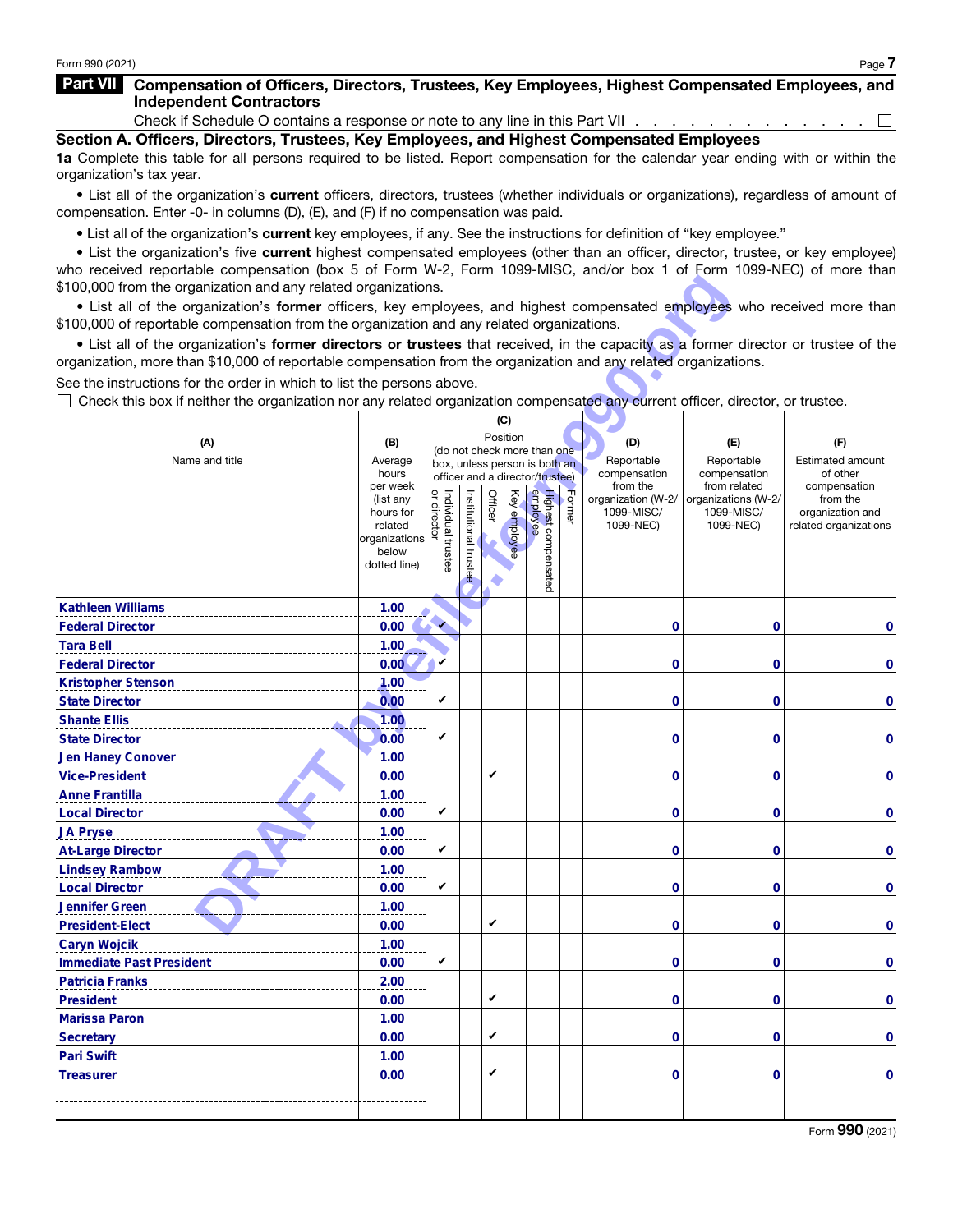$\Box$ 

## Part VII Compensation of Officers, Directors, Trustees, Key Employees, Highest Compensated Employees, and Independent Contractors

Check if Schedule O contains a response or note to any line in this Part VII . .

Section A. Officers, Directors, Trustees, Key Employees, and Highest Compensated Employees

1a Complete this table for all persons required to be listed. Report compensation for the calendar year ending with or within the organization's tax year.

• List all of the organization's current officers, directors, trustees (whether individuals or organizations), regardless of amount of compensation. Enter -0- in columns (D), (E), and (F) if no compensation was paid.

• List all of the organization's current key employees, if any. See the instructions for definition of "key employee."

• List the organization's five current highest compensated employees (other than an officer, director, trustee, or key employee) who received reportable compensation (box 5 of Form W-2, Form 1099-MISC, and/or box 1 of Form 1099-NEC) of more than \$100,000 from the organization and any related organizations.

| \$100,000 from the organization and any related organizations.                                                                                                                                                                                          |                          |                                     |               |         |              |                                                              |        |                          |                              |                          |
|---------------------------------------------------------------------------------------------------------------------------------------------------------------------------------------------------------------------------------------------------------|--------------------------|-------------------------------------|---------------|---------|--------------|--------------------------------------------------------------|--------|--------------------------|------------------------------|--------------------------|
| . List all of the organization's former officers, key employees, and highest compensated employees who received more than                                                                                                                               |                          |                                     |               |         |              |                                                              |        |                          |                              |                          |
| \$100,000 of reportable compensation from the organization and any related organizations.                                                                                                                                                               |                          |                                     |               |         |              |                                                              |        |                          |                              |                          |
| • List all of the organization's former directors or trustees that received, in the capacity as a former director or trustee of the<br>organization, more than \$10,000 of reportable compensation from the organization and any related organizations. |                          |                                     |               |         |              |                                                              |        |                          |                              |                          |
| See the instructions for the order in which to list the persons above.                                                                                                                                                                                  |                          |                                     |               |         |              |                                                              |        |                          |                              |                          |
| Check this box if neither the organization nor any related organization compensated any current officer, director, or trustee.                                                                                                                          |                          |                                     |               |         |              |                                                              |        |                          |                              |                          |
|                                                                                                                                                                                                                                                         |                          |                                     |               |         | (C)          |                                                              |        |                          |                              |                          |
| (A)                                                                                                                                                                                                                                                     | (B)                      |                                     |               |         | Position     |                                                              |        | (D)                      | (E)                          | (F)                      |
| Name and title                                                                                                                                                                                                                                          | Average                  |                                     |               |         |              | (do not check more than one<br>box, unless person is both an |        | Reportable               | Reportable                   | <b>Estimated amount</b>  |
|                                                                                                                                                                                                                                                         | hours                    |                                     |               |         |              | officer and a director/trustee)                              |        | compensation<br>from the | compensation<br>from related | of other                 |
|                                                                                                                                                                                                                                                         | per week<br>(list any    | Individual trustee<br>  or director |               | Officer |              |                                                              |        | organization (W-2/       | organizations (W-2/          | compensation<br>from the |
|                                                                                                                                                                                                                                                         | hours for                |                                     | Institutional |         | Key employee |                                                              | Former | 1099-MISC/               | 1099-MISC/                   | organization and         |
|                                                                                                                                                                                                                                                         | related<br>organizations |                                     |               |         |              |                                                              |        | 1099-NEC)                | 1099-NEC)                    | related organizations    |
|                                                                                                                                                                                                                                                         | below                    |                                     |               |         |              |                                                              |        |                          |                              |                          |
|                                                                                                                                                                                                                                                         | dotted line)             |                                     | trustee       |         |              | Highest compensated<br>employee                              |        |                          |                              |                          |
|                                                                                                                                                                                                                                                         |                          |                                     |               |         |              |                                                              |        |                          |                              |                          |
| <b>Kathleen Williams</b>                                                                                                                                                                                                                                | 1.00                     |                                     |               |         |              |                                                              |        |                          |                              |                          |
| <b>Federal Director</b>                                                                                                                                                                                                                                 | 0.00                     | $\mathbf{v}$                        |               |         |              |                                                              |        | 0                        | 0                            | 0                        |
| <b>Tara Bell</b>                                                                                                                                                                                                                                        | 1.00                     |                                     |               |         |              |                                                              |        |                          |                              |                          |
| <b>Federal Director</b>                                                                                                                                                                                                                                 | 0.00                     | V                                   |               |         |              |                                                              |        | 0                        | 0                            | 0                        |
| <b>Kristopher Stenson</b>                                                                                                                                                                                                                               | 1.00                     |                                     |               |         |              |                                                              |        |                          |                              |                          |
| <b>State Director</b>                                                                                                                                                                                                                                   | 0.00                     | V                                   |               |         |              |                                                              |        | 0                        | 0                            | 0                        |
| <b>Shante Ellis</b>                                                                                                                                                                                                                                     | 1.00                     |                                     |               |         |              |                                                              |        |                          |                              |                          |
| <b>State Director</b>                                                                                                                                                                                                                                   | 0.00                     | V                                   |               |         |              |                                                              |        | 0                        | 0                            | 0                        |
| <b>Jen Haney Conover</b>                                                                                                                                                                                                                                | 1.00                     |                                     |               |         |              |                                                              |        |                          |                              |                          |
| <b>Vice-President</b>                                                                                                                                                                                                                                   | 0.00                     |                                     |               | V       |              |                                                              |        | 0                        | 0                            | 0                        |
| <b>Anne Frantilla</b>                                                                                                                                                                                                                                   | 1.00                     | V                                   |               |         |              |                                                              |        |                          |                              |                          |
| <b>Local Director</b>                                                                                                                                                                                                                                   | 0.00                     |                                     |               |         |              |                                                              |        | 0                        | 0                            | 0                        |
| <b>JA Pryse</b>                                                                                                                                                                                                                                         | 1.00                     | V                                   |               |         |              |                                                              |        |                          |                              |                          |
| <b>At-Large Director</b>                                                                                                                                                                                                                                | 0.00<br>1.00             |                                     |               |         |              |                                                              |        | 0                        | 0                            | 0                        |
| <b>Lindsey Rambow</b><br><b>Local Director</b>                                                                                                                                                                                                          | 0.00                     | V                                   |               |         |              |                                                              |        | 0                        | 0                            | 0                        |
| <b>Jennifer Green</b>                                                                                                                                                                                                                                   | 1.00                     |                                     |               |         |              |                                                              |        |                          |                              |                          |
| <b>President-Elect</b>                                                                                                                                                                                                                                  | 0.00                     |                                     |               | V       |              |                                                              |        | 0                        | 0                            | 0                        |
| <b>Caryn Wojcik</b>                                                                                                                                                                                                                                     | 1.00                     |                                     |               |         |              |                                                              |        |                          |                              |                          |
| <b>Immediate Past President</b>                                                                                                                                                                                                                         | 0.00                     | V                                   |               |         |              |                                                              |        | 0                        | 0                            | 0                        |
| <b>Patricia Franks</b>                                                                                                                                                                                                                                  | 2.00                     |                                     |               |         |              |                                                              |        |                          |                              |                          |
| <b>President</b>                                                                                                                                                                                                                                        | 0.00                     |                                     |               | V       |              |                                                              |        | 0                        | $\mathbf 0$                  | 0                        |
| <b>Marissa Paron</b>                                                                                                                                                                                                                                    | 1.00                     |                                     |               |         |              |                                                              |        |                          |                              |                          |
| <b>Secretary</b>                                                                                                                                                                                                                                        | 0.00                     |                                     |               | V       |              |                                                              |        | 0                        | $\mathbf 0$                  | $\bf{0}$                 |
| <b>Pari Swift</b>                                                                                                                                                                                                                                       | 1.00                     |                                     |               |         |              |                                                              |        |                          |                              |                          |
| <b>Treasurer</b>                                                                                                                                                                                                                                        | 0.00                     |                                     |               | V       |              |                                                              |        | 0                        | $\mathbf 0$                  | $\bf{0}$                 |
|                                                                                                                                                                                                                                                         |                          |                                     |               |         |              |                                                              |        |                          |                              |                          |
|                                                                                                                                                                                                                                                         |                          |                                     |               |         |              |                                                              |        |                          |                              |                          |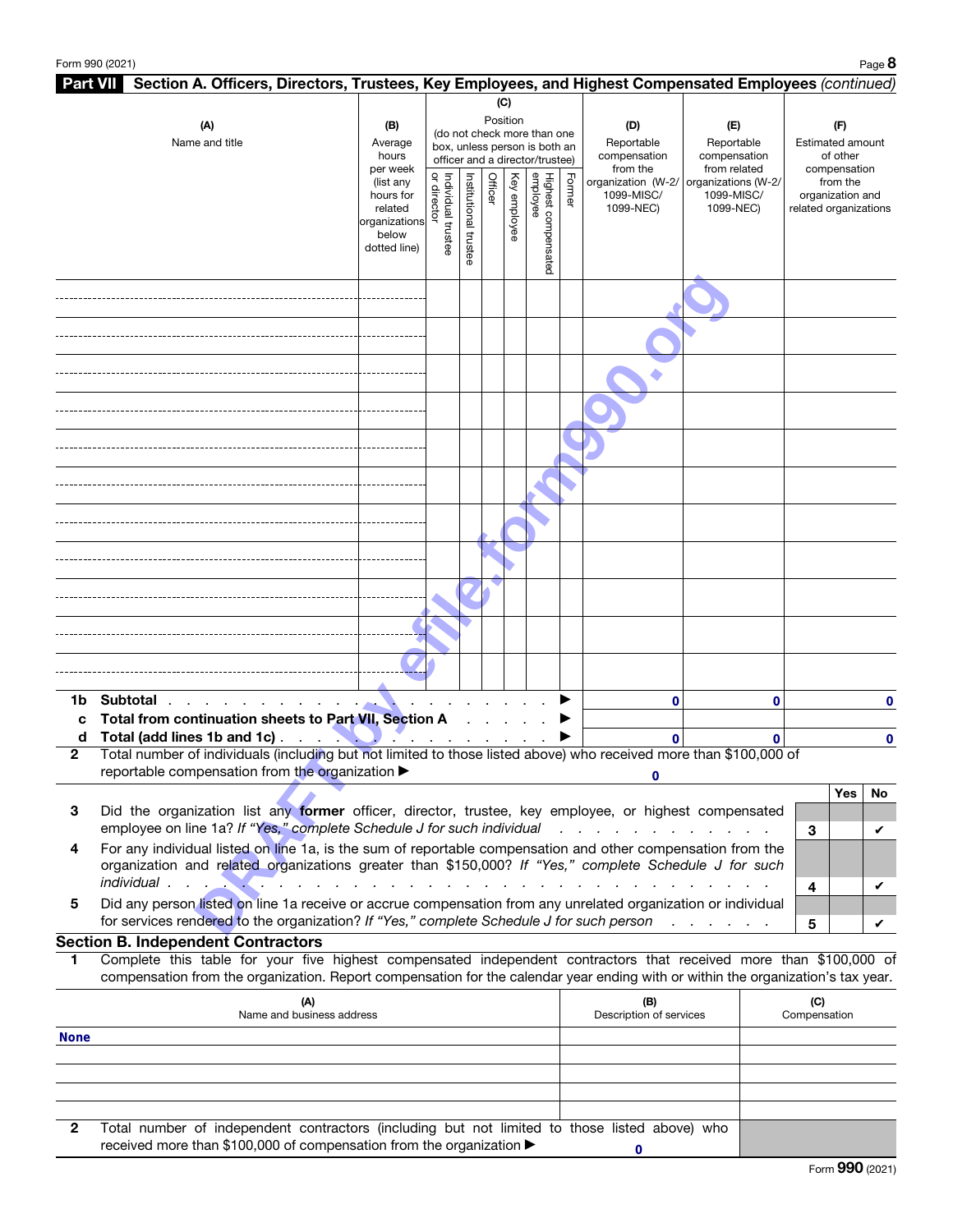|              | Part VII Section A. Officers, Directors, Trustees, Key Employees, and Highest Compensated Employees (continued)                                                                                                                                        |                                                                                         |                                   |                       |         |              |                                                                                                 |        |                                                           |                                                                           |          |                       |                                              |         |
|--------------|--------------------------------------------------------------------------------------------------------------------------------------------------------------------------------------------------------------------------------------------------------|-----------------------------------------------------------------------------------------|-----------------------------------|-----------------------|---------|--------------|-------------------------------------------------------------------------------------------------|--------|-----------------------------------------------------------|---------------------------------------------------------------------------|----------|-----------------------|----------------------------------------------|---------|
|              |                                                                                                                                                                                                                                                        |                                                                                         |                                   |                       |         | (C)          |                                                                                                 |        |                                                           |                                                                           |          |                       |                                              |         |
|              | (A)<br>Name and title                                                                                                                                                                                                                                  | (B)<br>Average<br>hours                                                                 |                                   |                       |         | Position     | (do not check more than one<br>box, unless person is both an<br>officer and a director/trustee) |        | (D)<br>Reportable<br>compensation                         | (E)<br>Reportable<br>compensation                                         |          |                       | (F)<br>Estimated amount<br>of other          |         |
|              |                                                                                                                                                                                                                                                        | per week<br>(list any<br>hours for<br>related<br>organizations<br>below<br>dotted line) | or director<br>Individual trustee | Institutional trustee | Officer | Key employee | Highest compensated<br>employee                                                                 | Former | from the<br>organization (W-2/<br>1099-MISC/<br>1099-NEC) | from related<br>organizations (W-2/<br>1099-MISC/<br>1099-NEC)            |          | related organizations | compensation<br>from the<br>organization and |         |
|              |                                                                                                                                                                                                                                                        |                                                                                         |                                   |                       |         |              |                                                                                                 |        |                                                           |                                                                           |          |                       |                                              |         |
|              |                                                                                                                                                                                                                                                        |                                                                                         |                                   |                       |         |              |                                                                                                 |        |                                                           |                                                                           |          |                       |                                              |         |
|              |                                                                                                                                                                                                                                                        |                                                                                         |                                   |                       |         |              |                                                                                                 |        |                                                           |                                                                           |          |                       |                                              |         |
|              |                                                                                                                                                                                                                                                        |                                                                                         |                                   |                       |         |              |                                                                                                 |        |                                                           |                                                                           |          |                       |                                              |         |
|              |                                                                                                                                                                                                                                                        |                                                                                         |                                   |                       |         |              |                                                                                                 |        |                                                           |                                                                           |          |                       |                                              |         |
|              |                                                                                                                                                                                                                                                        |                                                                                         |                                   |                       |         |              |                                                                                                 |        |                                                           |                                                                           |          |                       |                                              |         |
|              |                                                                                                                                                                                                                                                        |                                                                                         |                                   |                       |         |              |                                                                                                 |        |                                                           |                                                                           |          |                       |                                              |         |
|              |                                                                                                                                                                                                                                                        |                                                                                         |                                   |                       |         |              |                                                                                                 |        |                                                           |                                                                           |          |                       |                                              |         |
|              |                                                                                                                                                                                                                                                        |                                                                                         |                                   |                       |         |              |                                                                                                 |        |                                                           |                                                                           |          |                       |                                              |         |
|              |                                                                                                                                                                                                                                                        |                                                                                         |                                   |                       |         |              |                                                                                                 |        |                                                           |                                                                           |          |                       |                                              |         |
| 1b<br>C      | Subtotal<br>Total from continuation sheets to Part VII, Section A                                                                                                                                                                                      |                                                                                         |                                   |                       |         |              |                                                                                                 |        | 0                                                         |                                                                           | 0        |                       |                                              | 0       |
| d            | Total (add lines 1b and 1c).<br>$\sim 100$ km s $^{-1}$<br>- 2                                                                                                                                                                                         |                                                                                         |                                   |                       |         |              |                                                                                                 |        | $\mathbf{0}$                                              |                                                                           | $\Omega$ |                       |                                              | 0       |
| $\mathbf{2}$ | Total number of individuals (including but not limited to those listed above) who received more than \$100,000 of<br>reportable compensation from the organization ▶                                                                                   |                                                                                         |                                   |                       |         |              |                                                                                                 |        |                                                           |                                                                           |          |                       |                                              |         |
| 3            | Did the organization list any former officer, director, trustee, key employee, or highest compensated<br>employee on line 1a? If "Yes," complete Schedule J for such individual                                                                        |                                                                                         |                                   |                       |         |              |                                                                                                 |        | $1 - 1 - 1 = 1$                                           |                                                                           |          | 3                     | Yes                                          | No<br>V |
| 4            | For any individual listed on line 1a, is the sum of reportable compensation and other compensation from the<br>organization and related organizations greater than \$150,000? If "Yes," complete Schedule J for such<br>individual.                    |                                                                                         |                                   |                       |         |              |                                                                                                 |        |                                                           |                                                                           |          | 4                     |                                              | V       |
| 5            | Did any person listed on line 1a receive or accrue compensation from any unrelated organization or individual<br>for services rendered to the organization? If "Yes," complete Schedule J for such person                                              |                                                                                         |                                   |                       |         |              |                                                                                                 |        |                                                           | $\mathcal{A}=\mathcal{A}=\mathcal{A}=\mathcal{A}=\mathcal{A}=\mathcal{A}$ |          | 5                     |                                              | V       |
|              | <b>Section B. Independent Contractors</b>                                                                                                                                                                                                              |                                                                                         |                                   |                       |         |              |                                                                                                 |        |                                                           |                                                                           |          |                       |                                              |         |
| 1            | Complete this table for your five highest compensated independent contractors that received more than \$100,000 of<br>compensation from the organization. Report compensation for the calendar year ending with or within the organization's tax year. |                                                                                         |                                   |                       |         |              |                                                                                                 |        |                                                           |                                                                           |          |                       |                                              |         |
|              | (A)<br>Name and business address                                                                                                                                                                                                                       |                                                                                         |                                   |                       |         |              |                                                                                                 |        | (B)<br>Description of services                            |                                                                           |          | (C)<br>Compensation   |                                              |         |
| <b>None</b>  |                                                                                                                                                                                                                                                        |                                                                                         |                                   |                       |         |              |                                                                                                 |        |                                                           |                                                                           |          |                       |                                              |         |
|              |                                                                                                                                                                                                                                                        |                                                                                         |                                   |                       |         |              |                                                                                                 |        |                                                           |                                                                           |          |                       |                                              |         |
| 2            | Total number of independent contractors (including but not limited to those listed above) who                                                                                                                                                          |                                                                                         |                                   |                       |         |              |                                                                                                 |        |                                                           |                                                                           |          |                       |                                              |         |

| received more than \$100,000 of compensation from the organization ▶ |  |  |  |
|----------------------------------------------------------------------|--|--|--|
|                                                                      |  |  |  |

**0**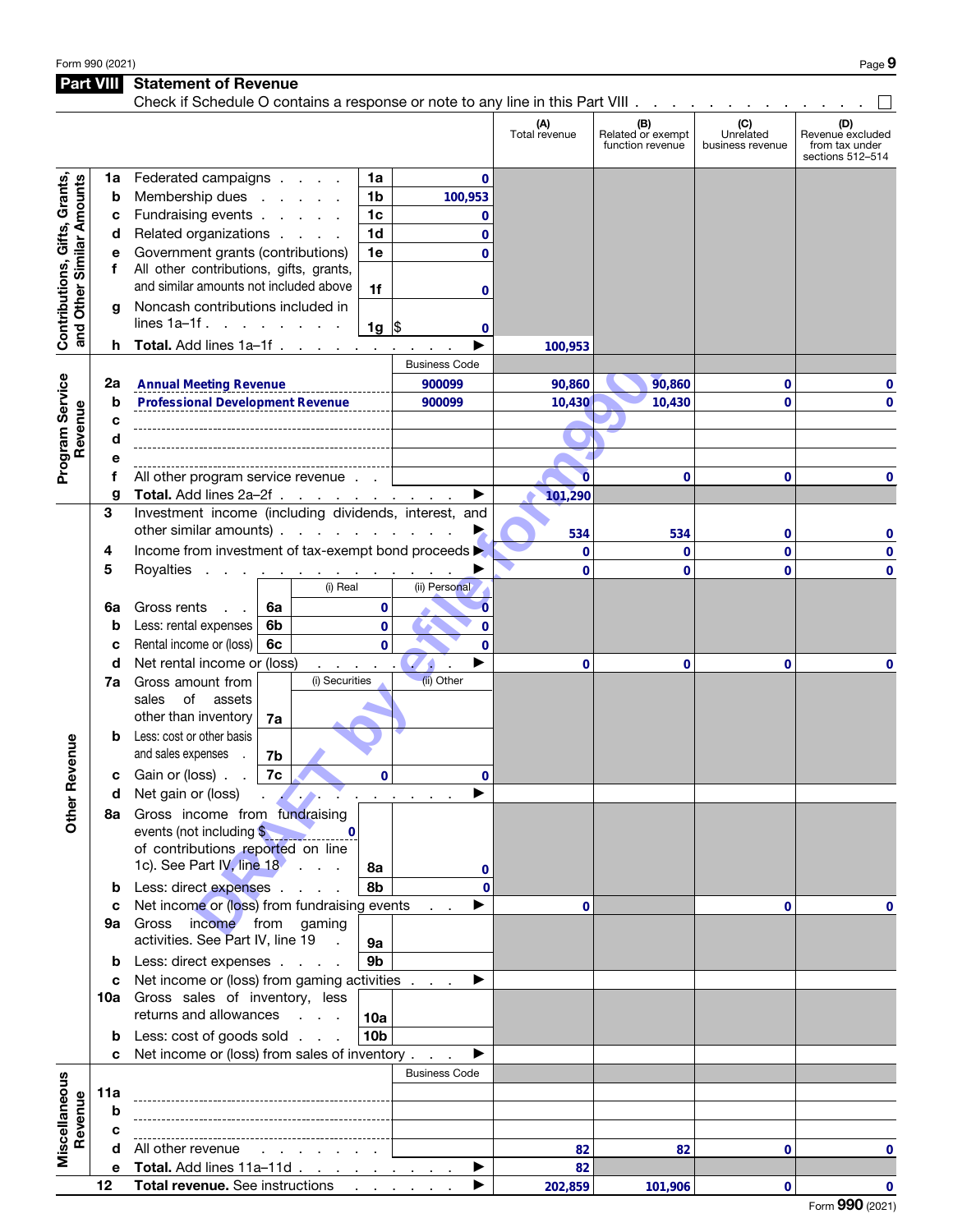## Part VIII Statement of Revenue

|                                                            | Check if Schedule O contains a response or note to any line in this Part VIII |                                                                                                                                                                                                                                                            |                      |                      |                                              |                                      |                                                               |  |
|------------------------------------------------------------|-------------------------------------------------------------------------------|------------------------------------------------------------------------------------------------------------------------------------------------------------------------------------------------------------------------------------------------------------|----------------------|----------------------|----------------------------------------------|--------------------------------------|---------------------------------------------------------------|--|
|                                                            |                                                                               |                                                                                                                                                                                                                                                            |                      | (A)<br>Total revenue | (B)<br>Related or exempt<br>function revenue | (C)<br>Unrelated<br>business revenue | (D)<br>Revenue excluded<br>from tax under<br>sections 512-514 |  |
|                                                            | 1a                                                                            | Federated campaigns<br>1a                                                                                                                                                                                                                                  | 0                    |                      |                                              |                                      |                                                               |  |
| Contributions, Gifts, Grants,<br>and Other Similar Amounts | b                                                                             | Membership dues<br>1b<br><b>Contractor</b> Service                                                                                                                                                                                                         | 100,953              |                      |                                              |                                      |                                                               |  |
|                                                            | c                                                                             | Fundraising events<br>1 <sub>c</sub>                                                                                                                                                                                                                       | 0                    |                      |                                              |                                      |                                                               |  |
|                                                            | d                                                                             | Related organizations<br>1 <sub>d</sub>                                                                                                                                                                                                                    | 0                    |                      |                                              |                                      |                                                               |  |
|                                                            | е                                                                             | Government grants (contributions)<br>1e                                                                                                                                                                                                                    | $\mathbf{0}$         |                      |                                              |                                      |                                                               |  |
|                                                            | f                                                                             | All other contributions, gifts, grants,                                                                                                                                                                                                                    |                      |                      |                                              |                                      |                                                               |  |
|                                                            |                                                                               | and similar amounts not included above<br>1f                                                                                                                                                                                                               |                      |                      |                                              |                                      |                                                               |  |
|                                                            |                                                                               | Noncash contributions included in                                                                                                                                                                                                                          | 0                    |                      |                                              |                                      |                                                               |  |
|                                                            | g                                                                             | lines $1a-1f$ .                                                                                                                                                                                                                                            |                      |                      |                                              |                                      |                                                               |  |
|                                                            |                                                                               | $1g \,$ \$                                                                                                                                                                                                                                                 | 0                    |                      |                                              |                                      |                                                               |  |
|                                                            | h.                                                                            | Total. Add lines 1a-1f                                                                                                                                                                                                                                     |                      | 100,953              |                                              |                                      |                                                               |  |
|                                                            |                                                                               |                                                                                                                                                                                                                                                            | <b>Business Code</b> |                      |                                              |                                      |                                                               |  |
|                                                            | 2a                                                                            | <b>Annual Meeting Revenue</b>                                                                                                                                                                                                                              | 900099               | 90,860               | 90,860                                       | 0                                    | 0                                                             |  |
| Program Service                                            | b                                                                             | <b>Professional Development Revenue</b>                                                                                                                                                                                                                    | 900099               | 10,430               | 10,430                                       | 0                                    | 0                                                             |  |
| Revenue                                                    | C                                                                             |                                                                                                                                                                                                                                                            |                      |                      |                                              |                                      |                                                               |  |
|                                                            | d                                                                             |                                                                                                                                                                                                                                                            |                      |                      |                                              |                                      |                                                               |  |
|                                                            | е                                                                             |                                                                                                                                                                                                                                                            |                      |                      |                                              |                                      |                                                               |  |
|                                                            | f                                                                             | All other program service revenue.                                                                                                                                                                                                                         |                      | $\overline{0}$       | 0                                            | 0                                    | 0                                                             |  |
|                                                            | g                                                                             | Total. Add lines 2a-2f                                                                                                                                                                                                                                     |                      | 101,290              |                                              |                                      |                                                               |  |
|                                                            | 3                                                                             | Investment income (including dividends, interest, and                                                                                                                                                                                                      |                      |                      |                                              |                                      |                                                               |  |
|                                                            |                                                                               | other similar amounts)                                                                                                                                                                                                                                     |                      | 534                  | 534                                          | 0                                    | 0                                                             |  |
|                                                            | 4                                                                             | Income from investment of tax-exempt bond proceeds >                                                                                                                                                                                                       |                      | $\mathbf 0$          | $\mathbf{0}$                                 | 0                                    | 0                                                             |  |
|                                                            | 5                                                                             | Royalties<br>the contract of the contract of the                                                                                                                                                                                                           |                      | $\mathbf 0$          | 0                                            | 0                                    | 0                                                             |  |
|                                                            |                                                                               | (i) Real                                                                                                                                                                                                                                                   | (ii) Personal        |                      |                                              |                                      |                                                               |  |
|                                                            | 6а                                                                            | Gross rents<br>6a<br>0                                                                                                                                                                                                                                     | 0                    |                      |                                              |                                      |                                                               |  |
|                                                            | b                                                                             | Less: rental expenses<br>6b<br>$\mathbf{0}$                                                                                                                                                                                                                | $\mathbf{0}$         |                      |                                              |                                      |                                                               |  |
|                                                            | C                                                                             | Rental income or (loss)<br>6с<br>$\mathbf{0}$                                                                                                                                                                                                              | $\bf{0}$             |                      |                                              |                                      |                                                               |  |
|                                                            | d                                                                             | Net rental income or (loss)<br>$\mathbf{r}$<br>$\bullet$                                                                                                                                                                                                   |                      | 0                    | 0                                            | 0                                    | 0                                                             |  |
|                                                            | 7a                                                                            | (i) Securities<br>Gross amount from                                                                                                                                                                                                                        | (ii) Other           |                      |                                              |                                      |                                                               |  |
|                                                            |                                                                               | of<br>sales<br>assets                                                                                                                                                                                                                                      |                      |                      |                                              |                                      |                                                               |  |
|                                                            |                                                                               | other than inventory<br>7a                                                                                                                                                                                                                                 |                      |                      |                                              |                                      |                                                               |  |
|                                                            |                                                                               | Less: cost or other basis                                                                                                                                                                                                                                  |                      |                      |                                              |                                      |                                                               |  |
| Revenue                                                    |                                                                               | and sales expenses<br>7b                                                                                                                                                                                                                                   |                      |                      |                                              |                                      |                                                               |  |
|                                                            | с                                                                             | Gain or (loss).<br>7c<br>$\mathbf 0$                                                                                                                                                                                                                       | 0                    |                      |                                              |                                      |                                                               |  |
|                                                            |                                                                               | Net gain or (loss)<br><u>and the community of the community of the community of the community of the community of the community of the community of the community of the community of the community of the community of the community of the community</u> |                      |                      |                                              |                                      |                                                               |  |
|                                                            | d                                                                             |                                                                                                                                                                                                                                                            |                      |                      |                                              |                                      |                                                               |  |
| <b>Other</b>                                               |                                                                               | 8a Gross income from fundraising<br>events (not including \$                                                                                                                                                                                               |                      |                      |                                              |                                      |                                                               |  |
|                                                            |                                                                               | of contributions reported on line                                                                                                                                                                                                                          |                      |                      |                                              |                                      |                                                               |  |
|                                                            |                                                                               | 1c). See Part $\frac{1}{\sqrt{1}}$ line 18 $\cdot$                                                                                                                                                                                                         |                      |                      |                                              |                                      |                                                               |  |
|                                                            |                                                                               | 8а                                                                                                                                                                                                                                                         | $\mathbf{0}$         |                      |                                              |                                      |                                                               |  |
|                                                            | b                                                                             | Less: direct expenses<br>8b                                                                                                                                                                                                                                | $\Omega$             |                      |                                              |                                      |                                                               |  |
|                                                            | C                                                                             | Net income or (loss) from fundraising events                                                                                                                                                                                                               | ▶                    | 0                    |                                              | 0                                    | 0                                                             |  |
|                                                            | 9а                                                                            | Gross income from gaming<br>activities. See Part IV, line 19 .                                                                                                                                                                                             |                      |                      |                                              |                                      |                                                               |  |
|                                                            |                                                                               | 9a                                                                                                                                                                                                                                                         |                      |                      |                                              |                                      |                                                               |  |
|                                                            | b                                                                             | 9 <sub>b</sub><br>Less: direct expenses                                                                                                                                                                                                                    |                      |                      |                                              |                                      |                                                               |  |
|                                                            | c                                                                             | Net income or (loss) from gaming activities                                                                                                                                                                                                                | ▶                    |                      |                                              |                                      |                                                               |  |
|                                                            |                                                                               | 10a Gross sales of inventory, less                                                                                                                                                                                                                         |                      |                      |                                              |                                      |                                                               |  |
|                                                            |                                                                               | returns and allowances<br><b>Contract Contract</b><br>10a                                                                                                                                                                                                  |                      |                      |                                              |                                      |                                                               |  |
|                                                            | b                                                                             | Less: cost of goods sold<br>10 <sub>b</sub>                                                                                                                                                                                                                |                      |                      |                                              |                                      |                                                               |  |
|                                                            | c                                                                             | Net income or (loss) from sales of inventory                                                                                                                                                                                                               | ▶                    |                      |                                              |                                      |                                                               |  |
|                                                            |                                                                               |                                                                                                                                                                                                                                                            | <b>Business Code</b> |                      |                                              |                                      |                                                               |  |
| Miscellaneous                                              | 11a                                                                           |                                                                                                                                                                                                                                                            |                      |                      |                                              |                                      |                                                               |  |
|                                                            | b                                                                             |                                                                                                                                                                                                                                                            |                      |                      |                                              |                                      |                                                               |  |
| Revenue                                                    | с                                                                             |                                                                                                                                                                                                                                                            |                      |                      |                                              |                                      |                                                               |  |
|                                                            | d                                                                             | All other revenue                                                                                                                                                                                                                                          |                      | 82                   | 82                                           | 0                                    | 0                                                             |  |
|                                                            | е                                                                             | Total. Add lines 11a-11d                                                                                                                                                                                                                                   | ▶                    | 82                   |                                              |                                      |                                                               |  |
|                                                            | 12                                                                            | Total revenue. See instructions                                                                                                                                                                                                                            |                      | 202,859              | 101,906                                      | $\mathbf 0$                          | $\mathbf{0}$                                                  |  |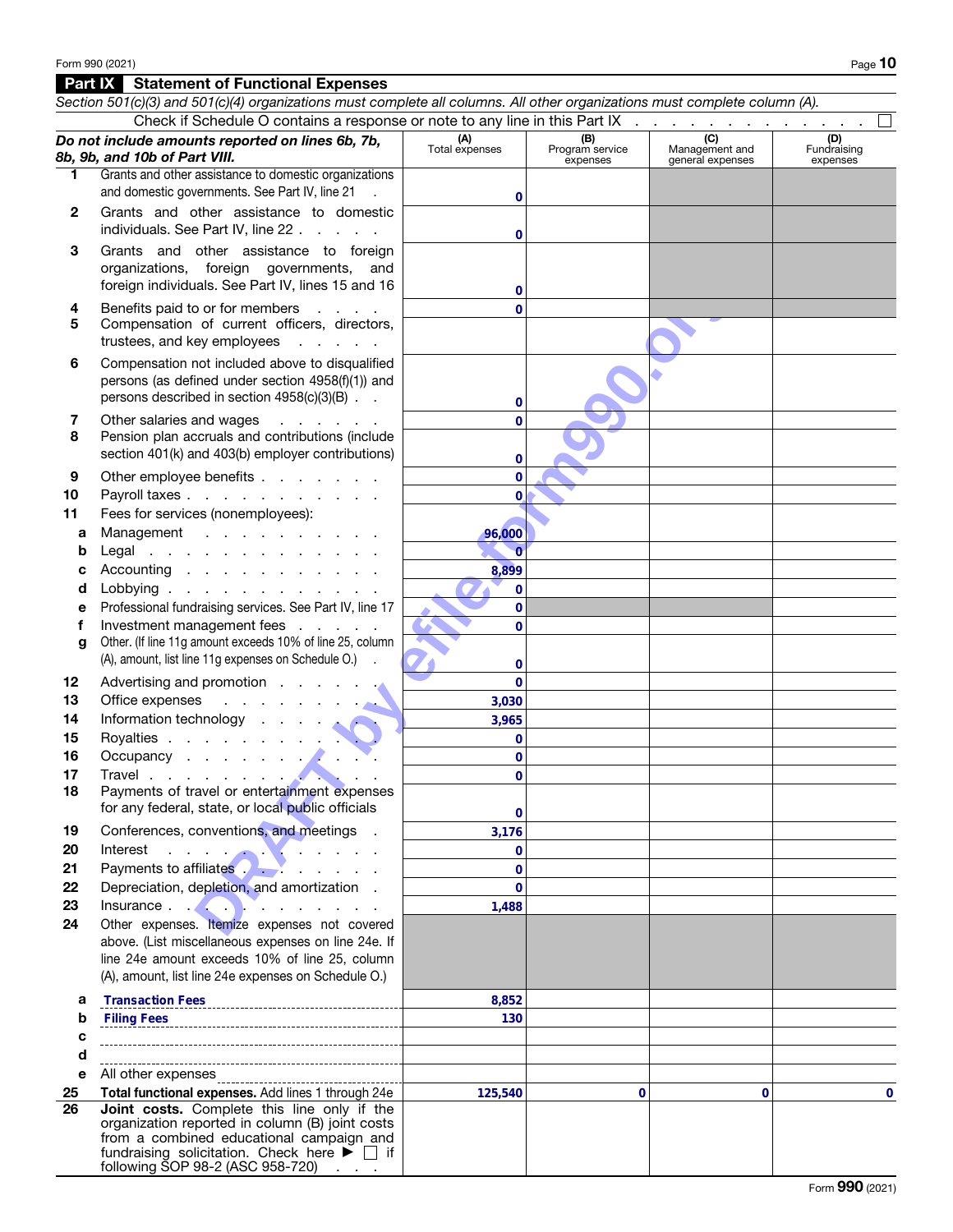#### Part IX Statement of Functional Expenses

|          | Section 501(c)(3) and 501(c)(4) organizations must complete all columns. All other organizations must complete column (A).                                                                                                       |                              |                                    |                                           |                                |
|----------|----------------------------------------------------------------------------------------------------------------------------------------------------------------------------------------------------------------------------------|------------------------------|------------------------------------|-------------------------------------------|--------------------------------|
|          | Check if Schedule O contains a response or note to any line in this Part IX                                                                                                                                                      |                              |                                    |                                           |                                |
|          | Do not include amounts reported on lines 6b, 7b,<br>8b, 9b, and 10b of Part VIII.                                                                                                                                                | (A)<br>Total expenses        | (B)<br>Program service<br>expenses | (C)<br>Management and<br>general expenses | (D)<br>Fundraising<br>expenses |
| 1.       | Grants and other assistance to domestic organizations<br>and domestic governments. See Part IV, line 21                                                                                                                          | 0                            |                                    |                                           |                                |
| 2        | Grants and other assistance to domestic<br>individuals. See Part IV, line 22                                                                                                                                                     | 0                            |                                    |                                           |                                |
| З        | Grants and other assistance to foreign<br>organizations, foreign governments, and<br>foreign individuals. See Part IV, lines 15 and 16                                                                                           | 0                            |                                    |                                           |                                |
| 4<br>5   | Benefits paid to or for members<br><b>Contractor</b><br>Compensation of current officers, directors,<br>trustees, and key employees                                                                                              | $\Omega$                     |                                    |                                           |                                |
| 6        | Compensation not included above to disqualified<br>persons (as defined under section 4958(f)(1)) and<br>persons described in section 4958(c)(3)(B)                                                                               | 0                            |                                    |                                           |                                |
| 7<br>8   | Other salaries and wages<br>and a state of the<br>Pension plan accruals and contributions (include<br>section 401(k) and 403(b) employer contributions)                                                                          | 0<br>0                       |                                    |                                           |                                |
| 9<br>10  | Other employee benefits<br>Payroll taxes                                                                                                                                                                                         | $\overline{0}$<br>0          |                                    |                                           |                                |
| 11<br>а  | Fees for services (nonemployees):<br>Management                                                                                                                                                                                  | 96,000                       |                                    |                                           |                                |
| b        | Legal                                                                                                                                                                                                                            | $\theta$                     |                                    |                                           |                                |
| с<br>d   | Accounting<br>Lobbying                                                                                                                                                                                                           | 8,899<br>$\mathbf 0$         |                                    |                                           |                                |
| е<br>f   | Professional fundraising services. See Part IV, line 17<br>Investment management fees                                                                                                                                            | $\mathbf{0}$<br>$\mathbf{0}$ |                                    |                                           |                                |
| g        | Other. (If line 11g amount exceeds 10% of line 25, column<br>(A), amount, list line 11g expenses on Schedule O.)                                                                                                                 | 0                            |                                    |                                           |                                |
| 12<br>13 | Advertising and promotion<br>Office expenses<br>and the company of the company                                                                                                                                                   | $\mathbf{0}$<br>3,030        |                                    |                                           |                                |
| 14       | Information technology                                                                                                                                                                                                           | 3,965                        |                                    |                                           |                                |
| 15       | Royalties                                                                                                                                                                                                                        | $\mathbf 0$                  |                                    |                                           |                                |
| 16       | Occupancy experience of the set of the set of the set of the set of the set of the set of the set of the set of the set of the set of the set of the set of the set of the set of the set of the set of the set of the set of    | $\mathbf 0$                  |                                    |                                           |                                |
| 17       |                                                                                                                                                                                                                                  | $\mathbf{0}$                 |                                    |                                           |                                |
| 18       | Payments of travel or entertainment expenses<br>for any federal, state, or local public officials                                                                                                                                | 0                            |                                    |                                           |                                |
| 19       | Conferences, conventions, and meetings .                                                                                                                                                                                         | 3,176                        |                                    |                                           |                                |
| 20       |                                                                                                                                                                                                                                  | $\mathbf{0}$                 |                                    |                                           |                                |
| 21       | Payments to affiliates                                                                                                                                                                                                           | $\mathbf 0$                  |                                    |                                           |                                |
| 22<br>23 | Depreciation, depletion, and amortization.                                                                                                                                                                                       | $\mathbf{0}$<br>1,488        |                                    |                                           |                                |
| 24       | Other expenses. Itemize expenses not covered                                                                                                                                                                                     |                              |                                    |                                           |                                |
|          | above. (List miscellaneous expenses on line 24e. If<br>line 24e amount exceeds 10% of line 25, column<br>(A), amount, list line 24e expenses on Schedule O.)                                                                     |                              |                                    |                                           |                                |
| а        | <b>Transaction Fees</b>                                                                                                                                                                                                          | 8,852                        |                                    |                                           |                                |
| b        |                                                                                                                                                                                                                                  | 130                          |                                    |                                           |                                |
| c        |                                                                                                                                                                                                                                  |                              |                                    |                                           |                                |
| d        |                                                                                                                                                                                                                                  |                              |                                    |                                           |                                |
| е        | All other expenses                                                                                                                                                                                                               |                              |                                    |                                           |                                |
| 25<br>26 | Total functional expenses. Add lines 1 through 24e<br>Joint costs. Complete this line only if the                                                                                                                                | 125,540                      | 0                                  | 0                                         | 0                              |
|          | organization reported in column (B) joint costs<br>from a combined educational campaign and<br>fundraising solicitation. Check here $\blacktriangleright \Box$ if<br>following SOP 98-2 (ASC 958-720) $\overline{\phantom{a}}$ . |                              |                                    |                                           |                                |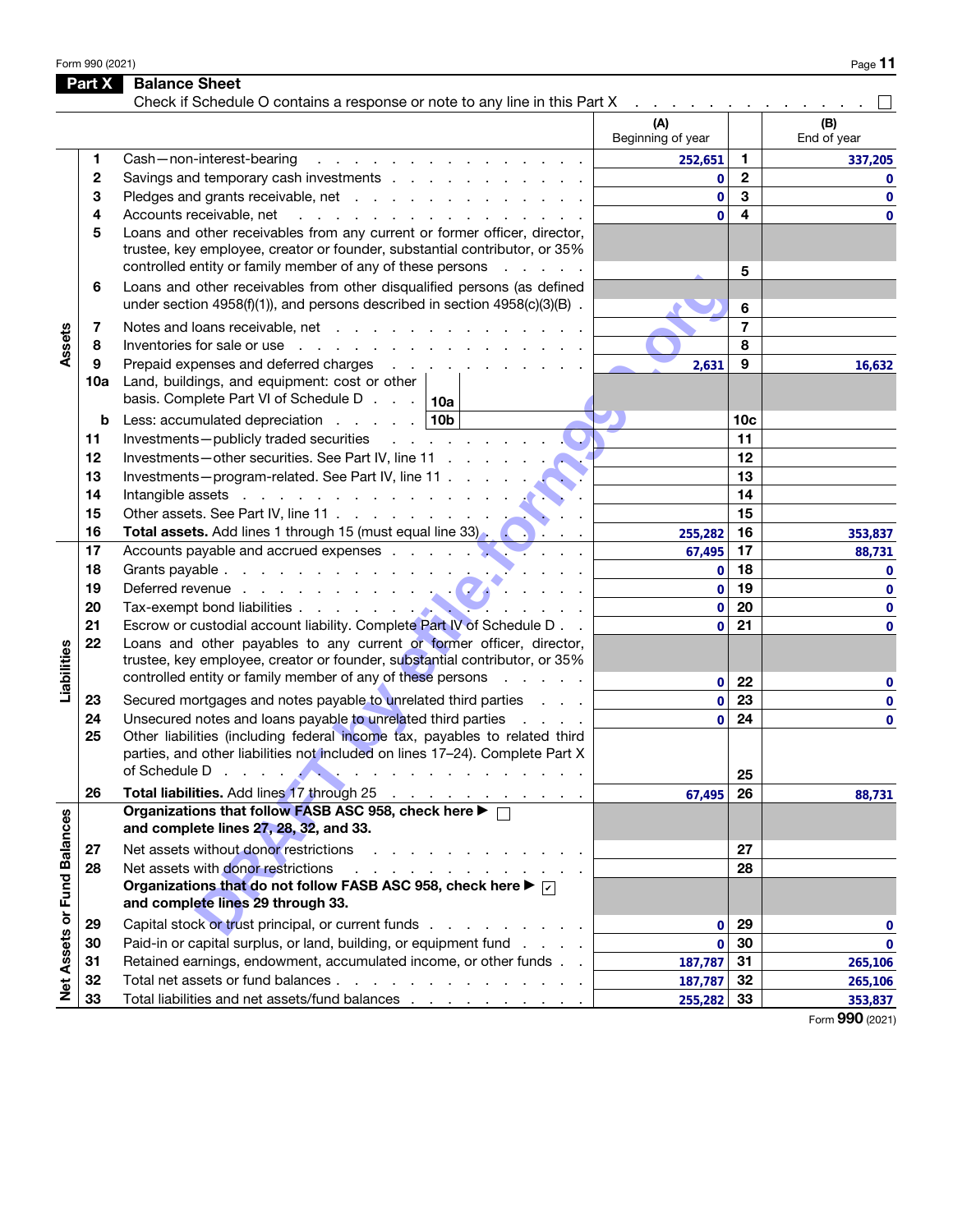Form 990 (2021)  $P_{\text{age}}$  **11** 

|                             | Part X       | <b>Balance Sheet</b>                                                                                                                                                                                                                                       |                                                                 |                 |                    |
|-----------------------------|--------------|------------------------------------------------------------------------------------------------------------------------------------------------------------------------------------------------------------------------------------------------------------|-----------------------------------------------------------------|-----------------|--------------------|
|                             |              | Check if Schedule O contains a response or note to any line in this Part X                                                                                                                                                                                 | the contract of the contract of the<br>(A)<br>Beginning of year |                 | (B)<br>End of year |
|                             | 1            | Cash-non-interest-bearing<br>and the company of the company of the company of                                                                                                                                                                              | 252,651                                                         | 1               | 337,205            |
|                             | $\mathbf{2}$ | Savings and temporary cash investments                                                                                                                                                                                                                     | 0                                                               | $\mathbf{2}$    | $\mathbf{0}$       |
|                             | 3            | Pledges and grants receivable, net                                                                                                                                                                                                                         | $\mathbf{0}$                                                    | 3               | $\mathbf 0$        |
|                             | 4            | Accounts receivable, net<br>and the contract of the contract of the contract of the contract of the contract of the contract of the contract of the contract of the contract of the contract of the contract of the contract of the contract of the contra | $\mathbf{0}$                                                    | 4               | 0                  |
|                             | 5            | Loans and other receivables from any current or former officer, director,<br>trustee, key employee, creator or founder, substantial contributor, or 35%<br>controlled entity or family member of any of these persons                                      |                                                                 | 5               |                    |
|                             | 6            | Loans and other receivables from other disqualified persons (as defined<br>under section 4958(f)(1)), and persons described in section 4958(c)(3)(B).                                                                                                      |                                                                 | 6               |                    |
|                             | 7            |                                                                                                                                                                                                                                                            |                                                                 | $\overline{7}$  |                    |
| Assets                      | 8            | Inventories for sale or use reader and reader and reader and reader and reader and reader and reader and reader                                                                                                                                            |                                                                 | 8               |                    |
|                             | 9            | Prepaid expenses and deferred charges                                                                                                                                                                                                                      | 2,631                                                           | 9               | 16,632             |
|                             | 10a          | Land, buildings, and equipment: cost or other<br>basis. Complete Part VI of Schedule D $\ldots$ 10a                                                                                                                                                        |                                                                 |                 |                    |
|                             | b            | Less: accumulated depreciation $\ldots$ $\ldots$   10b                                                                                                                                                                                                     |                                                                 | 10 <sub>c</sub> |                    |
|                             | 11           | Investments-publicly traded securities results and results and results are the securities                                                                                                                                                                  |                                                                 | 11              |                    |
|                             | 12           | Investments-other securities. See Part IV, line 11                                                                                                                                                                                                         |                                                                 | 12              |                    |
|                             | 13           | Investments-program-related. See Part IV, line 11                                                                                                                                                                                                          |                                                                 | 13              |                    |
|                             | 14           | Intangible assets in the contract of the contract of the contract of the contract of the contract of the contract of the contract of the contract of the contract of the contract of the contract of the contract of the contr                             |                                                                 | 14              |                    |
|                             | 15           | Other assets. See Part IV, line 11<br><b>Contract Contract</b>                                                                                                                                                                                             |                                                                 | 15              |                    |
|                             | 16           | Total assets. Add lines 1 through 15 (must equal line 33). (All inc.                                                                                                                                                                                       | 255,282                                                         | 16              | 353,837            |
|                             | 17           |                                                                                                                                                                                                                                                            | 67,495                                                          | 17              | 88,731             |
|                             | 18           |                                                                                                                                                                                                                                                            | $\mathbf 0$                                                     | 18              | 0                  |
|                             | 19           | Deferred revenue entry and the state of the state of the state of the state of the state of the state of the state of the state of the state of the state of the state of the state of the state of the state of the state of                              | $\mathbf{0}$                                                    | 19              | 0                  |
|                             | 20           |                                                                                                                                                                                                                                                            | $\mathbf{0}$                                                    | 20              | 0                  |
|                             | 21           | Escrow or custodial account liability. Complete Part IV of Schedule D                                                                                                                                                                                      | $\overline{0}$                                                  | 21              | 0                  |
| Liabilities                 | 22           | Loans and other payables to any current or former officer, director,<br>trustee, key employee, creator or founder, substantial contributor, or 35%                                                                                                         |                                                                 |                 |                    |
|                             |              | controlled entity or family member of any of these persons                                                                                                                                                                                                 | 0                                                               | 22              | 0                  |
|                             | 23           | Secured mortgages and notes payable to unrelated third parties                                                                                                                                                                                             | $\mathbf{0}$                                                    | 23              | 0                  |
|                             | 24<br>25     | Unsecured notes and loans payable to unrelated third parties<br><b>Carl Control</b><br>Other liabilities (including federal income tax, payables to related third<br>parties, and other liabilities not included on lines 17-24). Complete Part X          | $\mathbf 0$                                                     | 24              | 0                  |
|                             |              | of Schedule Derenius and Contract the Contract of Schedule Derenius and Contract of Schedule Derenius and Contract of Schedule Derenius and Contract of Schedule Derenius and Contract of Schedule Derenius and Contract of Sc                             |                                                                 | 25              |                    |
|                             | 26           | Total liabilities. Add lines 17 through 25                                                                                                                                                                                                                 | 67,495                                                          | 26              | 88,731             |
|                             |              | Organizations that follow FASB ASC 958, check here ▶ □<br>and complete lines 27, 28, 32, and 33.                                                                                                                                                           |                                                                 |                 |                    |
|                             | 27           | Net assets without donor restrictions<br>and the contract of the contract of                                                                                                                                                                               |                                                                 | 27              |                    |
|                             | 28           | Net assets with donor restrictions<br>.                                                                                                                                                                                                                    |                                                                 | 28              |                    |
| Net Assets or Fund Balances |              | Organizations that do not follow FASB ASC 958, check here $\blacktriangleright \triangleright$<br>and complete lines 29 through 33.                                                                                                                        |                                                                 |                 |                    |
|                             | 29           | Capital stock or trust principal, or current funds                                                                                                                                                                                                         | 0                                                               | 29              | 0                  |
|                             | 30           | Paid-in or capital surplus, or land, building, or equipment fund                                                                                                                                                                                           | $\mathbf 0$                                                     | 30              | $\mathbf{0}$       |
|                             | 31           | Retained earnings, endowment, accumulated income, or other funds                                                                                                                                                                                           | 187,787                                                         | -31             | 265,106            |
|                             | 32           | Total net assets or fund balances                                                                                                                                                                                                                          | 187,787                                                         | 32              | 265,106            |
|                             | 33           | Total liabilities and net assets/fund balances                                                                                                                                                                                                             | 255,282                                                         | 33              | 353,837            |

Form 990 (2021)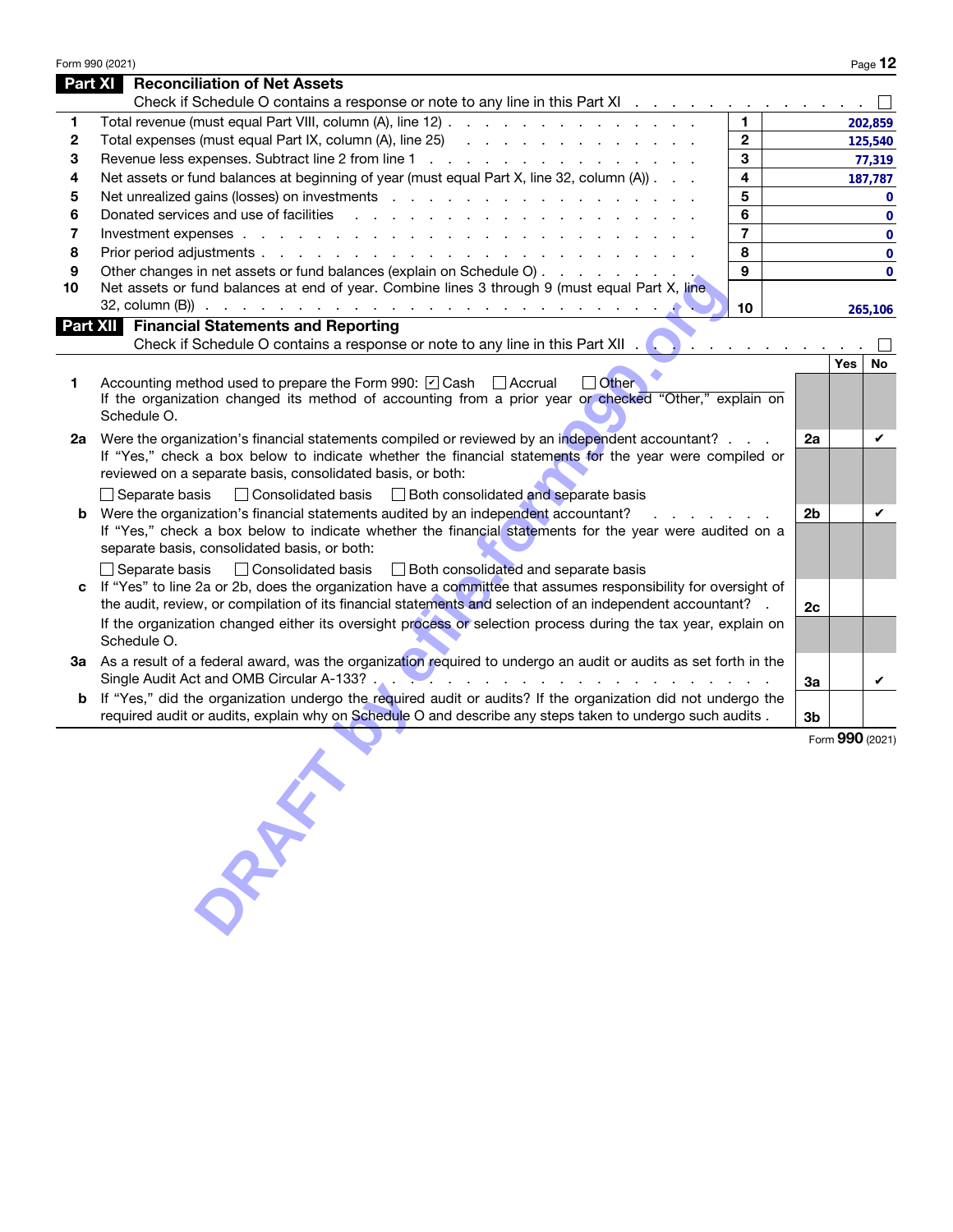|    | Form 990 (2021)                                                                                                                                                                                                                                                               |                |                 | Page 12      |
|----|-------------------------------------------------------------------------------------------------------------------------------------------------------------------------------------------------------------------------------------------------------------------------------|----------------|-----------------|--------------|
|    | <b>Part XI</b><br><b>Reconciliation of Net Assets</b>                                                                                                                                                                                                                         |                |                 |              |
|    | Check if Schedule O contains a response or note to any line in this Part XI □                                                                                                                                                                                                 |                |                 |              |
| 1  | Total revenue (must equal Part VIII, column (A), line 12)<br>$\mathbf{1}$                                                                                                                                                                                                     |                |                 | 202,859      |
| 2  | $\overline{2}$<br>Total expenses (must equal Part IX, column (A), line 25) (all contacts of all contacts of all contacts of all contacts of all contacts of all contacts of all contacts of all contacts of all contacts of all contacts of all                               |                |                 | 125,540      |
| 3  | $\mathbf{3}$                                                                                                                                                                                                                                                                  |                |                 | 77,319       |
| 4  | $\overline{\mathbf{4}}$<br>Net assets or fund balances at beginning of year (must equal Part X, line 32, column (A))                                                                                                                                                          |                |                 | 187,787      |
| 5  | 5                                                                                                                                                                                                                                                                             |                |                 | $\mathbf 0$  |
| 6  | 6<br>Donated services and use of facilities<br>and the company of the company of the company of the company of the company of the company of the company of the company of the company of the company of the company of the company of the company of the company of the comp |                |                 | $\mathbf 0$  |
| 7  | $\overline{7}$                                                                                                                                                                                                                                                                |                |                 | $\mathbf 0$  |
| 8  | 8                                                                                                                                                                                                                                                                             |                |                 | $\mathbf 0$  |
| 9  | $\mathbf{9}$<br>Other changes in net assets or fund balances (explain on Schedule O)                                                                                                                                                                                          |                |                 | $\mathbf{0}$ |
| 10 | Net assets or fund balances at end of year. Combine lines 3 through 9 (must equal Part X, line                                                                                                                                                                                |                |                 |              |
|    | 10                                                                                                                                                                                                                                                                            |                |                 | 265,106      |
|    | <b>Part XII</b> Financial Statements and Reporting                                                                                                                                                                                                                            |                |                 |              |
|    | Check if Schedule O contains a response or note to any line in this Part XII .<br><b>The community of the community</b>                                                                                                                                                       |                |                 |              |
|    |                                                                                                                                                                                                                                                                               |                | Yes             | <b>No</b>    |
| 1  | Accounting method used to prepare the Form 990: ☑ Cash △ Accrual<br>$\Box$ Other                                                                                                                                                                                              |                |                 |              |
|    | If the organization changed its method of accounting from a prior year or checked "Other," explain on                                                                                                                                                                         |                |                 |              |
|    | Schedule O.                                                                                                                                                                                                                                                                   |                |                 |              |
|    |                                                                                                                                                                                                                                                                               | 2a             |                 | V            |
| 2a | Were the organization's financial statements compiled or reviewed by an independent accountant?<br>If "Yes," check a box below to indicate whether the financial statements for the year were compiled or                                                                     |                |                 |              |
|    | reviewed on a separate basis, consolidated basis, or both:                                                                                                                                                                                                                    |                |                 |              |
|    |                                                                                                                                                                                                                                                                               |                |                 |              |
|    | □ Consolidated basis □ Both consolidated and separate basis<br>$\Box$ Separate basis                                                                                                                                                                                          |                |                 | V            |
|    | Were the organization's financial statements audited by an independent accountant?<br>2 <sub>b</sub>                                                                                                                                                                          |                |                 |              |
|    | If "Yes," check a box below to indicate whether the financial statements for the year were audited on a<br>separate basis, consolidated basis, or both:                                                                                                                       |                |                 |              |
|    |                                                                                                                                                                                                                                                                               |                |                 |              |
|    | $\Box$ Separate basis $\Box$ Consolidated basis $\Box$ Both consolidated and separate basis                                                                                                                                                                                   |                |                 |              |
|    | If "Yes" to line 2a or 2b, does the organization have a committee that assumes responsibility for oversight of                                                                                                                                                                |                |                 |              |
|    | the audit, review, or compilation of its financial statements and selection of an independent accountant? .                                                                                                                                                                   | 2c             |                 |              |
|    | If the organization changed either its oversight process or selection process during the tax year, explain on<br>Schedule O.                                                                                                                                                  |                |                 |              |
|    |                                                                                                                                                                                                                                                                               |                |                 |              |
|    | 3a As a result of a federal award, was the organization required to undergo an audit or audits as set forth in the                                                                                                                                                            |                |                 |              |
|    |                                                                                                                                                                                                                                                                               | За             |                 | V            |
| b  | If "Yes," did the organization undergo the required audit or audits? If the organization did not undergo the                                                                                                                                                                  |                |                 |              |
|    | required audit or audits, explain why on Schedule O and describe any steps taken to undergo such audits.                                                                                                                                                                      | 3 <sub>b</sub> |                 |              |
|    |                                                                                                                                                                                                                                                                               |                | Form 990 (2021) |              |
|    |                                                                                                                                                                                                                                                                               |                |                 |              |
|    |                                                                                                                                                                                                                                                                               |                |                 |              |
|    |                                                                                                                                                                                                                                                                               |                |                 |              |
|    |                                                                                                                                                                                                                                                                               |                |                 |              |
|    |                                                                                                                                                                                                                                                                               |                |                 |              |
|    |                                                                                                                                                                                                                                                                               |                |                 |              |
|    | off                                                                                                                                                                                                                                                                           |                |                 |              |
|    |                                                                                                                                                                                                                                                                               |                |                 |              |
|    |                                                                                                                                                                                                                                                                               |                |                 |              |
|    |                                                                                                                                                                                                                                                                               |                |                 |              |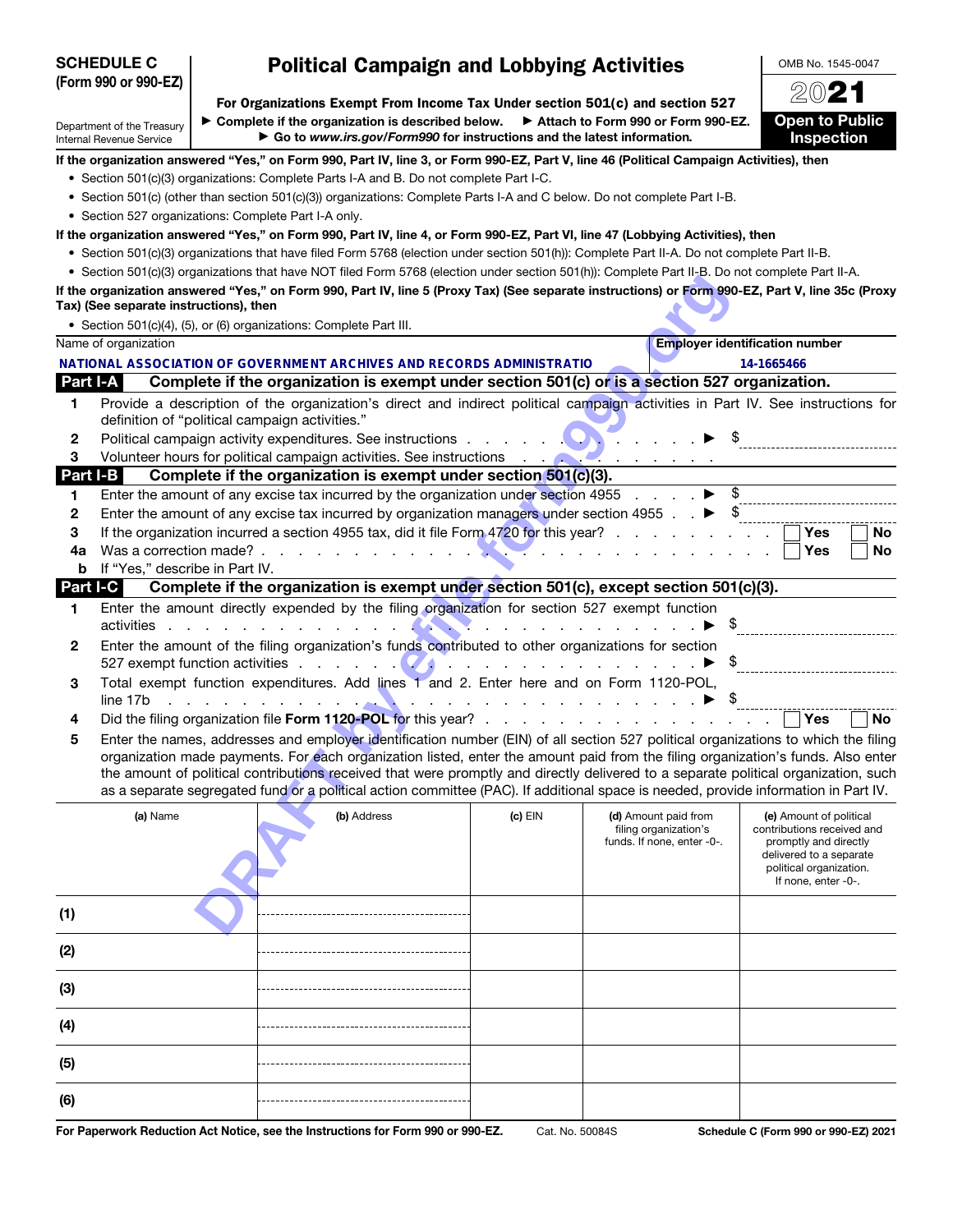| <b>SCHEDULE C</b> |                                                                                            |  | <b>Political Campaign and Lobbying Activities</b> | OMB No. 1545-0047                                                                                                                                                                                                              |         |                                                                                                                                                                                                                                                                        |                                                  |
|-------------------|--------------------------------------------------------------------------------------------|--|---------------------------------------------------|--------------------------------------------------------------------------------------------------------------------------------------------------------------------------------------------------------------------------------|---------|------------------------------------------------------------------------------------------------------------------------------------------------------------------------------------------------------------------------------------------------------------------------|--------------------------------------------------|
|                   | (Form 990 or 990-EZ)                                                                       |  |                                                   |                                                                                                                                                                                                                                |         |                                                                                                                                                                                                                                                                        | 2021                                             |
|                   |                                                                                            |  |                                                   |                                                                                                                                                                                                                                |         | For Organizations Exempt From Income Tax Under section 501(c) and section 527                                                                                                                                                                                          |                                                  |
|                   | Department of the Treasury<br>Internal Revenue Service                                     |  |                                                   | $\triangleright$ Complete if the organization is described below.<br>Go to www.irs.gov/Form990 for instructions and the latest information.                                                                                    |         | Attach to Form 990 or Form 990-EZ.                                                                                                                                                                                                                                     | <b>Open to Public</b><br>Inspection              |
|                   |                                                                                            |  |                                                   |                                                                                                                                                                                                                                |         | If the organization answered "Yes," on Form 990, Part IV, line 3, or Form 990-EZ, Part V, line 46 (Political Campaign Activities), then                                                                                                                                |                                                  |
|                   |                                                                                            |  |                                                   | • Section 501(c)(3) organizations: Complete Parts I-A and B. Do not complete Part I-C.                                                                                                                                         |         |                                                                                                                                                                                                                                                                        |                                                  |
|                   |                                                                                            |  |                                                   |                                                                                                                                                                                                                                |         | • Section 501(c) (other than section 501(c)(3)) organizations: Complete Parts I-A and C below. Do not complete Part I-B.                                                                                                                                               |                                                  |
|                   | • Section 527 organizations: Complete Part I-A only.                                       |  |                                                   |                                                                                                                                                                                                                                |         |                                                                                                                                                                                                                                                                        |                                                  |
|                   |                                                                                            |  |                                                   |                                                                                                                                                                                                                                |         | If the organization answered "Yes," on Form 990, Part IV, line 4, or Form 990-EZ, Part VI, line 47 (Lobbying Activities), then                                                                                                                                         |                                                  |
|                   |                                                                                            |  |                                                   |                                                                                                                                                                                                                                |         | • Section 501(c)(3) organizations that have filed Form 5768 (election under section 501(h)): Complete Part II-A. Do not complete Part II-B.                                                                                                                            |                                                  |
|                   |                                                                                            |  |                                                   |                                                                                                                                                                                                                                |         | • Section 501(c)(3) organizations that have NOT filed Form 5768 (election under section 501(h)): Complete Part II-B. Do not complete Part II-A.                                                                                                                        |                                                  |
|                   |                                                                                            |  |                                                   |                                                                                                                                                                                                                                |         | If the organization answered "Yes," on Form 990, Part IV, line 5 (Proxy Tax) (See separate instructions) or Form 990-EZ, Part V, line 35c (Proxy                                                                                                                       |                                                  |
|                   | Tax) (See separate instructions), then                                                     |  |                                                   |                                                                                                                                                                                                                                |         |                                                                                                                                                                                                                                                                        |                                                  |
|                   | • Section 501(c)(4), (5), or (6) organizations: Complete Part III.<br>Name of organization |  |                                                   |                                                                                                                                                                                                                                |         |                                                                                                                                                                                                                                                                        | <b>Employer identification number</b>            |
|                   |                                                                                            |  |                                                   |                                                                                                                                                                                                                                |         |                                                                                                                                                                                                                                                                        |                                                  |
| Part I-A          |                                                                                            |  |                                                   | NATIONAL ASSOCIATION OF GOVERNMENT ARCHIVES AND RECORDS ADMINISTRATIO                                                                                                                                                          |         | Complete if the organization is exempt under section 501(c) or is a section 527 organization.                                                                                                                                                                          | 14-1665466                                       |
|                   |                                                                                            |  |                                                   |                                                                                                                                                                                                                                |         |                                                                                                                                                                                                                                                                        |                                                  |
| 1                 | definition of "political campaign activities."                                             |  |                                                   |                                                                                                                                                                                                                                |         | Provide a description of the organization's direct and indirect political campaign activities in Part IV. See instructions for                                                                                                                                         |                                                  |
| 2                 |                                                                                            |  |                                                   | Political campaign activity expenditures. See instructions experience of the set of the set of the set of the set of the set of the set of the set of the set of the set of the set of the set of the set of the set of the se |         |                                                                                                                                                                                                                                                                        |                                                  |
| 3                 |                                                                                            |  |                                                   |                                                                                                                                                                                                                                |         |                                                                                                                                                                                                                                                                        |                                                  |
| Part I-B          |                                                                                            |  |                                                   | Complete if the organization is exempt under section 501(c)(3).                                                                                                                                                                |         |                                                                                                                                                                                                                                                                        |                                                  |
| 1                 |                                                                                            |  |                                                   |                                                                                                                                                                                                                                |         | Enter the amount of any excise tax incurred by the organization under section 4955 $\ldots$ $\ldots$                                                                                                                                                                   |                                                  |
| 2                 |                                                                                            |  |                                                   |                                                                                                                                                                                                                                |         | Enter the amount of any excise tax incurred by organization managers under section 4955 $\ldots$ $\blacktriangleright$ \$                                                                                                                                              |                                                  |
| 3                 |                                                                                            |  |                                                   |                                                                                                                                                                                                                                |         | If the organization incurred a section 4955 tax, did it file Form 4720 for this year?                                                                                                                                                                                  | Yes<br><b>No</b>                                 |
| 4a                |                                                                                            |  |                                                   |                                                                                                                                                                                                                                |         |                                                                                                                                                                                                                                                                        | Yes<br>No                                        |
| b                 | If "Yes," describe in Part IV.                                                             |  |                                                   |                                                                                                                                                                                                                                |         |                                                                                                                                                                                                                                                                        |                                                  |
| Part I-C          |                                                                                            |  |                                                   |                                                                                                                                                                                                                                |         | Complete if the organization is exempt under section 501(c), except section 501(c)(3).                                                                                                                                                                                 |                                                  |
| 1                 |                                                                                            |  |                                                   | Enter the amount directly expended by the filing organization for section 527 exempt function                                                                                                                                  |         |                                                                                                                                                                                                                                                                        |                                                  |
|                   | activities                                                                                 |  | the contract of the contract of the con-          |                                                                                                                                                                                                                                |         | .                                                                                                                                                                                                                                                                      | $\triangleright$ \$                              |
| 2                 |                                                                                            |  |                                                   | Enter the amount of the filing organization's funds contributed to other organizations for section                                                                                                                             |         |                                                                                                                                                                                                                                                                        |                                                  |
|                   |                                                                                            |  |                                                   |                                                                                                                                                                                                                                |         | 527 exempt function activities $\blacksquare$                                                                                                                                                                                                                          |                                                  |
| 3                 |                                                                                            |  |                                                   | Total exempt function expenditures. Add lines 1 and 2. Enter here and on Form 1120-POL,                                                                                                                                        |         |                                                                                                                                                                                                                                                                        |                                                  |
| 4                 | line 17b                                                                                   |  |                                                   |                                                                                                                                                                                                                                |         |                                                                                                                                                                                                                                                                        | <b>Yes</b><br>No                                 |
|                   |                                                                                            |  |                                                   |                                                                                                                                                                                                                                |         |                                                                                                                                                                                                                                                                        |                                                  |
| 5                 |                                                                                            |  |                                                   |                                                                                                                                                                                                                                |         | Enter the names, addresses and employer identification number (EIN) of all section 527 political organizations to which the filing<br>organization made payments. For each organization listed, enter the amount paid from the filing organization's funds. Also enter |                                                  |
|                   |                                                                                            |  |                                                   |                                                                                                                                                                                                                                |         | the amount of political contributions received that were promptly and directly delivered to a separate political organization, such                                                                                                                                    |                                                  |
|                   |                                                                                            |  |                                                   |                                                                                                                                                                                                                                |         | as a separate segregated fund or a political action committee (PAC). If additional space is needed, provide information in Part IV.                                                                                                                                    |                                                  |
|                   | (a) Name                                                                                   |  |                                                   | (b) Address                                                                                                                                                                                                                    | (c) EIN | (d) Amount paid from                                                                                                                                                                                                                                                   | (e) Amount of political                          |
|                   |                                                                                            |  |                                                   |                                                                                                                                                                                                                                |         | filing organization's                                                                                                                                                                                                                                                  | contributions received and                       |
|                   |                                                                                            |  |                                                   |                                                                                                                                                                                                                                |         | funds. If none, enter -0-.                                                                                                                                                                                                                                             | promptly and directly<br>delivered to a separate |
|                   |                                                                                            |  |                                                   |                                                                                                                                                                                                                                |         |                                                                                                                                                                                                                                                                        | political organization.                          |
|                   |                                                                                            |  |                                                   |                                                                                                                                                                                                                                |         |                                                                                                                                                                                                                                                                        | If none, enter -0-.                              |
| (1)               |                                                                                            |  |                                                   |                                                                                                                                                                                                                                |         |                                                                                                                                                                                                                                                                        |                                                  |
|                   |                                                                                            |  |                                                   |                                                                                                                                                                                                                                |         |                                                                                                                                                                                                                                                                        |                                                  |
| (2)               |                                                                                            |  |                                                   |                                                                                                                                                                                                                                |         |                                                                                                                                                                                                                                                                        |                                                  |
|                   |                                                                                            |  |                                                   |                                                                                                                                                                                                                                |         |                                                                                                                                                                                                                                                                        |                                                  |
| (3)               |                                                                                            |  |                                                   |                                                                                                                                                                                                                                |         |                                                                                                                                                                                                                                                                        |                                                  |

| For Paperwork Reduction Act Notice, see the Instructions for Form 990 or 990-EZ. | Cat. No |
|----------------------------------------------------------------------------------|---------|
|                                                                                  |         |

(4)

(5)

(6)

o. 50084S **Schedule C (Form 990 or 990-EZ) 2021**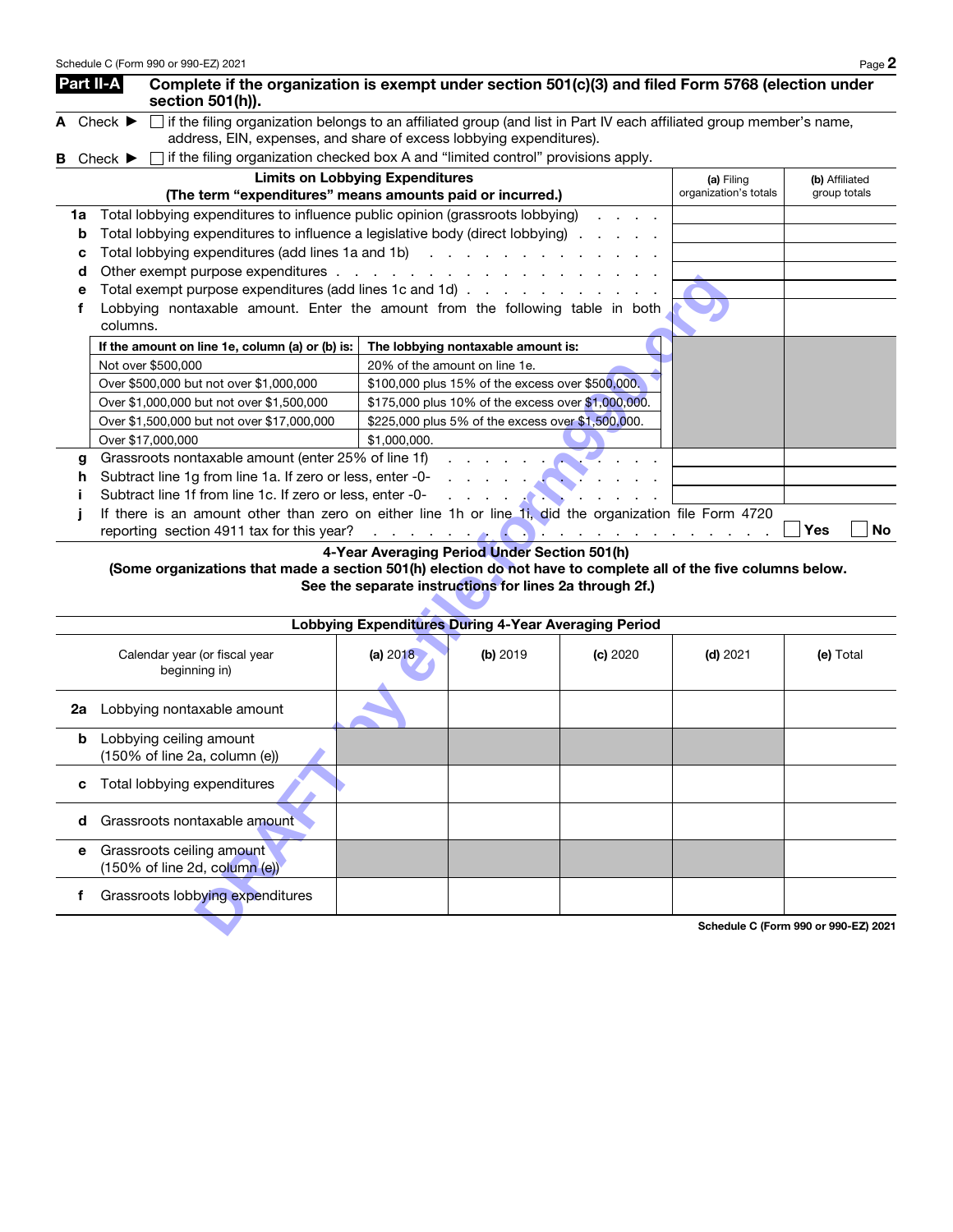|   |                                                          | Part II-A                     | section 501(h)).                                          | Complete if the organization is exempt under section 501(c)(3) and filed Form 5768 (election under                                                                                                                                   |                       |                  |
|---|----------------------------------------------------------|-------------------------------|-----------------------------------------------------------|--------------------------------------------------------------------------------------------------------------------------------------------------------------------------------------------------------------------------------------|-----------------------|------------------|
|   |                                                          | A Check $\blacktriangleright$ |                                                           | if the filing organization belongs to an affiliated group (and list in Part IV each affiliated group member's name,                                                                                                                  |                       |                  |
|   |                                                          |                               |                                                           | address, EIN, expenses, and share of excess lobbying expenditures).                                                                                                                                                                  |                       |                  |
| в |                                                          | Check $\blacktriangleright$   |                                                           | if the filing organization checked box A and "limited control" provisions apply.                                                                                                                                                     |                       |                  |
|   |                                                          |                               |                                                           | <b>Limits on Lobbying Expenditures</b>                                                                                                                                                                                               | (a) Filing            | (b) Affiliated   |
|   |                                                          |                               |                                                           | (The term "expenditures" means amounts paid or incurred.)                                                                                                                                                                            | organization's totals | group totals     |
|   | 1a                                                       |                               |                                                           | Total lobbying expenditures to influence public opinion (grassroots lobbying)                                                                                                                                                        |                       |                  |
|   | b                                                        |                               |                                                           | Total lobbying expenditures to influence a legislative body (direct lobbying)                                                                                                                                                        |                       |                  |
|   | c                                                        |                               |                                                           | Total lobbying expenditures (add lines 1a and 1b)                                                                                                                                                                                    |                       |                  |
|   | d                                                        |                               |                                                           |                                                                                                                                                                                                                                      |                       |                  |
|   | е                                                        |                               |                                                           | Total exempt purpose expenditures (add lines 1c and 1d) $\ldots$                                                                                                                                                                     |                       |                  |
|   |                                                          | columns.                      |                                                           | Lobbying nontaxable amount. Enter the amount from the following table in both                                                                                                                                                        |                       |                  |
|   |                                                          |                               | If the amount on line 1e, column (a) or (b) is:           | The lobbying nontaxable amount is:                                                                                                                                                                                                   |                       |                  |
|   |                                                          |                               | Not over \$500,000                                        | 20% of the amount on line 1e.                                                                                                                                                                                                        |                       |                  |
|   |                                                          |                               | Over \$500,000 but not over \$1,000,000                   | \$100,000 plus 15% of the excess over \$500,000.                                                                                                                                                                                     |                       |                  |
|   |                                                          |                               | Over \$1,000,000 but not over \$1,500,000                 | \$175,000 plus 10% of the excess over \$1,000,000.                                                                                                                                                                                   |                       |                  |
|   |                                                          |                               | Over \$1,500,000 but not over \$17,000,000                | \$225,000 plus 5% of the excess over \$1,500,000.                                                                                                                                                                                    |                       |                  |
|   |                                                          |                               | Over \$17,000,000                                         | \$1,000,000.                                                                                                                                                                                                                         |                       |                  |
|   | Grassroots nontaxable amount (enter 25% of line 1f)<br>g |                               |                                                           |                                                                                                                                                                                                                                      |                       |                  |
|   | h                                                        |                               | Subtract line 1g from line 1a. If zero or less, enter -0- |                                                                                                                                                                                                                                      |                       |                  |
|   |                                                          |                               | Subtract line 1f from line 1c. If zero or less, enter -0- |                                                                                                                                                                                                                                      |                       |                  |
|   |                                                          |                               | reporting section 4911 tax for this year?                 | If there is an amount other than zero on either line 1h or line 1i, did the organization file Form 4720<br>the contract of the contract of the contract of the contract of the contract of the contract of the contract of<br>$\sim$ |                       | Yes<br><b>No</b> |
|   |                                                          |                               |                                                           |                                                                                                                                                                                                                                      |                       |                  |

| е  | Total exempt purpose expenditures (add lines 1c and 1d)                                                                                              |              |                                                             |          |                                      |            |           |
|----|------------------------------------------------------------------------------------------------------------------------------------------------------|--------------|-------------------------------------------------------------|----------|--------------------------------------|------------|-----------|
| f  | Lobbying nontaxable amount. Enter the amount from the following table in both<br>columns.                                                            |              |                                                             |          |                                      |            |           |
|    | If the amount on line 1e, column (a) or (b) is:                                                                                                      |              | The lobbying nontaxable amount is:                          |          |                                      |            |           |
|    | Not over \$500,000                                                                                                                                   |              | 20% of the amount on line 1e.                               |          |                                      |            |           |
|    | Over \$500,000 but not over \$1,000,000                                                                                                              |              | \$100,000 plus 15% of the excess over \$500,000.            |          |                                      |            |           |
|    | Over \$1,000,000 but not over \$1,500,000                                                                                                            |              | \$175,000 plus 10% of the excess over \$1,000,000.          |          |                                      |            |           |
|    | Over \$1,500,000 but not over \$17,000,000                                                                                                           |              | \$225,000 plus 5% of the excess over \$1,500,000.           |          |                                      |            |           |
|    | Over \$17,000,000                                                                                                                                    | \$1,000,000. |                                                             |          |                                      |            |           |
| g  | Grassroots nontaxable amount (enter 25% of line 1f)                                                                                                  |              |                                                             |          |                                      |            |           |
| h  | Subtract line 1g from line 1a. If zero or less, enter -0-                                                                                            |              | and a state of the state                                    |          |                                      |            |           |
|    | Subtract line 1f from line 1c. If zero or less, enter -0-                                                                                            |              | <b>Contract Contract Contract</b>                           |          |                                      |            |           |
|    | If there is an amount other than zero on either line 1h or line 1i, did the organization file Form 4720<br>reporting section 4911 tax for this year? |              |                                                             |          |                                      | <b>Yes</b> | <b>No</b> |
|    | (Some organizations that made a section 501(h) election do not have to complete all of the five columns below.                                       |              | See the separate instructions for lines 2a through 2f.)     |          |                                      |            |           |
|    |                                                                                                                                                      |              | <b>Lobbying Expenditures During 4-Year Averaging Period</b> |          |                                      |            |           |
|    | Calendar year (or fiscal year<br>beginning in)                                                                                                       | (a) 2018     | (b) 2019                                                    | (c) 2020 | $(d)$ 2021                           | (e) Total  |           |
| 2a | Lobbying nontaxable amount                                                                                                                           |              |                                                             |          |                                      |            |           |
| b  | Lobbying ceiling amount<br>(150% of line 2a, column (e))                                                                                             |              |                                                             |          |                                      |            |           |
| c  | Total lobbying expenditures                                                                                                                          |              |                                                             |          |                                      |            |           |
| d  | Grassroots nontaxable amount                                                                                                                         |              |                                                             |          |                                      |            |           |
| е  | Grassroots ceiling amount<br>(150% of line 2d, column (e))                                                                                           |              |                                                             |          |                                      |            |           |
| f  | Grassroots lobbying expenditures                                                                                                                     |              |                                                             |          |                                      |            |           |
|    |                                                                                                                                                      |              |                                                             |          | Schedule C (Form 990 or 990-EZ) 2021 |            |           |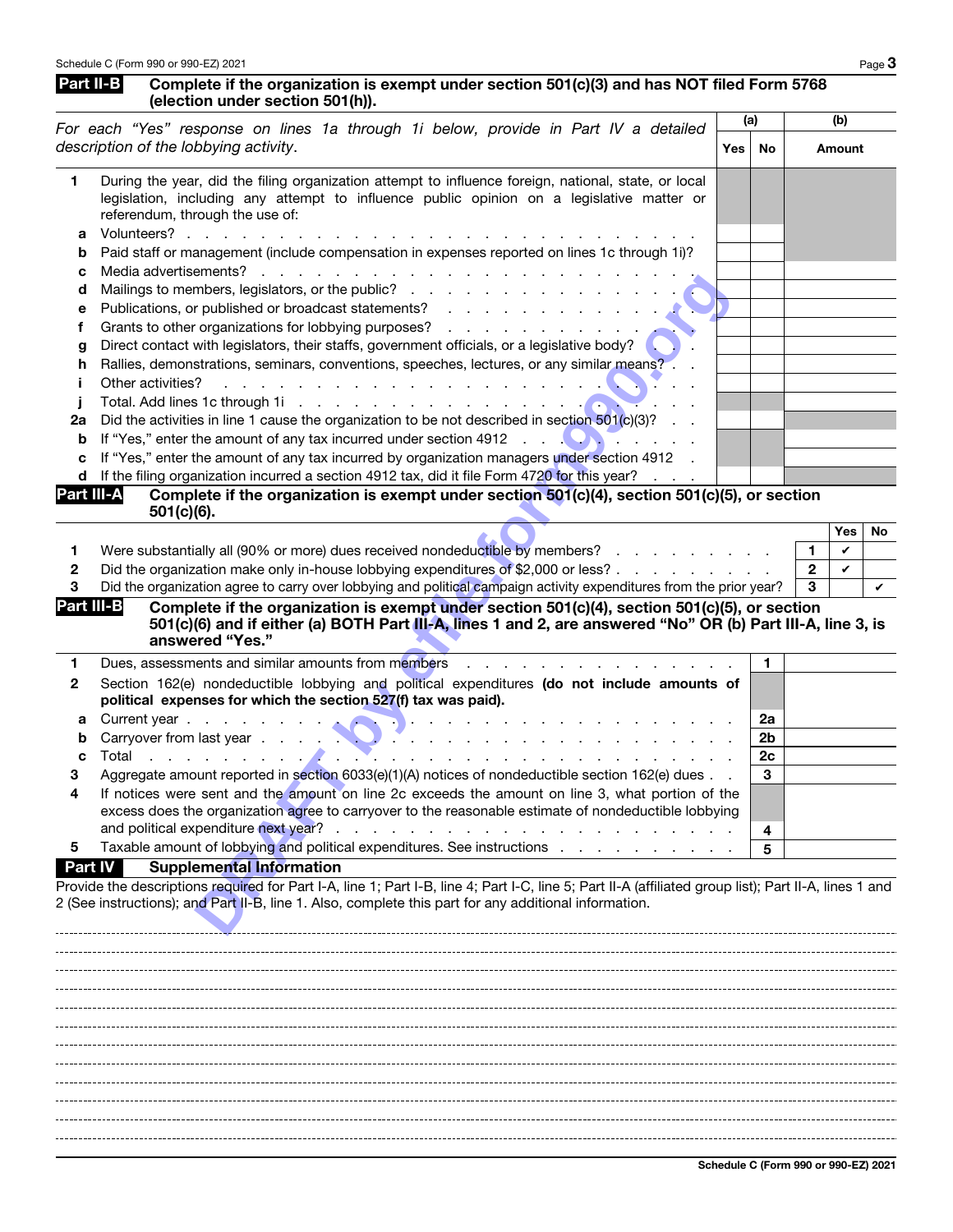## Part II-B Complete if the organization is exempt under section 501(c)(3) and has NOT filed Form 5768 (election under section 501(h)).

|            | (election under section 50 ((n)).                                                                                                                                                                                                                                                           | (a) |                |              | (b)    |    |
|------------|---------------------------------------------------------------------------------------------------------------------------------------------------------------------------------------------------------------------------------------------------------------------------------------------|-----|----------------|--------------|--------|----|
|            | For each "Yes" response on lines 1a through 1i below, provide in Part IV a detailed<br>description of the lobbying activity.                                                                                                                                                                | Yes | No             |              | Amount |    |
| 1          | During the year, did the filing organization attempt to influence foreign, national, state, or local<br>legislation, including any attempt to influence public opinion on a legislative matter or<br>referendum, through the use of:<br>Volunteers?                                         |     |                |              |        |    |
| а          | Paid staff or management (include compensation in expenses reported on lines 1c through 1i)?                                                                                                                                                                                                |     |                |              |        |    |
| b<br>с     | Media advertisements?<br>and the company of the company of the company of the company of the company of the company of the company of the company of the company of the company of the company of the company of the company of the company of the comp                                     |     |                |              |        |    |
| d          |                                                                                                                                                                                                                                                                                             |     |                |              |        |    |
| е          |                                                                                                                                                                                                                                                                                             |     |                |              |        |    |
| f.         | Grants to other organizations for lobbying purposes?                                                                                                                                                                                                                                        |     |                |              |        |    |
| g          | Direct contact with legislators, their staffs, government officials, or a legislative body?                                                                                                                                                                                                 |     |                |              |        |    |
| h          | Rallies, demonstrations, seminars, conventions, speeches, lectures, or any similar means?.                                                                                                                                                                                                  |     |                |              |        |    |
| Ť          | Other activities?<br>المتعاون والمتعاون والمتعاون والمتعاون والمتعاون والمتعاون والمتعاونة                                                                                                                                                                                                  |     |                |              |        |    |
| J          |                                                                                                                                                                                                                                                                                             |     |                |              |        |    |
| 2a         | Did the activities in line 1 cause the organization to be not described in section 501(c)(3)?                                                                                                                                                                                               |     |                |              |        |    |
| b          | If "Yes," enter the amount of any tax incurred under section 4912 $\ldots$<br><b>Service State</b>                                                                                                                                                                                          |     |                |              |        |    |
| c          | If "Yes," enter the amount of any tax incurred by organization managers under section 4912                                                                                                                                                                                                  |     |                |              |        |    |
| d          | If the filing organization incurred a section 4912 tax, did it file Form 4720 for this year?                                                                                                                                                                                                |     |                |              |        |    |
| Part III-A | Complete if the organization is exempt under section 501(c)(4), section 501(c)(5), or section<br>501(c)(6).                                                                                                                                                                                 |     |                |              |        |    |
|            |                                                                                                                                                                                                                                                                                             |     |                |              | Yes    | No |
| 1          | Were substantially all (90% or more) dues received nondeductible by members?                                                                                                                                                                                                                |     |                | 1            | V      |    |
| 2          | Did the organization make only in-house lobbying expenditures of \$2,000 or less?                                                                                                                                                                                                           |     |                | $\mathbf{2}$ | V      |    |
| з          | Did the organization agree to carry over lobbying and political campaign activity expenditures from the prior year?                                                                                                                                                                         |     |                | 3            |        | V  |
| Part III-B | Complete if the organization is exempt under section 501(c)(4), section 501(c)(5), or section<br>501(c)(6) and if either (a) BOTH Part III-A, lines 1 and 2, are answered "No" OR (b) Part III-A, line 3, is<br>answered "Yes."                                                             |     |                |              |        |    |
| 1          | Dues, assessments and similar amounts from members                                                                                                                                                                                                                                          |     | 1.             |              |        |    |
| 2          | Section 162(e) nondeductible lobbying and political expenditures (do not include amounts of<br>political expenses for which the section 527(f) tax was paid).                                                                                                                               |     |                |              |        |    |
| а          | Current year                                                                                                                                                                                                                                                                                |     | 2a             |              |        |    |
| b          | Carryover from last year<br>the contract of the contract of the contract of                                                                                                                                                                                                                 |     | 2 <sub>b</sub> |              |        |    |
| c          | Total<br>.                                                                                                                                                                                                                                                                                  |     | 2c             |              |        |    |
| З          | Aggregate amount reported in section 6033(e)(1)(A) notices of nondeductible section 162(e) dues                                                                                                                                                                                             |     | 3              |              |        |    |
|            | If notices were sent and the amount on line 2c exceeds the amount on line 3, what portion of the<br>excess does the organization agree to carryover to the reasonable estimate of nondeductible lobbying<br>and political expenditure next year?<br>$\sim$<br>$\mathbf{r}$ and $\mathbf{r}$ |     |                |              |        |    |
| 5          | Taxable amount of lobbying and political expenditures. See instructions                                                                                                                                                                                                                     |     | 4<br>5         |              |        |    |
| Part IV    | <b>Supplemental Information</b>                                                                                                                                                                                                                                                             |     |                |              |        |    |
|            | Provide the descriptions required for Part I-A, line 1; Part I-B, line 4; Part I-C, line 5; Part II-A (affiliated group list); Part II-A, lines 1 and<br>2 (See instructions); and Part II-B, line 1. Also, complete this part for any additional information.                              |     |                |              |        |    |

. . . . . . . 

Schedule C (Form 990 or 990-EZ) 2021